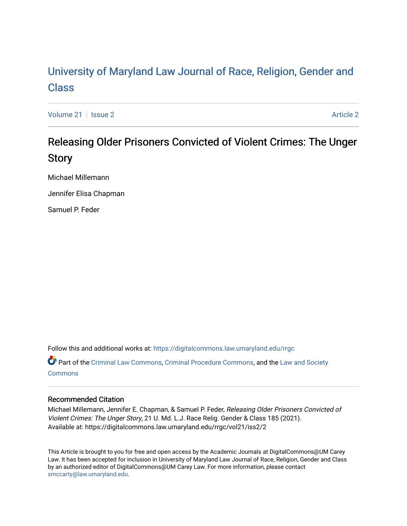# [University of Maryland Law Journal of Race, Religion, Gender and](https://digitalcommons.law.umaryland.edu/rrgc)  [Class](https://digitalcommons.law.umaryland.edu/rrgc)

[Volume 21](https://digitalcommons.law.umaryland.edu/rrgc/vol21) | [Issue 2](https://digitalcommons.law.umaryland.edu/rrgc/vol21/iss2) [Article 2](https://digitalcommons.law.umaryland.edu/rrgc/vol21/iss2/2) Article 2 Article 2 Article 2 Article 2 Article 2 Article 2 Article 2 Article 2

# Releasing Older Prisoners Convicted of Violent Crimes: The Unger Story

Michael Millemann

Jennifer Elisa Chapman

Samuel P. Feder

Follow this and additional works at: [https://digitalcommons.law.umaryland.edu/rrgc](https://digitalcommons.law.umaryland.edu/rrgc?utm_source=digitalcommons.law.umaryland.edu%2Frrgc%2Fvol21%2Fiss2%2F2&utm_medium=PDF&utm_campaign=PDFCoverPages)

Part of the [Criminal Law Commons,](http://network.bepress.com/hgg/discipline/912?utm_source=digitalcommons.law.umaryland.edu%2Frrgc%2Fvol21%2Fiss2%2F2&utm_medium=PDF&utm_campaign=PDFCoverPages) [Criminal Procedure Commons,](http://network.bepress.com/hgg/discipline/1073?utm_source=digitalcommons.law.umaryland.edu%2Frrgc%2Fvol21%2Fiss2%2F2&utm_medium=PDF&utm_campaign=PDFCoverPages) and the [Law and Society](http://network.bepress.com/hgg/discipline/853?utm_source=digitalcommons.law.umaryland.edu%2Frrgc%2Fvol21%2Fiss2%2F2&utm_medium=PDF&utm_campaign=PDFCoverPages)  **[Commons](http://network.bepress.com/hgg/discipline/853?utm_source=digitalcommons.law.umaryland.edu%2Frrgc%2Fvol21%2Fiss2%2F2&utm_medium=PDF&utm_campaign=PDFCoverPages)** 

# Recommended Citation

Michael Millemann, Jennifer E. Chapman, & Samuel P. Feder, Releasing Older Prisoners Convicted of Violent Crimes: The Unger Story, 21 U. Md. L.J. Race Relig. Gender & Class 185 (2021). Available at: https://digitalcommons.law.umaryland.edu/rrgc/vol21/iss2/2

This Article is brought to you for free and open access by the Academic Journals at DigitalCommons@UM Carey Law. It has been accepted for inclusion in University of Maryland Law Journal of Race, Religion, Gender and Class by an authorized editor of DigitalCommons@UM Carey Law. For more information, please contact [smccarty@law.umaryland.edu](mailto:smccarty@law.umaryland.edu).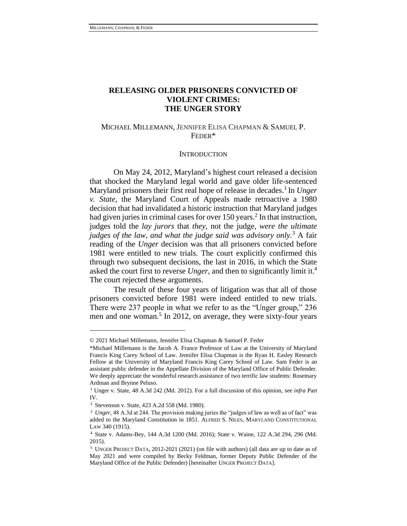# **RELEASING OLDER PRISONERS CONVICTED OF VIOLENT CRIMES: THE UNGER STORY**

## MICHAEL MILLEMANN, JENNIFER ELISA CHAPMAN & SAMUEL P. FEDER\*

#### <span id="page-1-1"></span>**INTRODUCTION**

On May 24, 2012, Maryland's highest court released a decision that shocked the Maryland legal world and gave older life-sentenced Maryland prisoners their first real hope of release in decades.<sup>1</sup> In *Unger v. State*, the Maryland Court of Appeals made retroactive a 1980 decision that had invalidated a historic instruction that Maryland judges had given juries in criminal cases for over  $150$  years.<sup>2</sup> In that instruction, judges told the *lay jurors* that *they*, not the judge, *were the ultimate judges of the law, and what the judge said was advisory only.*<sup>3</sup> A fair reading of the *Unger* decision was that all prisoners convicted before 1981 were entitled to new trials. The court explicitly confirmed this through two subsequent decisions, the last in 2016, in which the State asked the court first to reverse *Unger*, and then to significantly limit it.<sup>4</sup> The court rejected these arguments.

The result of these four years of litigation was that all of those prisoners convicted before 1981 were indeed entitled to new trials. There were 237 people in what we refer to as the "Unger group," 236 men and one woman.<sup>5</sup> In 2012, on average, they were sixty-four years

<span id="page-1-0"></span><sup>© 2021</sup> Michael Millemann, Jennifer Elisa Chapman & Samuel P. Feder

<sup>\*</sup>Michael Millemann is the Jacob A. France Professor of Law at the University of Maryland Francis King Carey School of Law. Jennifer Elisa Chapman is the Ryan H. Easley Research Fellow at the University of Maryland Francis King Carey School of Law. Sam Feder is an assistant public defender in the Appellate Division of the Maryland Office of Public Defender. We deeply appreciate the wonderful research assistance of two terrific law students: Rosemary Ardman and Brynne Peluso.

<sup>1</sup> Unger v. State, 48 A.3d 242 (Md. 2012). For a full discussion of this opinion, see *infra* Part IV.

<sup>2</sup> Stevenson v. State, 423 A.2d 558 (Md. 1980).

<sup>&</sup>lt;sup>3</sup> *Unger*, 48 A.3d at 244. The provision making juries the "judges of law as well as of fact" was added to the Maryland Constitution in 1851. ALFRED S. NILES, MARYLAND CONSTITUTIONAL LAW 340 (1915).

<sup>4</sup> State v. Adams-Bey, 144 A.3d 1200 (Md. 2016); State v. Waine, 122 A.3d 294, 296 (Md. 2015).

<sup>5</sup> UNGER PROJECT DATA, 2012-2021 (2021) (on file with authors) (all data are up to date as of May 2021 and were compiled by Becky Feldman, former Deputy Public Defender of the Maryland Office of the Public Defender) [hereinafter UNGER PROJECT DATA].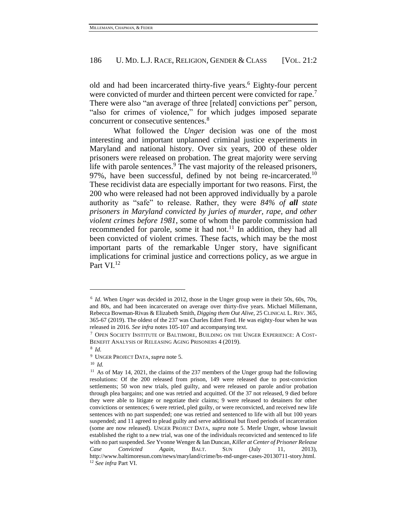old and had been incarcerated thirty-five years.<sup>6</sup> Eighty-four percent were convicted of murder and thirteen percent were convicted for rape.<sup>7</sup> There were also "an average of three [related] convictions per" person, "also for crimes of violence," for which judges imposed separate concurrent or consecutive sentences.<sup>8</sup>

What followed the *Unger* decision was one of the most interesting and important unplanned criminal justice experiments in Maryland and national history. Over six years, 200 of these older prisoners were released on probation. The great majority were serving life with parole sentences. $9$  The vast majority of the released prisoners, 97%, have been successful, defined by not being re-incarcerated.<sup>10</sup> These recidivist data are especially important for two reasons. First, the 200 who were released had not been approved individually by a parole authority as "safe" to release. Rather, they were *84% of all state prisoners in Maryland convicted by juries of murder, rape, and other violent crimes before 1981*, some of whom the parole commission had recommended for parole, some it had not.<sup>11</sup> In addition, they had all been convicted of violent crimes. These facts, which may be the most important parts of the remarkable Unger story, have significant implications for criminal justice and corrections policy, as we argue in Part VI.<sup>12</sup>

<span id="page-2-0"></span><sup>6</sup> *Id*. When *Unger* was decided in 2012, those in the Unger group were in their 50s, 60s, 70s, and 80s, and had been incarcerated on average over thirty-five years. Michael Millemann, Rebecca Bowman-Rivas & Elizabeth Smith, *Digging them Out Alive*, 25 CLINICAL L. REV. 365, 365-67 (2019). The oldest of the 237 was Charles Edret Ford. He was eighty-four when he was released in 2016. *See infra* note[s 105](#page-17-0)[-107](#page-17-1) and accompanying text.

<sup>7</sup> OPEN SOCIETY INSTITUTE OF BALTIMORE, BUILDING ON THE UNGER EXPERIENCE: A COST-BENEFIT ANALYSIS OF RELEASING AGING PRISONERS 4 (2019).

<sup>8</sup> *Id.*

<sup>9</sup> UNGER PROJECT DATA, *supra* note [5.](#page-1-0)

<sup>10</sup> *Id.*

<sup>&</sup>lt;sup>11</sup> As of May 14, 2021, the claims of the 237 members of the Unger group had the following resolutions: Of the 200 released from prison, 149 were released due to post-conviction settlements; 50 won new trials, pled guilty, and were released on parole and/or probation through plea bargains; and one was retried and acquitted. Of the 37 not released, 9 died before they were able to litigate or negotiate their claims; 9 were released to detainers for other convictions or sentences; 6 were retried, pled guilty, or were reconvicted, and received new life sentences with no part suspended; one was retried and sentenced to life with all but 100 years suspended; and 11 agreed to plead guilty and serve additional but fixed periods of incarceration (some are now released). UNGER PROJECT DATA, *supra* note [5.](#page-1-0) Merle Unger, whose lawsuit established the right to a new trial, was one of the individuals reconvicted and sentenced to life with no part suspended. *See* Yvonne Wenger & Ian Duncan, *Killer at Center of Prisoner Release Case Convicted Again*, BALT. SUN (July 11, 2013), http://www.baltimoresun.com/news/maryland/crime/bs-md-unger-cases-20130711-story.html. <sup>12</sup> *See infra* Part VI.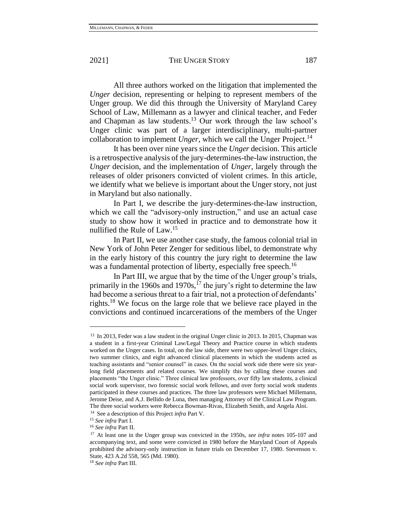All three authors worked on the litigation that implemented the *Unger* decision, representing or helping to represent members of the Unger group. We did this through the University of Maryland Carey School of Law, Millemann as a lawyer and clinical teacher, and Feder and Chapman as law students.<sup>13</sup> Our work through the law school's Unger clinic was part of a larger interdisciplinary, multi-partner collaboration to implement *Unger*, which we call the Unger Project.<sup>14</sup>

It has been over nine years since the *Unger* decision. This article is a retrospective analysis of the jury-determines-the-law instruction, the *Unger* decision, and the implementation of *Unger*, largely through the releases of older prisoners convicted of violent crimes. In this article, we identify what we believe is important about the Unger story, not just in Maryland but also nationally.

In Part I, we describe the jury-determines-the-law instruction, which we call the "advisory-only instruction," and use an actual case study to show how it worked in practice and to demonstrate how it nullified the Rule of Law.<sup>15</sup>

In Part II, we use another case study, the famous colonial trial in New York of John Peter Zenger for seditious libel, to demonstrate why in the early history of this country the jury right to determine the law was a fundamental protection of liberty, especially free speech.<sup>16</sup>

In Part III, we argue that by the time of the Unger group's trials, primarily in the 1960s and 1970s,  $^{17}$  the jury's right to determine the law had become a serious threat to a fair trial, not a protection of defendants' rights.<sup>18</sup> We focus on the large role that we believe race played in the convictions and continued incarcerations of the members of the Unger

<sup>&</sup>lt;sup>13</sup> In 2013, Feder was a law student in the original Unger clinic in 2013. In 2015, Chapman was a student in a first-year Criminal Law/Legal Theory and Practice course in which students worked on the Unger cases. In total, on the law side, there were two upper-level Unger clinics, two summer clinics, and eight advanced clinical placements in which the students acted as teaching assistants and "senior counsel" in cases. On the social work side there were six yearlong field placements and related courses. We simplify this by calling these courses and placements "the Unger clinic." Three clinical law professors, over fifty law students, a clinical social work supervisor, two forensic social work fellows, and over forty social work students participated in these courses and practices. The three law professors were Michael Millemann, Jerome Deise, and A.J. Bellido de Luna, then managing Attorney of the Clinical Law Program. The three social workers were Rebecca Bowman-Rivas, Elizabeth Smith, and Angela Aloi.

<sup>14</sup> See a description of this Project *infra* Part V.

<sup>15</sup> *See infra* Part I.

<sup>16</sup> *See infra* Part II.

<sup>17</sup> At least one in the Unger group was convicted in the 1950s, *see infra* notes [105](#page-17-0)[-107](#page-17-1) and accompanying text, and some were convicted in 1980 before the Maryland Court of Appeals prohibited the advisory-only instruction in future trials on December 17, 1980. Stevenson v. State, 423 A.2d 558, 565 (Md. 1980).

<sup>18</sup> *See infra* Part III.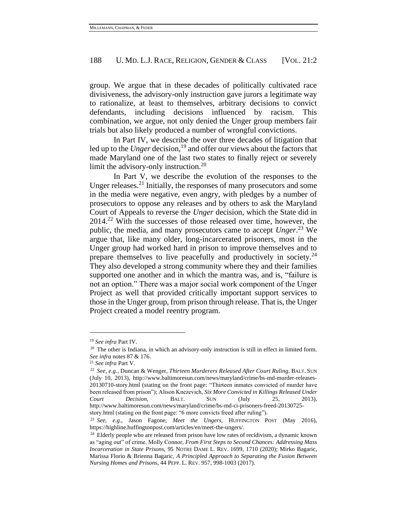group. We argue that in these decades of politically cultivated race divisiveness, the advisory-only instruction gave jurors a legitimate way to rationalize, at least to themselves, arbitrary decisions to convict defendants, including decisions influenced by racism. This combination, we argue, not only denied the Unger group members fair trials but also likely produced a number of wrongful convictions.

In Part IV, we describe the over three decades of litigation that led up to the *Unger* decision,<sup>19</sup> and offer our views about the factors that made Maryland one of the last two states to finally reject or severely limit the advisory-only instruction.<sup>20</sup>

<span id="page-4-0"></span>In Part V, we describe the evolution of the responses to the Unger releases.<sup>21</sup> Initially, the responses of many prosecutors and some in the media were negative, even angry, with pledges by a number of prosecutors to oppose any releases and by others to ask the Maryland Court of Appeals to reverse the *Unger* decision, which the State did in 2014.<sup>22</sup> With the successes of those released over time, however, the public, the media, and many prosecutors came to accept *Unger*. <sup>23</sup> We argue that, like many older, long-incarcerated prisoners, most in the Unger group had worked hard in prison to improve themselves and to prepare themselves to live peacefully and productively in society.<sup>24</sup> They also developed a strong community where they and their families supported one another and in which the mantra was, and is, "failure is not an option." There was a major social work component of the Unger Project as well that provided critically important support services to those in the Unger group, from prison through release. That is, the Unger Project created a model reentry program.

<sup>19</sup> *See infra* Part IV.

<sup>&</sup>lt;sup>20</sup> The other is Indiana, in which an advisory-only instruction is still in effect in limited form. *See infra* note[s 87](#page-14-0) & [176.](#page-31-0)

<sup>21</sup> *See infra* Part V.

<sup>22</sup> *See, e.g.*, Duncan & Wenger, *Thirteen Murderers Released After Court Ruling*, BALT. SUN (July 10, 2013), http://www.baltimoresun.com/news/maryland/crime/bs-md-murder-releases-20130710-story.html (stating on the front page: "Thirteen inmates convicted of murder have been released from prison"); Alison Knezevich, *Six More Convicted in Killings Released Under Court Decision*, BALT. SUN (July 25, 2013), http://www.baltimoresun.com/news/maryland/crime/bs-md-ci-prisoners-freed-20130725 story.html (stating on the front page: "6 more convicts freed after ruling").

<sup>23</sup> *See, e.g.*, Jason Fagone, *Meet the Ungers*, HUFFINGTON POST (May 2016), https://highline.huffingtonpost.com/articles/en/meet-the-ungers/.

<sup>&</sup>lt;sup>24</sup> Elderly people who are released from prison have low rates of recidivism, a dynamic known as "aging out" of crime. Molly Connor, *From First Steps to Second Chances: Addressing Mass Incarceration in State Prisons*, 95 NOTRE DAME L. REV. 1699, 1710 (2020); Mirko Bagaric, Marissa Florio & Brienna Bagaric*, A Principled Approach to Separating the Fusion Between Nursing Homes and Prisons*, 44 PEPP. L. REV. 957, 998-1003 (2017).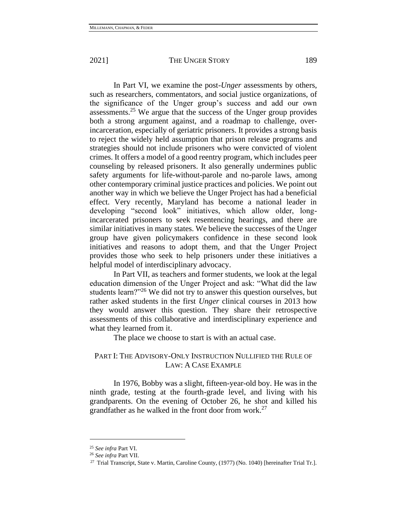In Part VI, we examine the post-*Unger* assessments by others, such as researchers, commentators, and social justice organizations, of the significance of the Unger group's success and add our own assessments.<sup>25</sup> We argue that the success of the Unger group provides both a strong argument against, and a roadmap to challenge, overincarceration, especially of geriatric prisoners. It provides a strong basis to reject the widely held assumption that prison release programs and strategies should not include prisoners who were convicted of violent crimes. It offers a model of a good reentry program, which includes peer counseling by released prisoners. It also generally undermines public safety arguments for life-without-parole and no-parole laws, among other contemporary criminal justice practices and policies. We point out another way in which we believe the Unger Project has had a beneficial effect. Very recently, Maryland has become a national leader in developing "second look" initiatives, which allow older, longincarcerated prisoners to seek resentencing hearings, and there are similar initiatives in many states. We believe the successes of the Unger group have given policymakers confidence in these second look initiatives and reasons to adopt them, and that the Unger Project provides those who seek to help prisoners under these initiatives a helpful model of interdisciplinary advocacy.

In Part VII, as teachers and former students, we look at the legal education dimension of the Unger Project and ask: "What did the law students learn?"<sup>26</sup> We did not try to answer this question ourselves, but rather asked students in the first *Unger* clinical courses in 2013 how they would answer this question. They share their retrospective assessments of this collaborative and interdisciplinary experience and what they learned from it.

The place we choose to start is with an actual case.

# PART I: THE ADVISORY-ONLY INSTRUCTION NULLIFIED THE RULE OF LAW: A CASE EXAMPLE

In 1976, Bobby was a slight, fifteen-year-old boy. He was in the ninth grade, testing at the fourth-grade level, and living with his grandparents. On the evening of October 26, he shot and killed his grandfather as he walked in the front door from work.<sup>27</sup>

<sup>25</sup> *See infra* Part VI.

<sup>26</sup> *See infra* Part VII.

<sup>&</sup>lt;sup>27</sup> Trial Transcript, State v. Martin, Caroline County, (1977) (No. 1040) [hereinafter Trial Tr.].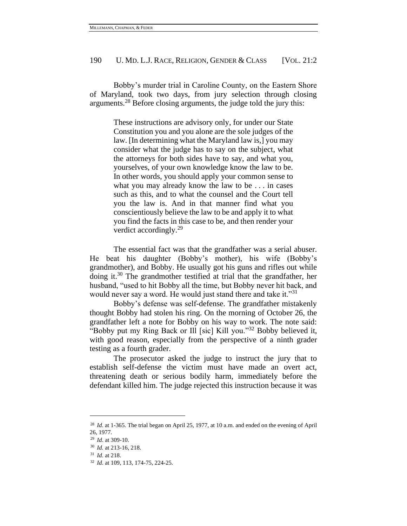Bobby's murder trial in Caroline County, on the Eastern Shore of Maryland, took two days, from jury selection through closing arguments.<sup>28</sup> Before closing arguments, the judge told the jury this:

> These instructions are advisory only, for under our State Constitution you and you alone are the sole judges of the law. [In determining what the Maryland law is,] you may consider what the judge has to say on the subject, what the attorneys for both sides have to say, and what you, yourselves, of your own knowledge know the law to be. In other words, you should apply your common sense to what you may already know the law to be . . . in cases such as this, and to what the counsel and the Court tell you the law is. And in that manner find what you conscientiously believe the law to be and apply it to what you find the facts in this case to be, and then render your verdict accordingly. $^{29}$

The essential fact was that the grandfather was a serial abuser. He beat his daughter (Bobby's mother), his wife (Bobby's grandmother), and Bobby. He usually got his guns and rifles out while doing it.<sup>30</sup> The grandmother testified at trial that the grandfather, her husband, "used to hit Bobby all the time, but Bobby never hit back, and would never say a word. He would just stand there and take it."<sup>31</sup>

Bobby's defense was self-defense. The grandfather mistakenly thought Bobby had stolen his ring. On the morning of October 26, the grandfather left a note for Bobby on his way to work. The note said: "Bobby put my Ring Back or Ill [sic] Kill you."<sup>32</sup> Bobby believed it, with good reason, especially from the perspective of a ninth grader testing as a fourth grader.

The prosecutor asked the judge to instruct the jury that to establish self-defense the victim must have made an overt act, threatening death or serious bodily harm, immediately before the defendant killed him. The judge rejected this instruction because it was

<sup>&</sup>lt;sup>28</sup> *Id.* at 1-365. The trial began on April 25, 1977, at 10 a.m. and ended on the evening of April 26, 1977.

<sup>29</sup> *Id*. at 309-10.

<sup>30</sup> *Id.* at 213-16, 218.

<sup>31</sup> *Id*. at 218.

<sup>32</sup> *Id*. at 109, 113, 174-75, 224-25.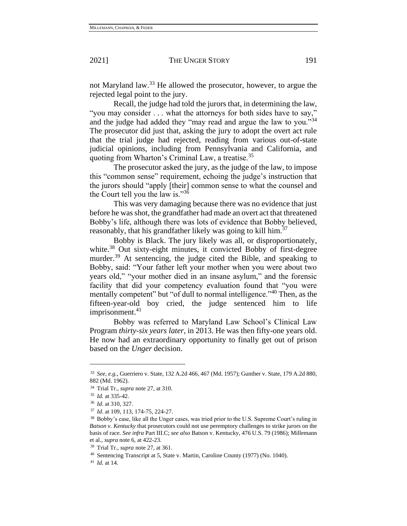not Maryland law.<sup>33</sup> He allowed the prosecutor, however, to argue the rejected legal point to the jury.

Recall, the judge had told the jurors that, in determining the law, "you may consider . . . what the attorneys for both sides have to say," and the judge had added they "may read and argue the law to you."<sup>34</sup> The prosecutor did just that, asking the jury to adopt the overt act rule that the trial judge had rejected, reading from various out-of-state judicial opinions, including from Pennsylvania and California, and quoting from Wharton's Criminal Law, a treatise.<sup>35</sup>

The prosecutor asked the jury, as the judge of the law, to impose this "common sense" requirement, echoing the judge's instruction that the jurors should "apply [their] common sense to what the counsel and the Court tell you the law is."<sup>36</sup>

This was very damaging because there was no evidence that just before he was shot, the grandfather had made an overt act that threatened Bobby's life, although there was lots of evidence that Bobby believed, reasonably, that his grandfather likely was going to kill him.<sup>37</sup>

Bobby is Black. The jury likely was all, or disproportionately, white.<sup>38</sup> Out sixty-eight minutes, it convicted Bobby of first-degree murder.<sup>39</sup> At sentencing, the judge cited the Bible, and speaking to Bobby, said: "Your father left your mother when you were about two years old," "your mother died in an insane asylum," and the forensic facility that did your competency evaluation found that "you were mentally competent" but "of dull to normal intelligence."<sup>40</sup> Then, as the fifteen-year-old boy cried, the judge sentenced him to life imprisonment.<sup>41</sup>

Bobby was referred to Maryland Law School's Clinical Law Program *thirty-six years later*, in 2013. He was then fifty-one years old. He now had an extraordinary opportunity to finally get out of prison based on the *Unger* decision.

<sup>33</sup> *See, e.g.*, Guerriero v. State, 132 A.2d 466, 467 (Md. 1957); Gunther v. State, 179 A.2d 880, 882 (Md. 1962).

<sup>34</sup> Trial Tr., *supra* note 27, at 310.

<sup>35</sup> *Id.* at 335-42.

<sup>36</sup> *Id*. at 310, 327.

<sup>37</sup> *Id*. at 109, 113, 174-75, 224-27.

<sup>38</sup> Bobby's case, like all the Unger cases, was tried prior to the U.S. Supreme Court's ruling in *Batson v. Kentucky* that prosecutors could not use peremptory challenges to strike jurors on the basis of race. *See infra* Part III.C; *see also* Batson v. Kentucky, 476 U.S. 79 (1986); Millemann et al., *supra* note 6, at 422-23.

<sup>39</sup> Trial Tr., *supra* note 27, at 361.

<sup>40</sup> Sentencing Transcript at 5, State v. Martin, Caroline County (1977) (No. 1040).

<sup>41</sup> *Id.* at 14.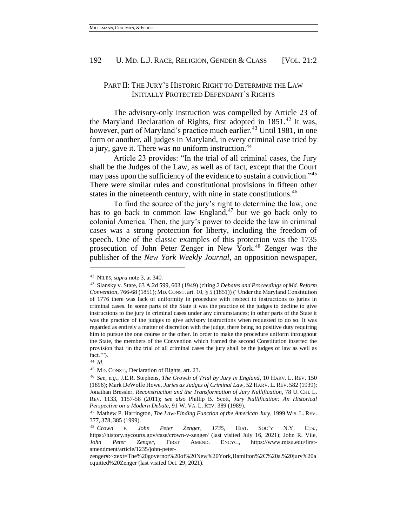### PART II: THE JURY'S HISTORIC RIGHT TO DETERMINE THE LAW INITIALLY PROTECTED DEFENDANT'S RIGHTS

The advisory-only instruction was compelled by Article 23 of the Maryland Declaration of Rights, first adopted in  $1851<sup>42</sup>$  It was, however, part of Maryland's practice much earlier.<sup>43</sup> Until 1981, in one form or another, all judges in Maryland, in every criminal case tried by a jury, gave it. There was no uniform instruction.<sup>44</sup>

Article 23 provides: "In the trial of all criminal cases, the Jury shall be the Judges of the Law, as well as of fact, except that the Court may pass upon the sufficiency of the evidence to sustain a conviction.<sup>345</sup> There were similar rules and constitutional provisions in fifteen other states in the nineteenth century, with nine in state constitutions.<sup>46</sup>

To find the source of the jury's right to determine the law, one has to go back to common law England, $47$  but we go back only to colonial America. Then, the jury's power to decide the law in criminal cases was a strong protection for liberty, including the freedom of speech. One of the classic examples of this protection was the 1735 prosecution of John Peter Zenger in New York.<sup>48</sup> Zenger was the publisher of the *New York Weekly Journal*, an opposition newspaper,

<span id="page-8-0"></span><sup>42</sup> NILES, *supra* note [3,](#page-1-1) at 340.

<sup>43</sup> Slansky v. State, 63 A.2d 599, 603 (1949) (citing *2 Debates and Proceedings of Md. Reform Convention*, 766-68 (1851); MD.CONST. art. 10, § 5 (1851)) ("Under the Maryland Constitution of 1776 there was lack of uniformity in procedure with respect to instructions to juries in criminal cases. In some parts of the State it was the practice of the judges to decline to give instructions to the jury in criminal cases under any circumstances; in other parts of the State it was the practice of the judges to give advisory instructions when requested to do so. It was regarded as entirely a matter of discretion with the judge, there being no positive duty requiring him to pursue the one course or the other. In order to make the procedure uniform throughout the State, the members of the Convention which framed the second Constitution inserted the provision that 'in the trial of all criminal cases the jury shall be the judges of law as well as fact.'").

<sup>44</sup> *Id.*

<sup>45</sup> MD. CONST., Declaration of Rights, art. 23.

<sup>46</sup> *See, e.g.*, J.E.R. Stephens, *The Growth of Trial by Jury in England*, 10 HARV. L. REV. 150 (1896); Mark DeWolfe Howe, *Juries as Judges of Criminal Law*, 52 HARV. L. REV. 582 (1939); Jonathan Bressler, *Reconstruction and the Transformation of Jury Nullification*, 78 U. CHI. L. REV. 1133, 1157-58 (2011); *see also* Phillip B. Scott, *Jury Nullification: An Historical Perspective on a Modern Debate*, 91 W. VA. L. REV. 389 (1989).

<sup>47</sup> Mathew P. Harrington, *The Law-Finding Function of the American Jury*, 1999 WIS. L. REV. 377, 378, 385 (1999).

<sup>48</sup> *Crown v. John Peter Zenger, 1735*, HIST. SOC'Y N.Y. CTS., https://history.nycourts.gov/case/crown-v-zenger/ (last visited July 16, 2021); John R. Vile, *John Peter Zenger*, FIRST AMEND. ENCYC., https://www.mtsu.edu/firstamendment/article/1235/john-peter-

zenger#:~:text=The%20governor%20of%20New%20York,Hamilton%2C%20a.%20jury%20a cquitted%20Zenger (last visited Oct. 29, 2021).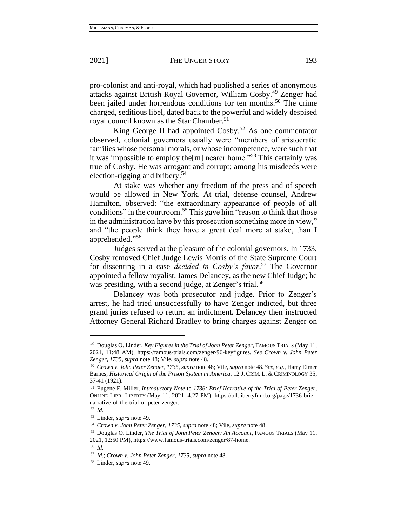pro-colonist and anti-royal, which had published a series of anonymous attacks against British Royal Governor, William Cosby.<sup>49</sup> Zenger had been jailed under horrendous conditions for ten months.<sup>50</sup> The crime charged, seditious libel, dated back to the powerful and widely despised royal council known as the Star Chamber.<sup>51</sup>

King George II had appointed  $Cosby$ <sup>52</sup> As one commentator observed, colonial governors usually were "members of aristocratic families whose personal morals, or whose incompetence, were such that it was impossible to employ the [m] nearer home."<sup>53</sup> This certainly was true of Cosby. He was arrogant and corrupt; among his misdeeds were election-rigging and bribery.<sup>54</sup>

At stake was whether any freedom of the press and of speech would be allowed in New York. At trial, defense counsel, Andrew Hamilton, observed: "the extraordinary appearance of people of all conditions" in the courtroom.<sup>55</sup> This gave him "reason to think that those in the administration have by this prosecution something more in view," and "the people think they have a great deal more at stake, than I apprehended."<sup>56</sup>

Judges served at the pleasure of the colonial governors. In 1733, Cosby removed Chief Judge Lewis Morris of the State Supreme Court for dissenting in a case *decided in Cosby's favor*. <sup>57</sup> The Governor appointed a fellow royalist, James Delancey, as the new Chief Judge; he was presiding, with a second judge, at Zenger's trial.<sup>58</sup>

Delancey was both prosecutor and judge. Prior to Zenger's arrest, he had tried unsuccessfully to have Zenger indicted, but three grand juries refused to return an indictment. Delancey then instructed Attorney General Richard Bradley to bring charges against Zenger on

<sup>49</sup> Douglas O. Linder, *Key Figures in the Trial of John Peter Zenger*, FAMOUS TRIALS (May 11, 2021, 11:48 AM), https://famous-trials.com/zenger/96-keyfigures. *See Crown v. John Peter Zenger, 1735*, *supra* note [48;](#page-8-0) Vile, *supra* not[e 48.](#page-8-0)

<sup>50</sup> *Crown v. John Peter Zenger*, *1735*, *supra* note [48;](#page-8-0) Vile, *supra* note 48. *See, e.g.*, Harry Elmer Barnes, *Historical Origin of the Prison System in America*, 12 J. CRIM. L. & CRIMINOLOGY 35, 37-41 (1921).

<sup>51</sup> Eugene F. Miller, *Introductory Note* to *1736: Brief Narrative of the Trial of Peter Zenger*, ONLINE LIBR. LIBERTY (May 11, 2021, 4:27 PM), https://oll.libertyfund.org/page/1736-briefnarrative-of-the-trial-of-peter-zenger.

<sup>52</sup> *Id.*

<sup>53</sup> Linder, *supra* note 49.

<sup>54</sup> *Crown v. John Peter Zenger*, *1735*, *supra* note 48; Vile, *supra* note 48.

<sup>55</sup> Douglas O. Linder, *The Trial of John Peter Zenger: An Account*, FAMOUS TRIALS (May 11, 2021, 12:50 PM), https://www.famous-trials.com/zenger/87-home.

<sup>56</sup> *Id.* 

<sup>57</sup> *Id.*; *Crown v. John Peter Zenger, 1735*, *supra* note 48.

<sup>58</sup> Linder, *supra* note 49.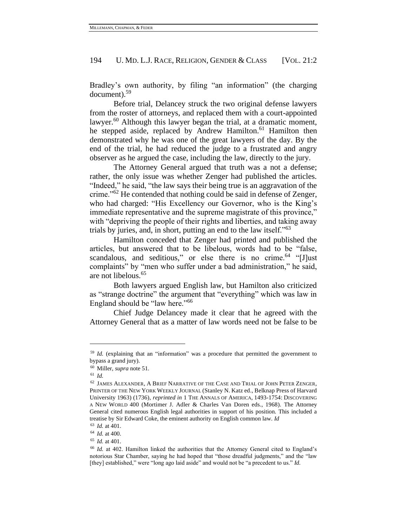Bradley's own authority, by filing "an information" (the charging document).<sup>59</sup>

Before trial, Delancey struck the two original defense lawyers from the roster of attorneys, and replaced them with a court-appointed lawyer. $60$  Although this lawyer began the trial, at a dramatic moment, he stepped aside, replaced by Andrew Hamilton.<sup>61</sup> Hamilton then demonstrated why he was one of the great lawyers of the day. By the end of the trial, he had reduced the judge to a frustrated and angry observer as he argued the case, including the law, directly to the jury.

The Attorney General argued that truth was a not a defense; rather, the only issue was whether Zenger had published the articles. "Indeed," he said, "the law says their being true is an aggravation of the crime."<sup>62</sup> He contended that nothing could be said in defense of Zenger, who had charged: "His Excellency our Governor, who is the King's immediate representative and the supreme magistrate of this province," with "depriving the people of their rights and liberties, and taking away trials by juries, and, in short, putting an end to the law itself."<sup>63</sup>

Hamilton conceded that Zenger had printed and published the articles, but answered that to be libelous, words had to be "false, scandalous, and seditious," or else there is no crime. $64$  "[J]ust] complaints" by "men who suffer under a bad administration," he said, are not libelous.<sup>65</sup>

Both lawyers argued English law, but Hamilton also criticized as "strange doctrine" the argument that "everything" which was law in England should be "law here."<sup>66</sup>

Chief Judge Delancey made it clear that he agreed with the Attorney General that as a matter of law words need not be false to be

<sup>&</sup>lt;sup>59</sup> *Id.* (explaining that an "information" was a procedure that permitted the government to bypass a grand jury).

<sup>60</sup> Miller, *supra* note 51.

<sup>61</sup> *Id.*

<sup>62</sup> JAMES ALEXANDER, A BRIEF NARRATIVE OF THE CASE AND TRIAL OF JOHN PETER ZENGER, PRINTER OF THE NEW YORK WEEKLY JOURNAL (Stanley N. Katz ed., Belknap Press of Harvard University 1963) (1736), *reprinted in* 1 THE ANNALS OF AMERICA, 1493-1754: DISCOVERING A NEW WORLD 400 (Mortimer J. Adler & Charles Van Doren eds., 1968). The Attorney General cited numerous English legal authorities in support of his position. This included a treatise by Sir Edward Coke, the eminent authority on English common law. *Id*

<sup>63</sup> *Id.* at 401.

<sup>64</sup> *Id.* at 400.

<sup>65</sup> *Id.* at 401.

<sup>66</sup> *Id.* at 402. Hamilton linked the authorities that the Attorney General cited to England's notorious Star Chamber, saying he had hoped that "those dreadful judgments," and the "law [they] established," were "long ago laid aside" and would not be "a precedent to us." *Id.*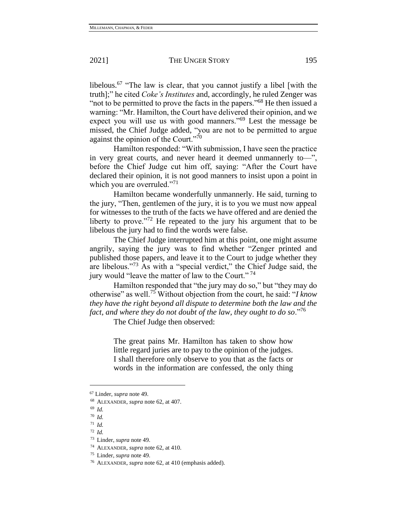libelous.<sup>67</sup> "The law is clear, that you cannot justify a libel [with the truth];" he cited *Coke's Institutes* and, accordingly, he ruled Zenger was "not to be permitted to prove the facts in the papers."<sup>68</sup> He then issued a warning: "Mr. Hamilton, the Court have delivered their opinion, and we expect you will use us with good manners."<sup>69</sup> Lest the message be missed, the Chief Judge added, "you are not to be permitted to argue against the opinion of the Court."<sup>70</sup>

Hamilton responded: "With submission, I have seen the practice in very great courts, and never heard it deemed unmannerly to—", before the Chief Judge cut him off, saying: "After the Court have declared their opinion, it is not good manners to insist upon a point in which you are overruled."<sup>71</sup>

Hamilton became wonderfully unmannerly. He said, turning to the jury, "Then, gentlemen of the jury, it is to you we must now appeal for witnesses to the truth of the facts we have offered and are denied the liberty to prove."<sup>72</sup> He repeated to the jury his argument that to be libelous the jury had to find the words were false.

The Chief Judge interrupted him at this point, one might assume angrily, saying the jury was to find whether "Zenger printed and published those papers, and leave it to the Court to judge whether they are libelous."<sup>73</sup> As with a "special verdict," the Chief Judge said, the jury would "leave the matter of law to the Court."<sup>74</sup>

Hamilton responded that "the jury may do so," but "they may do otherwise" as well.<sup>75</sup> Without objection from the court, he said: "*I know they have the right beyond all dispute to determine both the law and the fact, and where they do not doubt of the law, they ought to do so*."<sup>76</sup>

The Chief Judge then observed:

The great pains Mr. Hamilton has taken to show how little regard juries are to pay to the opinion of the judges. I shall therefore only observe to you that as the facts or words in the information are confessed, the only thing

<sup>67</sup> Linder, *supra* note 49.

<sup>68</sup> ALEXANDER, *supra* note 62, at 407.

<sup>69</sup> *Id.*

<sup>70</sup> *Id.*

<sup>71</sup> *Id.*

<sup>72</sup> *Id.*

<sup>73</sup> Linder, *supra* note 49.

<sup>74</sup> ALEXANDER, *supra* note 62, at 410.

<sup>75</sup> Linder, *supra* note 49.

<sup>76</sup> ALEXANDER, *supra* note 62, at 410 (emphasis added).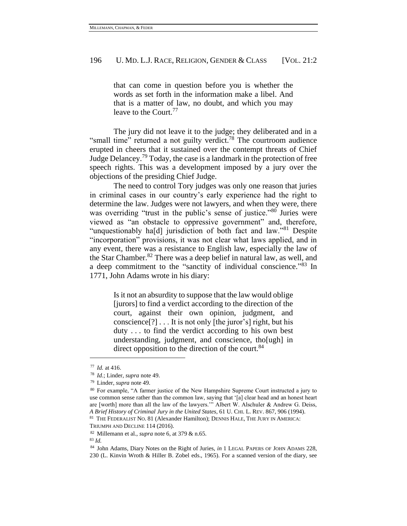that can come in question before you is whether the words as set forth in the information make a libel. And that is a matter of law, no doubt, and which you may leave to the Court.<sup>77</sup>

The jury did not leave it to the judge; they deliberated and in a "small time" returned a not guilty verdict.<sup>78</sup> The courtroom audience erupted in cheers that it sustained over the contempt threats of Chief Judge Delancey.<sup>79</sup> Today, the case is a landmark in the protection of free speech rights. This was a development imposed by a jury over the objections of the presiding Chief Judge.

The need to control Tory judges was only one reason that juries in criminal cases in our country's early experience had the right to determine the law. Judges were not lawyers, and when they were, there was overriding "trust in the public's sense of justice."<sup>80</sup> Juries were viewed as "an obstacle to oppressive government" and, therefore, "unquestionably ha[d] jurisdiction of both fact and law."<sup>81</sup> Despite "incorporation" provisions, it was not clear what laws applied, and in any event, there was a resistance to English law, especially the law of the Star Chamber. $82$  There was a deep belief in natural law, as well, and a deep commitment to the "sanctity of individual conscience."<sup>83</sup> In 1771, John Adams wrote in his diary:

> Is it not an absurdity to suppose that the law would oblige [jurors] to find a verdict according to the direction of the court, against their own opinion, judgment, and conscience[?] . . . It is not only [the juror's] right, but his duty . . . to find the verdict according to his own best understanding, judgment, and conscience, tho[ugh] in direct opposition to the direction of the court.<sup>84</sup>

<sup>77</sup> *Id.* at 416.

<sup>78</sup> *Id*.; Linder, *supra* note 49.

<sup>79</sup> Linder, *supra* note 49.

<sup>80</sup> For example, "A farmer justice of the New Hampshire Supreme Court instructed a jury to use common sense rather than the common law, saying that '[a] clear head and an honest heart are [worth] more than all the law of the lawyers.'" Albert W. Alschuler & Andrew G. Deiss, *A Brief History of Criminal Jury in the United States*, 61 U. CHI. L. REV. 867, 906 (1994). <sup>81</sup> THE FEDERALIST NO. 81 (Alexander Hamilton); DENNIS HALE, THE JURY IN AMERICA:

TRIUMPH AND DECLINE 114 (2016).

<sup>82</sup> Millemann et al., *supra* note 6, at 379 & n.65.

<sup>83</sup> *Id.*

<sup>84</sup> John Adams, Diary Notes on the Right of Juries, *in* 1 LEGAL PAPERS OF JOHN ADAMS 228, 230 (L. Kinvin Wroth & Hiller B. Zobel eds., 1965). For a scanned version of the diary, see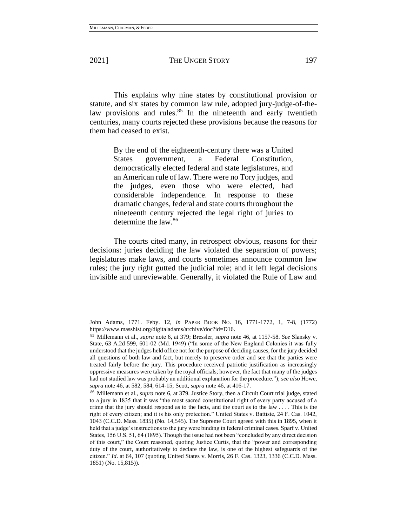This explains why nine states by constitutional provision or statute, and six states by common law rule, adopted jury-judge-of-thelaw provisions and rules.<sup>85</sup> In the nineteenth and early twentieth centuries, many courts rejected these provisions because the reasons for them had ceased to exist.

> By the end of the eighteenth-century there was a United States government, a Federal Constitution, democratically elected federal and state legislatures, and an American rule of law. There were no Tory judges, and the judges, even those who were elected, had considerable independence. In response to these dramatic changes, federal and state courts throughout the nineteenth century rejected the legal right of juries to determine the law.<sup>86</sup>

The courts cited many, in retrospect obvious, reasons for their decisions: juries deciding the law violated the separation of powers; legislatures make laws, and courts sometimes announce common law rules; the jury right gutted the judicial role; and it left legal decisions invisible and unreviewable. Generally, it violated the Rule of Law and

John Adams, 1771. Feby. 12, *in* PAPER BOOK NO. 16, 1771-1772, 1, 7-8, (1772) https://www.masshist.org/digitaladams/archive/doc?id=D16.

<sup>85</sup> Millemann et al., *supra* note 6, at 379; Bressler, *supra* note 46, at 1157-58. *See* Slansky v. State, 63 A.2d 599, 601-02 (Md. 1949) ("In some of the New England Colonies it was fully understood that the judges held office not for the purpose of deciding causes, for the jury decided all questions of both law and fact, but merely to preserve order and see that the parties were treated fairly before the jury. This procedure received patriotic justification as increasingly oppressive measures were taken by the royal officials; however, the fact that many of the judges had not studied law was probably an additional explanation for the procedure."); *see also* Howe, *supra* note 46, at 582, 584, 614-15; Scott, *supra* note 46, at 416-17.

<sup>86</sup> Millemann et al., *supra* note 6, at 379. Justice Story, then a Circuit Court trial judge, stated to a jury in 1835 that it was "the most sacred constitutional right of every party accused of a crime that the jury should respond as to the facts, and the court as to the law  $\dots$ . This is the right of every citizen; and it is his only protection." United States v. Battiste, 24 F. Cas. 1042, 1043 (C.C.D. Mass. 1835) (No. 14,545). The Supreme Court agreed with this in 1895, when it held that a judge's instructions to the jury were binding in federal criminal cases. Sparf v. United States, 156 U.S. 51, 64 (1895). Though the issue had not been "concluded by any direct decision of this court," the Court reasoned, quoting Justice Curtis, that the "power and corresponding duty of the court, authoritatively to declare the law, is one of the highest safeguards of the citizen." *Id*. at 64, 107 (quoting United States v. Morris, 26 F. Cas. 1323, 1336 (C.C.D. Mass. 1851) (No. 15,815)).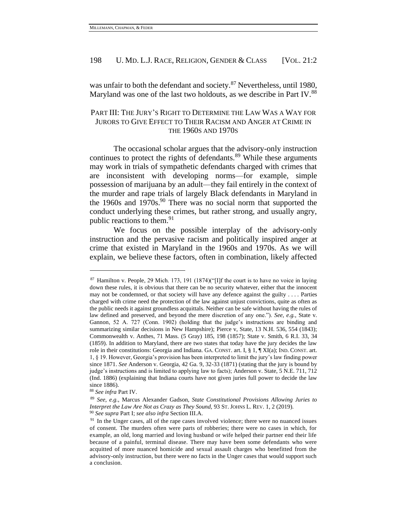<span id="page-14-0"></span>was unfair to both the defendant and society.<sup>87</sup> Nevertheless, until 1980, Maryland was one of the last two holdouts, as we describe in Part IV.<sup>88</sup>

# PART III: THE JURY'S RIGHT TO DETERMINE THE LAW WAS A WAY FOR JURORS TO GIVE EFFECT TO THEIR RACISM AND ANGER AT CRIME IN THE 1960S AND 1970S

The occasional scholar argues that the advisory-only instruction continues to protect the rights of defendants.<sup>89</sup> While these arguments may work in trials of sympathetic defendants charged with crimes that are inconsistent with developing norms—for example, simple possession of marijuana by an adult—they fail entirely in the context of the murder and rape trials of largely Black defendants in Maryland in the 1960s and 1970s.<sup>90</sup> There was no social norm that supported the conduct underlying these crimes, but rather strong, and usually angry, public reactions to them.<sup>91</sup>

We focus on the possible interplay of the advisory-only instruction and the pervasive racism and politically inspired anger at crime that existed in Maryland in the 1960s and 1970s. As we will explain, we believe these factors, often in combination, likely affected

 $87$  Hamilton v. People, 29 Mich. 173, 191 (1874)("[I]f the court is to have no voice in laying down these rules, it is obvious that there can be no security whatever, either that the innocent may not be condemned, or that society will have any defence against the guilty . . . . Parties charged with crime need the protection of the law against unjust convictions, quite as often as the public needs it against groundless acquittals. Neither can be safe without having the rules of law defined and preserved, and beyond the mere discretion of any one."). *See, e.g.*, State v. Gannon, 52 A. 727 (Conn. 1902) (holding that the judge's instructions are binding and summarizing similar decisions in New Hampshire); Pierce v, State, 13 N.H. 536, 554 (1843); Commonwealth v. Anthes, 71 Mass. (5 Gray) 185, 198 (1857); State v. Smith, 6 R.I. 33, 34 (1859). In addition to Maryland, there are two states that today have the jury decides the law role in their constitutions: Georgia and Indiana. GA. CONST. art. I, § 1, ¶ XI(a); IND. CONST. art. 1, § 19. However, Georgia's provision has been interpreted to limit the jury's law finding power since 1871. *See* Anderson v. Georgia, 42 Ga. 9, 32-33 (1871) (stating that the jury is bound by judge's instructions and is limited to applying law to facts); Anderson v. State, 5 N.E. 711, 712 (Ind. 1886) (explaining that Indiana courts have not given juries full power to decide the law since 1886).

<sup>88</sup> *See infra* Part IV.

<sup>89</sup> *See, e.g.*, Marcus Alexander Gadson, *State Constitutional Provisions Allowing Juries to Interpret the Law Are Not as Crazy as They Sound,* 93 ST. JOHNS L. REV. 1, 2 (2019).

<sup>90</sup> *See supra* Part I; *see also infra* Section III.A.

 $91$  In the Unger cases, all of the rape cases involved violence; there were no nuanced issues of consent. The murders often were parts of robberies; there were no cases in which, for example, an old, long married and loving husband or wife helped their partner end their life because of a painful, terminal disease. There may have been some defendants who were acquitted of more nuanced homicide and sexual assault charges who benefitted from the advisory-only instruction, but there were no facts in the Unger cases that would support such a conclusion.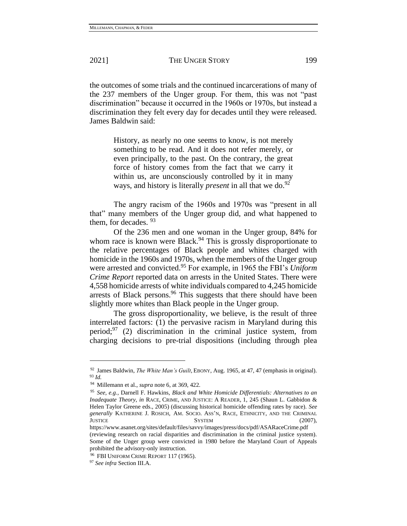the outcomes of some trials and the continued incarcerations of many of the 237 members of the Unger group. For them, this was not "past discrimination" because it occurred in the 1960s or 1970s, but instead a discrimination they felt every day for decades until they were released. James Baldwin said:

> History, as nearly no one seems to know, is not merely something to be read. And it does not refer merely, or even principally, to the past. On the contrary, the great force of history comes from the fact that we carry it within us, are unconsciously controlled by it in many ways, and history is literally *present* in all that we do.<sup>92</sup>

The angry racism of the 1960s and 1970s was "present in all that" many members of the Unger group did, and what happened to them, for decades.  $93$ 

Of the 236 men and one woman in the Unger group, 84% for whom race is known were Black.<sup>94</sup> This is grossly disproportionate to the relative percentages of Black people and whites charged with homicide in the 1960s and 1970s, when the members of the Unger group were arrested and convicted.<sup>95</sup> For example, in 1965 the FBI's *Uniform Crime Report* reported data on arrests in the United States. There were 4,558 homicide arrests of white individuals compared to 4,245 homicide arrests of Black persons. $96$  This suggests that there should have been slightly more whites than Black people in the Unger group.

The gross disproportionality, we believe, is the result of three interrelated factors: (1) the pervasive racism in Maryland during this period; $97$  (2) discrimination in the criminal justice system, from charging decisions to pre-trial dispositions (including through plea

<sup>92</sup> James Baldwin, *The White Man's Guilt*, EBONY, Aug. 1965, at 47, 47 (emphasis in original). <sup>93</sup> *Id.*

<sup>94</sup> Millemann et al., *supra* note 6, at 369, 422.

<sup>95</sup> *See, e.g.*, Darnell F. Hawkins, *Black and White Homicide Differentials: Alternatives to an Inadequate Theory*, *in* RACE, CRIME, AND JUSTICE: A READER, 1, 245 (Shaun L. Gabbidon & Helen Taylor Greene eds., 2005) (discussing historical homicide offending rates by race). *See generally* KATHERINE J. ROSICH, AM. SOCIO. ASS'N, RACE, ETHNICITY, AND THE CRIMINAL JUSTICE SYSTEM (2007),

https://www.asanet.org/sites/default/files/savvy/images/press/docs/pdf/ASARaceCrime.pdf (reviewing research on racial disparities and discrimination in the criminal justice system). Some of the Unger group were convicted in 1980 before the Maryland Court of Appeals prohibited the advisory-only instruction.

<sup>96</sup> FBI UNIFORM CRIME REPORT 117 (1965).

<sup>97</sup> *See infra* Section III.A.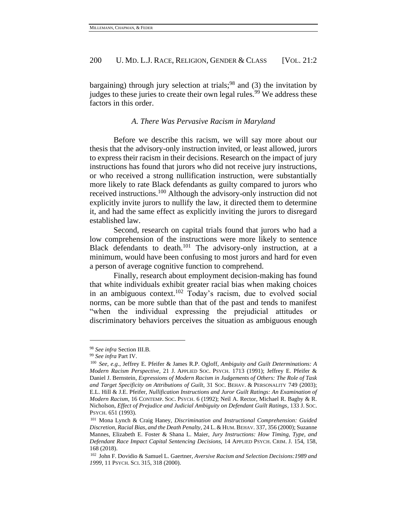bargaining) through jury selection at trials;<sup>98</sup> and (3) the invitation by judges to these juries to create their own legal rules.<sup>99</sup> We address these factors in this order.

*A. There Was Pervasive Racism in Maryland* 

Before we describe this racism, we will say more about our thesis that the advisory-only instruction invited, or least allowed, jurors to express their racism in their decisions. Research on the impact of jury instructions has found that jurors who did not receive jury instructions, or who received a strong nullification instruction, were substantially more likely to rate Black defendants as guilty compared to jurors who received instructions.<sup>100</sup> Although the advisory-only instruction did not explicitly invite jurors to nullify the law, it directed them to determine it, and had the same effect as explicitly inviting the jurors to disregard established law.

Second, research on capital trials found that jurors who had a low comprehension of the instructions were more likely to sentence Black defendants to death.<sup>101</sup> The advisory-only instruction, at a minimum, would have been confusing to most jurors and hard for even a person of average cognitive function to comprehend.

Finally, research about employment decision-making has found that white individuals exhibit greater racial bias when making choices in an ambiguous context.<sup>102</sup> Today's racism, due to evolved social norms, can be more subtle than that of the past and tends to manifest "when the individual expressing the prejudicial attitudes or discriminatory behaviors perceives the situation as ambiguous enough

<sup>98</sup> *See infra* Section III.B.

<sup>99</sup> *See infra* Part IV.

<sup>100</sup> *See, e.g.*, Jeffrey E. Pfeifer & James R.P. Ogloff, *Ambiguity and Guilt Determinations: A Modern Racism Perspective*, 21 J. APPLIED SOC. PSYCH. 1713 (1991); Jeffrey E. Pfeifer & Daniel J. Bernstein, *Expressions of Modern Racism in Judgements of Others: The Role of Task and Target Specificity on Attributions of Guilt*, 31 SOC. BEHAV. & PERSONALITY 749 (2003); E.L. Hill & J.E. Pfeifer, *Nullification Instructions and Juror Guilt Ratings: An Examination of Modern Racism*, 16 CONTEMP. SOC. PSYCH. 6 (1992); Neil A. Rector, Michael R. Bagby & R. Nicholson, *Effect of Prejudice and Judicial Ambiguity on Defendant Guilt Ratings*, 133 J. SOC. PSYCH. 651 (1993).

<sup>101</sup> Mona Lynch & Craig Haney, *Discrimination and Instructional Comprehension: Guided Discretion, Racial Bias, and the Death Penalty*, 24 L. &HUM.BEHAV. 337, 356 (2000); Suzanne Mannes, Elizabeth E. Foster & Shana L. Maier, *Jury Instructions: How Timing, Type, and Defendant Race Impact Capital Sentencing Decisions*, 14 APPLIED PSYCH. CRIM. J. 154, 158, 168 (2018).

<sup>102</sup> John F. Dovidio & Samuel L. Gaertner, *Aversive Racism and Selection Decisions:1989 and 1999*, 11 PSYCH. SCI. 315, 318 (2000).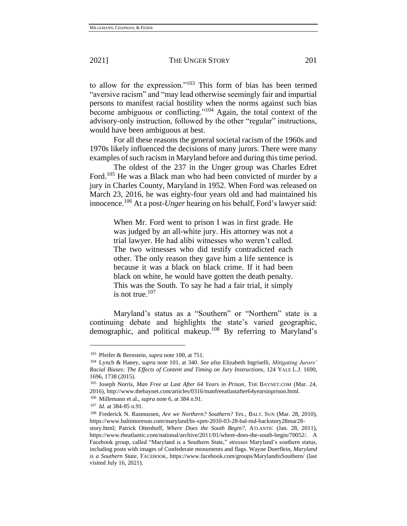to allow for the expression."<sup>103</sup> This form of bias has been termed "aversive racism" and "may lead otherwise seemingly fair and impartial persons to manifest racial hostility when the norms against such bias become ambiguous or conflicting."<sup>104</sup> Again, the total context of the advisory-only instruction, followed by the other "regular" instructions, would have been ambiguous at best.

For all these reasons the general societal racism of the 1960s and 1970s likely influenced the decisions of many jurors. There were many examples of such racism in Maryland before and during this time period.

<span id="page-17-0"></span>The oldest of the 237 in the Unger group was Charles Edret Ford.<sup>105</sup> He was a Black man who had been convicted of murder by a jury in Charles County, Maryland in 1952. When Ford was released on March 23, 2016, he was eighty-four years old and had maintained his innocence.<sup>106</sup> At a post-*Unger* hearing on his behalf, Ford's lawyer said:

> When Mr. Ford went to prison I was in first grade. He was judged by an all-white jury. His attorney was not a trial lawyer. He had alibi witnesses who weren't called. The two witnesses who did testify contradicted each other. The only reason they gave him a life sentence is because it was a black on black crime. If it had been black on white, he would have gotten the death penalty. This was the South. To say he had a fair trial, it simply is not true. $107$

<span id="page-17-1"></span>Maryland's status as a "Southern" or "Northern" state is a continuing debate and highlights the state's varied geographic, demographic, and political makeup.<sup>108</sup> By referring to Maryland's

<sup>103</sup> Pfeifer & Bernstein, *supra* note 100, at 751.

<sup>104</sup> Lynch & Haney, *supra* note 101, at 340. *See also* Elizabeth Ingriselli, *Mitigating Jurors' Racial Biases: The Effects of Content and Timing on Jury Instructions*, 124 YALE L.J. 1690, 1696, 1738 (2015).

<sup>105</sup> Joseph Norris, *Man Free at Last After 64 Years in Prison*, THE BAYNET.COM (Mar. 24, 2016), http://www.thebaynet.com/articles/0316/manfreeatlastafter64yearsinprison.html.

<sup>106</sup> Millemann et al., *supra* note 6, at 384 n.91.

<sup>107</sup> *Id.* at 384-85 n.91.

<sup>108</sup> Frederick N. Rasmussen, *Are we Northern? Southern? Yes.*, BALT. SUN (Mar. 28, 2010), https://www.baltimoresun.com/maryland/bs-xpm-2010-03-28-bal-md-backstory28mar28-

story.html; Patrick Ottenhoff, *Where Does the South Begin?*, ATLANTIC (Jan. 28, 2011), https://www.theatlantic.com/national/archive/2011/01/where-does-the-south-begin/70052/. A Facebook group, called "Maryland is a Southern State," stresses Maryland's southern status, including posts with images of Confederate monuments and flags. Wayne Doerflein, *Maryland is a Southern State*, FACEBOOK, https://www.facebook.com/groups/MarylandisSouthern/ (last visited July 16, 2021).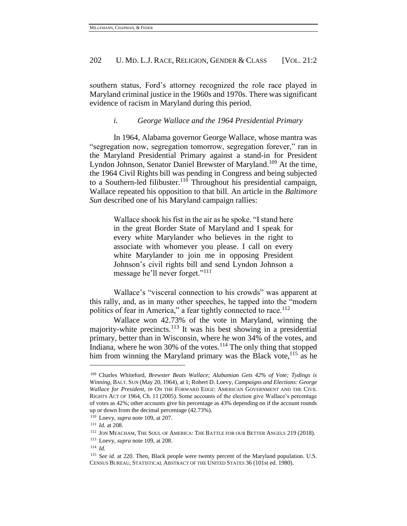southern status, Ford's attorney recognized the role race played in Maryland criminal justice in the 1960s and 1970s. There was significant evidence of racism in Maryland during this period.

<span id="page-18-0"></span>*i. George Wallace and the 1964 Presidential Primary* 

In 1964, Alabama governor George Wallace, whose mantra was "segregation now, segregation tomorrow, segregation forever," ran in the Maryland Presidential Primary against a stand-in for President Lyndon Johnson, Senator Daniel Brewster of Maryland.<sup>109</sup> At the time, the 1964 Civil Rights bill was pending in Congress and being subjected to a Southern-led filibuster.<sup>110</sup> Throughout his presidential campaign, Wallace repeated his opposition to that bill. An article in the *Baltimore Sun* described one of his Maryland campaign rallies:

> Wallace shook his fist in the air as he spoke. "I stand here in the great Border State of Maryland and I speak for every white Marylander who believes in the right to associate with whomever you please. I call on every white Marylander to join me in opposing President Johnson's civil rights bill and send Lyndon Johnson a message he'll never forget."<sup>111</sup>

Wallace's "visceral connection to his crowds" was apparent at this rally, and, as in many other speeches, he tapped into the "modern politics of fear in America," a fear tightly connected to race.<sup>112</sup>

Wallace won 42.73% of the vote in Maryland, winning the majority-white precincts.<sup>113</sup> It was his best showing in a presidential primary, better than in Wisconsin, where he won 34% of the votes, and Indiana, where he won 30% of the votes.<sup>114</sup> The only thing that stopped him from winning the Maryland primary was the Black vote, $115$  as he

<sup>109</sup> Charles Whiteford, *Brewster Beats Wallace; Alabamian Gets 42% of Vote; Tydings is Winning*, BALT. SUN (May 20, 1964), at 1; Robert D. Loevy, *Campaigns and Elections: George Wallace for President, in* ON THE FORWARD EDGE: AMERICAN GOVERNMENT AND THE CIVIL RIGHTS ACT OF 1964, Ch. 11 (2005). Some accounts of the election give Wallace's percentage of votes as 42%; other accounts give his percentage as 43% depending on if the account rounds up or down from the decimal percentage (42.73%).

<sup>110</sup> Loevy, *supra* note [109,](#page-18-0) at 207.

<sup>111</sup> *Id.* at 208.

<sup>112</sup> JON MEACHAM, THE SOUL OF AMERICA: THE BATTLE FOR OUR BETTER ANGELS 219 (2018).

<sup>113</sup> Loevy, *supra* note [109,](#page-18-0) at 208.

<sup>114</sup> *Id*.

<sup>&</sup>lt;sup>115</sup> *See id.* at 220. Then, Black people were twenty percent of the Maryland population. U.S. CENSUS BUREAU, STATISTICAL ABSTRACT OF THE UNITED STATES 36 (101st ed. 1980).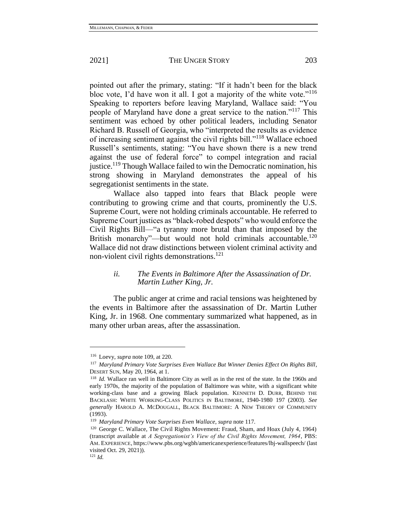pointed out after the primary, stating: "If it hadn't been for the black bloc vote, I'd have won it all. I got a majority of the white vote."<sup>116</sup> Speaking to reporters before leaving Maryland, Wallace said: "You people of Maryland have done a great service to the nation."<sup>117</sup> This sentiment was echoed by other political leaders, including Senator Richard B. Russell of Georgia, who "interpreted the results as evidence of increasing sentiment against the civil rights bill."<sup>118</sup> Wallace echoed Russell's sentiments, stating: "You have shown there is a new trend against the use of federal force" to compel integration and racial justice.<sup>119</sup> Though Wallace failed to win the Democratic nomination, his strong showing in Maryland demonstrates the appeal of his segregationist sentiments in the state.

Wallace also tapped into fears that Black people were contributing to growing crime and that courts, prominently the U.S. Supreme Court, were not holding criminals accountable. He referred to Supreme Court justices as "black-robed despots" who would enforce the Civil Rights Bill—"a tyranny more brutal than that imposed by the British monarchy"—but would not hold criminals accountable.<sup>120</sup> Wallace did not draw distinctions between violent criminal activity and non-violent civil rights demonstrations.<sup>121</sup>

# *ii. The Events in Baltimore After the Assassination of Dr. Martin Luther King, Jr.*

The public anger at crime and racial tensions was heightened by the events in Baltimore after the assassination of Dr. Martin Luther King, Jr. in 1968. One commentary summarized what happened, as in many other urban areas, after the assassination.

<sup>116</sup> Loevy, *supra* note 109, at 220.

<sup>117</sup> *Maryland Primary Vote Surprises Even Wallace But Winner Denies Effect On Rights Bill*, DESERT SUN, May 20, 1964, at 1.

<sup>118</sup> *Id.* Wallace ran well in Baltimore City as well as in the rest of the state. In the 1960s and early 1970s, the majority of the population of Baltimore was white, with a significant white working-class base and a growing Black population. KENNETH D. DURR, BEHIND THE BACKLASH: WHITE WORKING-CLASS POLITICS IN BALTIMORE, 1940-1980 197 (2003). *See generally* HAROLD A. MCDOUGALL, BLACK BALTIMORE: A NEW THEORY OF COMMUNITY (1993).

<sup>119</sup> *Maryland Primary Vote Surprises Even Wallace*, *supra* note 117.

<sup>120</sup> George C. Wallace, The Civil Rights Movement: Fraud, Sham, and Hoax (July 4, 1964) (transcript available at *A Segregationist's View of the Civil Rights Movement, 1964*, PBS: AM. EXPERIENCE, <https://www.pbs.org/wgbh/americanexperience/features/lbj-wallspeech/> (last visited Oct. 29, 2021)).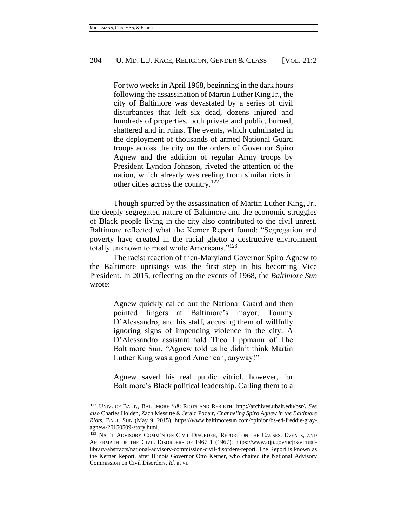For two weeks in April 1968, beginning in the dark hours following the assassination of Martin Luther King Jr., the city of Baltimore was devastated by a series of civil disturbances that left six dead, dozens injured and hundreds of properties, both private and public, burned, shattered and in ruins. The events, which culminated in the deployment of thousands of armed National Guard troops across the city on the orders of Governor Spiro Agnew and the addition of regular Army troops by President Lyndon Johnson, riveted the attention of the nation, which already was reeling from similar riots in other cities across the country.<sup>122</sup>

Though spurred by the assassination of Martin Luther King, Jr., the deeply segregated nature of Baltimore and the economic struggles of Black people living in the city also contributed to the civil unrest. Baltimore reflected what the Kerner Report found: "Segregation and poverty have created in the racial ghetto a destructive environment totally unknown to most white Americans."<sup>123</sup>

The racist reaction of then-Maryland Governor Spiro Agnew to the Baltimore uprisings was the first step in his becoming Vice President. In 2015, reflecting on the events of 1968, the *Baltimore Sun*  wrote:

> Agnew quickly called out the National Guard and then pointed fingers at Baltimore's mayor, Tommy D'Alessandro, and his staff, accusing them of willfully ignoring signs of impending violence in the city. A D'Alessandro assistant told Theo Lippmann of The Baltimore Sun, "Agnew told us he didn't think Martin Luther King was a good American, anyway!"

> Agnew saved his real public vitriol, however, for Baltimore's Black political leadership. Calling them to a

<sup>122</sup> UNIV. OF BALT., BALTIMORE '68: RIOTS AND REBIRTH, [http://archives.ubalt.edu/bsr/.](http://archives.ubalt.edu/bsr/) *See also* Charles Holden, Zach Messitte & Jerald Podair, *Channeling Spiro Agnew in the Baltimore Riots*, BALT. SUN (May 9, 2015), https://www.baltimoresun.com/opinion/bs-ed-freddie-grayagnew-20150509-story.html.

<sup>123</sup> NAT'L ADVISORY COMM'N ON CIVIL DISORDER, REPORT ON THE CAUSES, EVENTS, AND AFTERMATH OF THE CIVIL DISORDERS OF 1967 1 (1967), [https://www.ojp.gov/ncjrs/virtual](https://www.ojp.gov/ncjrs/virtual-library/abstracts/national-advisory-commission-civil-disorders-report)[library/abstracts/national-advisory-commission-civil-disorders-report.](https://www.ojp.gov/ncjrs/virtual-library/abstracts/national-advisory-commission-civil-disorders-report) The Report is known as the Kerner Report, after Illinois Governor Otto Kerner, who chaired the National Advisory Commission on Civil Disorders. *Id.* at vi.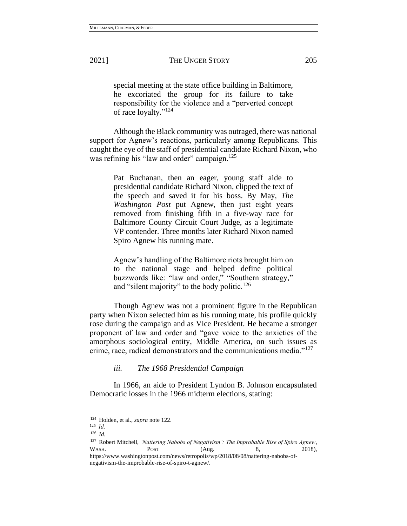special meeting at the state office building in Baltimore, he excoriated the group for its failure to take responsibility for the violence and a "perverted concept of race loyalty." 124

Although the Black community was outraged, there was national support for Agnew's reactions, particularly among Republicans. This caught the eye of the staff of presidential candidate Richard Nixon, who was refining his "law and order" campaign.<sup>125</sup>

> Pat Buchanan, then an eager, young staff aide to presidential candidate Richard Nixon, clipped the text of the speech and saved it for his boss. By May, *The Washington Post* put Agnew, then just eight years removed from finishing fifth in a five-way race for Baltimore County Circuit Court Judge, as a legitimate VP contender. Three months later Richard Nixon named Spiro Agnew his running mate.

> Agnew's handling of the Baltimore riots brought him on to the national stage and helped define political buzzwords like: "law and order," "Southern strategy," and "silent majority" to the body politic.<sup>126</sup>

Though Agnew was not a prominent figure in the Republican party when Nixon selected him as his running mate, his profile quickly rose during the campaign and as Vice President. He became a stronger proponent of law and order and "gave voice to the anxieties of the amorphous sociological entity, Middle America, on such issues as crime, race, radical demonstrators and the communications media."<sup>127</sup>

*iii. The 1968 Presidential Campaign*

In 1966, an aide to President Lyndon B. Johnson encapsulated Democratic losses in the 1966 midterm elections, stating:

<sup>124</sup> Holden, et al., *supra* note 122.

<sup>125</sup> *Id.*

<sup>126</sup> *Id*.

<sup>127</sup> Robert Mitchell, *'Nattering Nabobs of Negativism': The Improbable Rise of Spiro Agnew*, WASH. **POST** (Aug. 8, 2018), [https://www.washingtonpost.com/news/retropolis/wp/2018/08/08/nattering-nabobs-of-](https://www.washingtonpost.com/news/retropolis/wp/2018/08/08/nattering-nabobs-of-negativism-the-improbable-rise-of-spiro-t-agnew/)

[negativism-the-improbable-rise-of-spiro-t-agnew/.](https://www.washingtonpost.com/news/retropolis/wp/2018/08/08/nattering-nabobs-of-negativism-the-improbable-rise-of-spiro-t-agnew/)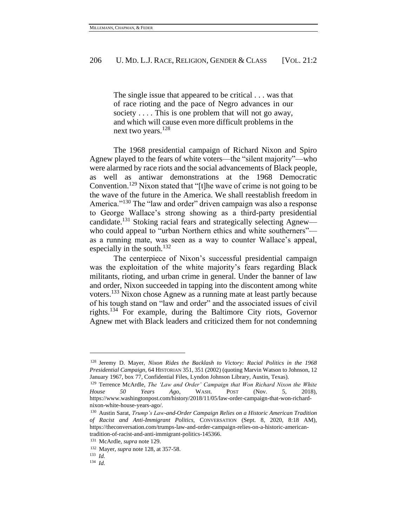The single issue that appeared to be critical . . . was that of race rioting and the pace of Negro advances in our society . . . . This is one problem that will not go away, and which will cause even more difficult problems in the next two years.<sup>128</sup>

The 1968 presidential campaign of Richard Nixon and Spiro Agnew played to the fears of white voters—the "silent majority"—who were alarmed by race riots and the social advancements of Black people, as well as antiwar demonstrations at the 1968 Democratic Convention.<sup>129</sup> Nixon stated that "[t]he wave of crime is not going to be the wave of the future in the America. We shall reestablish freedom in America."<sup>130</sup> The "law and order" driven campaign was also a response to George Wallace's strong showing as a third-party presidential candidate.<sup>131</sup> Stoking racial fears and strategically selecting Agnew who could appeal to "urban Northern ethics and white southerners" as a running mate, was seen as a way to counter Wallace's appeal, especially in the south.<sup>132</sup>

The centerpiece of Nixon's successful presidential campaign was the exploitation of the white majority's fears regarding Black militants, rioting, and urban crime in general. Under the banner of law and order, Nixon succeeded in tapping into the discontent among white voters. <sup>133</sup> Nixon chose Agnew as a running mate at least partly because of his tough stand on "law and order" and the associated issues of civil rights.<sup>134</sup> For example, during the Baltimore City riots, Governor Agnew met with Black leaders and criticized them for not condemning

<sup>128</sup> Jeremy D. Mayer, *Nixon Rides the Backlash to Victory: Racial Politics in the 1968 Presidential Campaign*, 64 HISTORIAN 351, 351 (2002) (quoting Marvin Watson to Johnson, 12 January 1967, box 77, Confidential Files, Lyndon Johnson Library, Austin, Texas).

<sup>129</sup> Terrence McArdle, *The 'Law and Order' Campaign that Won Richard Nixon the White House 50 Years Ago*, WASH. POST (Nov. 5, 2018), https://www.washingtonpost.com/history/2018/11/05/law-order-campaign-that-won-richardnixon-white-house-years-ago/.

<sup>130</sup> Austin Sarat, *Trump's Law-and-Order Campaign Relies on a Historic American Tradition of Racist and Anti-Immigrant Politics*, CONVERSATION (Sept. 8, 2020, 8:18 AM), https://theconversation.com/trumps-law-and-order-campaign-relies-on-a-historic-americantradition-of-racist-and-anti-immigrant-politics-145366.

<sup>131</sup> McArdle, *supra* note 129.

<sup>132</sup> Mayer, *supra* note 128, at 357-58.

<sup>133</sup> *Id.*

<sup>134</sup> *Id.*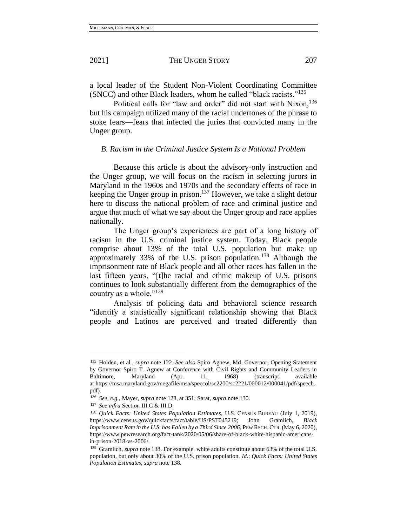a local leader of the Student Non-Violent Coordinating Committee (SNCC) and other Black leaders, whom he called "black racists."<sup>135</sup>

Political calls for "law and order" did not start with Nixon, <sup>136</sup> but his campaign utilized many of the racial undertones of the phrase to stoke fears—fears that infected the juries that convicted many in the Unger group.

#### *B. Racism in the Criminal Justice System Is a National Problem*

Because this article is about the advisory-only instruction and the Unger group, we will focus on the racism in selecting jurors in Maryland in the 1960s and 1970s and the secondary effects of race in keeping the Unger group in prison.<sup>137</sup> However, we take a slight detour here to discuss the national problem of race and criminal justice and argue that much of what we say about the Unger group and race applies nationally.

The Unger group's experiences are part of a long history of racism in the U.S. criminal justice system. Today, Black people comprise about 13% of the total U.S. population but make up approximately 33% of the U.S. prison population.<sup>138</sup> Although the imprisonment rate of Black people and all other races has fallen in the last fifteen years, "[t]he racial and ethnic makeup of U.S. prisons continues to look substantially different from the demographics of the country as a whole." $^{139}$ 

Analysis of policing data and behavioral science research "identify a statistically significant relationship showing that Black people and Latinos are perceived and treated differently than

<sup>135</sup> Holden, et al., *supra* note 122. *See also* Spiro Agnew, Md. Governor, Opening Statement by Governor Spiro T. Agnew at Conference with Civil Rights and Community Leaders in Baltimore, Maryland (Apr. 11, 1968) (transcript available at https://msa.maryland.gov/megafile/msa/speccol/sc2200/sc2221/000012/000041/pdf/speech. pdf).

<sup>136</sup> *See, e.g.*, Mayer, *supra* note 128, at 351; Sarat, *supra* note 130.

<sup>137</sup> *See infra* Section III.C & III.D.

<sup>138</sup> *Quick Facts: United States Population Estimates*, U.S. CENSUS BUREAU (July 1, 2019), https://www.census.gov/quickfacts/fact/table/US/PST045219; John Gramlich, *Black Imprisonment Rate in the U.S. has Fallen by a Third Since 2006*, PEW RSCH.CTR.(May 6, 2020), https://www.pewresearch.org/fact-tank/2020/05/06/share-of-black-white-hispanic-americansin-prison-2018-vs-2006/.

<sup>139</sup> Gramlich, *supra* note 138. For example, white adults constitute about 63% of the total U.S. population, but only about 30% of the U.S. prison population. *Id.*; *Quick Facts: United States Population Estimates*, *supra* note 138.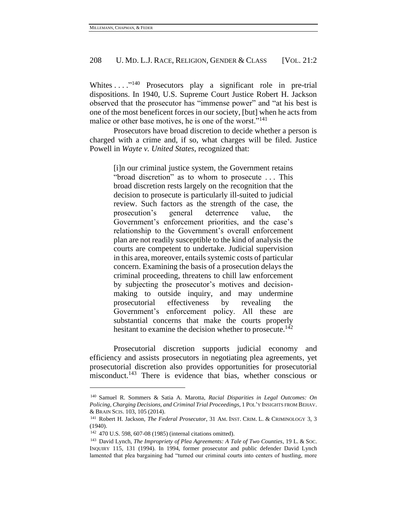Whites  $\dots$  ... <sup>140</sup> Prosecutors play a significant role in pre-trial dispositions. In 1940, U.S. Supreme Court Justice Robert H. Jackson observed that the prosecutor has "immense power" and "at his best is one of the most beneficent forces in our society, [but] when he acts from malice or other base motives, he is one of the worst."<sup>141</sup>

Prosecutors have broad discretion to decide whether a person is charged with a crime and, if so, what charges will be filed. Justice Powell in *Wayte v. United States*, recognized that:

> [i]n our criminal justice system, the Government retains "broad discretion" as to whom to prosecute . . . This broad discretion rests largely on the recognition that the decision to prosecute is particularly ill-suited to judicial review. Such factors as the strength of the case, the prosecution's general deterrence value, the Government's enforcement priorities, and the case's relationship to the Government's overall enforcement plan are not readily susceptible to the kind of analysis the courts are competent to undertake. Judicial supervision in this area, moreover, entails systemic costs of particular concern. Examining the basis of a prosecution delays the criminal proceeding, threatens to chill law enforcement by subjecting the prosecutor's motives and decisionmaking to outside inquiry, and may undermine prosecutorial effectiveness by revealing the Government's enforcement policy. All these are substantial concerns that make the courts properly hesitant to examine the decision whether to prosecute.<sup>142</sup>

Prosecutorial discretion supports judicial economy and efficiency and assists prosecutors in negotiating plea agreements, yet prosecutorial discretion also provides opportunities for prosecutorial misconduct.<sup>143</sup> There is evidence that bias, whether conscious or

<sup>140</sup> Samuel R. Sommers & Satia A. Marotta, *Racial Disparities in Legal Outcomes: On Policing, Charging Decisions, and Criminal Trial Proceedings*, 1 POL'Y INSIGHTS FROM BEHAV. & BRAIN SCIS. 103, 105 (2014).

<sup>141</sup> Robert H. Jackson, *The Federal Prosecutor*, 31 AM. INST. CRIM. L. & CRIMINOLOGY 3, 3 (1940).

<sup>142</sup> 470 U.S. 598, 607-08 (1985) (internal citations omitted).

<sup>143</sup> David Lynch, *The Impropriety of Plea Agreements: A Tale of Two Counties*, 19 L. & SOC. INQUIRY 115, 131 (1994). In 1994, former prosecutor and public defender David Lynch lamented that plea bargaining had "turned our criminal courts into centers of hustling, more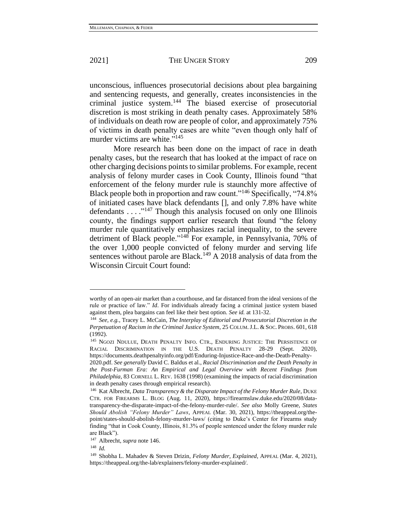unconscious, influences prosecutorial decisions about plea bargaining and sentencing requests, and generally, creates inconsistencies in the criminal justice system. <sup>144</sup> The biased exercise of prosecutorial discretion is most striking in death penalty cases. Approximately 58% of individuals on death row are people of color, and approximately 75% of victims in death penalty cases are white "even though only half of murder victims are white."<sup>145</sup>

More research has been done on the impact of race in death penalty cases, but the research that has looked at the impact of race on other charging decisions points to similar problems. For example, recent analysis of felony murder cases in Cook County, Illinois found "that enforcement of the felony murder rule is staunchly more affective of Black people both in proportion and raw count."<sup>146</sup> Specifically, "74.8% of initiated cases have black defendants [], and only 7.8% have white defendants . . . . "<sup>147</sup> Though this analysis focused on only one Illinois county, the findings support earlier research that found "the felony murder rule quantitatively emphasizes racial inequality, to the severe detriment of Black people."<sup>148</sup> For example, in Pennsylvania, 70% of the over 1,000 people convicted of felony murder and serving life sentences without parole are Black.<sup>149</sup> A 2018 analysis of data from the Wisconsin Circuit Court found:

worthy of an open-air market than a courthouse, and far distanced from the ideal versions of the rule or practice of law." *Id*. For individuals already facing a criminal justice system biased against them, plea bargains can feel like their best option. *See id.* at 131-32.

<sup>144</sup> *See, e.g.*, Tracey L. McCain, *The Interplay of Editorial and Prosecutorial Discretion in the Perpetuation of Racism in the Criminal Justice System*, 25 COLUM.J.L. & SOC. PROBS. 601, 618 (1992).

<sup>&</sup>lt;sup>145</sup> NGOZI NDULUE, DEATH PENALTY INFO. CTR., ENDURING JUSTICE: THE PERSISTENCE OF RACIAL DISCRIMINATION IN THE U.S. DEATH PENALTY 28-29 (Sept. 2020), [https://documents.deathpenaltyinfo.org/pdf/Enduring-Injustice-Race-and-the-Death-Penalty-](https://documents.deathpenaltyinfo.org/pdf/Enduring-Injustice-Race-and-the-Death-Penalty-2020.pdf)

[<sup>2020.</sup>pdf.](https://documents.deathpenaltyinfo.org/pdf/Enduring-Injustice-Race-and-the-Death-Penalty-2020.pdf) *See generally* David C. Baldus et al., *Racial Discrimination and the Death Penalty in the Post-Furman Era: An Empirical and Legal Overview with Recent Findings from Philadelphia*, 83 CORNELL L. REV. 1638 (1998) (examining the impacts of racial discrimination in death penalty cases through empirical research).

<sup>&</sup>lt;sup>146</sup> Kat Albrecht, *Data Transparency & the Disparate Impact of the Felony Murder Rule*, DUKE CTR. FOR FIREARMS L. BLOG (Aug. 11, 2020), https://firearmslaw.duke.edu/2020/08/datatransparency-the-disparate-impact-of-the-felony-murder-rule/. *See also* Molly Greene, *States Should Abolish "Felony Murder" Laws*, APPEAL (Mar. 30, 2021), https://theappeal.org/thepoint/states-should-abolish-felony-murder-laws/ (citing to Duke's Center for Firearms study finding "that in Cook County, Illinois, 81.3% of people sentenced under the felony murder rule are Black").

<sup>147</sup> Albrecht, *supra* note 146.

<sup>148</sup> *Id.* 

<sup>149</sup> Shobha L. Mahadev & Steven Drizin, *Felony Murder, Explained*, APPEAL (Mar. 4, 2021), https://theappeal.org/the-lab/explainers/felony-murder-explained/.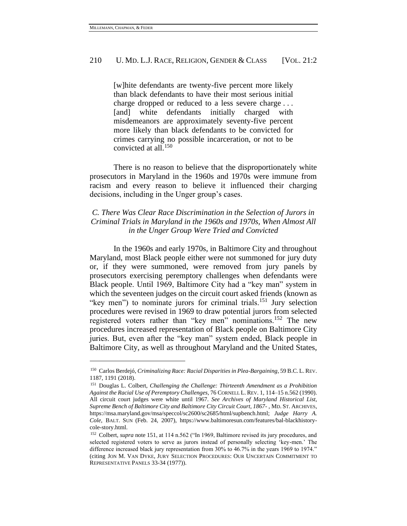[w]hite defendants are twenty-five percent more likely than black defendants to have their most serious initial charge dropped or reduced to a less severe charge . . . [and] white defendants initially charged with misdemeanors are approximately seventy-five percent more likely than black defendants to be convicted for crimes carrying no possible incarceration, or not to be convicted at all.<sup>150</sup>

There is no reason to believe that the disproportionately white prosecutors in Maryland in the 1960s and 1970s were immune from racism and every reason to believe it influenced their charging decisions, including in the Unger group's cases.

# *C. There Was Clear Race Discrimination in the Selection of Jurors in Criminal Trials in Maryland in the 1960s and 1970s, When Almost All in the Unger Group Were Tried and Convicted*

In the 1960s and early 1970s, in Baltimore City and throughout Maryland, most Black people either were not summoned for jury duty or, if they were summoned, were removed from jury panels by prosecutors exercising peremptory challenges when defendants were Black people. Until 1969, Baltimore City had a "key man" system in which the seventeen judges on the circuit court asked friends (known as "key men") to nominate jurors for criminal trials.<sup>151</sup> Jury selection procedures were revised in 1969 to draw potential jurors from selected registered voters rather than "key men" nominations.<sup>152</sup> The new procedures increased representation of Black people on Baltimore City juries. But, even after the "key man" system ended, Black people in Baltimore City, as well as throughout Maryland and the United States,

<sup>150</sup> Carlos Berdejó, *Criminalizing Race: Racial Disparities in Plea-Bargaining*, 59 B.C. L.REV. 1187, 1191 (2018).

<sup>151</sup> Douglas L. Colbert, *Challenging the Challenge: Thirteenth Amendment as a Prohibition Against the Racial Use of Peremptory Challenges*, 76 CORNELL L. REV. 1, 114–15 n.562 (1990). All circuit court judges were white until 1967. *See Archives of Maryland Historical List, Supreme Bench of Baltimore City and Baltimore City Circuit Court, 1867-* , MD. ST. ARCHIVES, [https://msa.maryland.gov/msa/speccol/sc2600/sc2685/html/supbench.html;](https://msa.maryland.gov/msa/speccol/sc2600/sc2685/html/supbench.html) *Judge Harry A. Cole*, BALT. SUN (Feb. 24, 2007), [https://www.baltimoresun.com/features/bal-blackhistory](https://www.baltimoresun.com/features/bal-blackhistory-cole-story.html)[cole-story.html.](https://www.baltimoresun.com/features/bal-blackhistory-cole-story.html)

<sup>152</sup> Colbert, *supra* note 151, at 114 n.562 ("In 1969, Baltimore revised its jury procedures, and selected registered voters to serve as jurors instead of personally selecting 'key-men.' The difference increased black jury representation from 30% to 46.7% in the years 1969 to 1974." (citing JON M. VAN DYKE, JURY SELECTION PROCEDURES: OUR UNCERTAIN COMMITMENT TO REPRESENTATIVE PANELS 33-34 (1977)).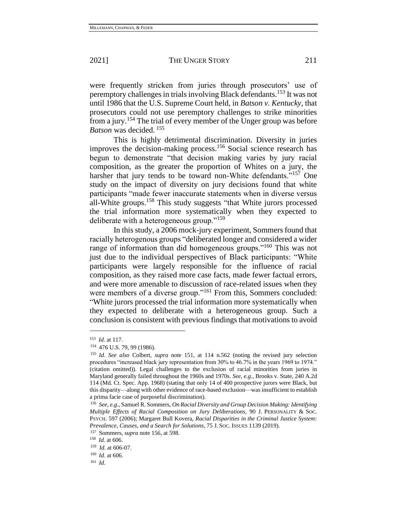were frequently stricken from juries through prosecutors' use of peremptory challenges in trials involving Black defendants. <sup>153</sup> It was not until 1986 that the U.S. Supreme Court held, in *Batson v. Kentucky*, that prosecutors could not use peremptory challenges to strike minorities from a jury.<sup>154</sup> The trial of every member of the Unger group was before *Batson* was decided. <sup>155</sup>

<span id="page-27-0"></span>This is highly detrimental discrimination. Diversity in juries improves the decision-making process.<sup>156</sup> Social science research has begun to demonstrate "that decision making varies by jury racial composition, as the greater the proportion of Whites on a jury, the harsher that jury tends to be toward non-White defendants."<sup>157</sup> One study on the impact of diversity on jury decisions found that white participants "made fewer inaccurate statements when in diverse versus all-White groups.<sup>158</sup> This study suggests "that White jurors processed the trial information more systematically when they expected to deliberate with a heterogeneous group."<sup>159</sup>

In this study, a 2006 mock-jury experiment, Sommers found that racially heterogenous groups "deliberated longer and considered a wider range of information than did homogeneous groups."<sup>160</sup> This was not just due to the individual perspectives of Black participants: "White participants were largely responsible for the influence of racial composition, as they raised more case facts, made fewer factual errors, and were more amenable to discussion of race-related issues when they were members of a diverse group."<sup>161</sup> From this, Sommers concluded: "White jurors processed the trial information more systematically when they expected to deliberate with a heterogeneous group. Such a conclusion is consistent with previous findings that motivations to avoid

<sup>153</sup> *Id.* at 117.

<sup>154</sup> 476 U.S. 79, 99 (1986).

<sup>155</sup> *Id. See also* Colbert, *supra* note 151, at 114 n.562 (noting the revised jury selection procedures "increased black jury representation from 30% to 46.7% in the years 1969 to 1974." (citation omitted)). Legal challenges to the exclusion of racial minorities from juries in Maryland generally failed throughout the 1960s and 1970s. *See, e.g.*, Brooks v. State, 240 A.2d 114 (Md. Ct. Spec. App. 1968) (stating that only 14 of 400 prospective jurors were Black, but this disparity—along with other evidence of race-based exclusion—was insufficient to establish a prima facie case of purposeful discrimination).

<sup>156</sup> *See, e.g.*, Samuel R. Sommers, *On Racial Diversity and Group Decision Making: Identifying Multiple Effects of Racial Composition on Jury Deliberations*, 90 J. PERSONALITY & SOC. PSYCH. 597 (2006); Margaret Bull Kovera, *Racial Disparities in the Criminal Justice System: Prevalence, Causes, and a Search for Solutions*, 75 J. SOC. ISSUES 1139 (2019).

<sup>157</sup> Sommers, *supra* note [156,](#page-27-0) at 598.

<sup>158</sup> *Id.* at 606.

<sup>159</sup> *Id.* at 606-07.

<sup>160</sup> *Id.* at 606.

<sup>161</sup> *Id.*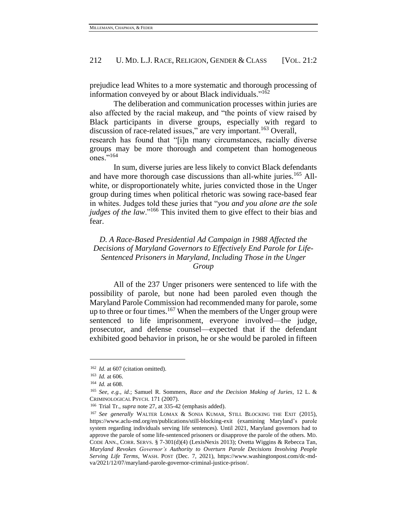prejudice lead Whites to a more systematic and thorough processing of information conveyed by or about Black individuals."<sup>162</sup>

The deliberation and communication processes within juries are also affected by the racial makeup, and "the points of view raised by Black participants in diverse groups, especially with regard to discussion of race-related issues," are very important.<sup>163</sup> Overall, research has found that "[i]n many circumstances, racially diverse groups may be more thorough and competent than homogeneous ones."<sup>164</sup>

In sum, diverse juries are less likely to convict Black defendants and have more thorough case discussions than all-white juries.<sup>165</sup> Allwhite, or disproportionately white, juries convicted those in the Unger group during times when political rhetoric was sowing race-based fear in whites. Judges told these juries that "*you and you alone are the sole judges of the law*."<sup>166</sup> This invited them to give effect to their bias and fear.

# *D. A Race-Based Presidential Ad Campaign in 1988 Affected the Decisions of Maryland Governors to Effectively End Parole for Life-Sentenced Prisoners in Maryland, Including Those in the Unger Group*

All of the 237 Unger prisoners were sentenced to life with the possibility of parole, but none had been paroled even though the Maryland Parole Commission had recommended many for parole, some up to three or four times.<sup>167</sup> When the members of the Unger group were sentenced to life imprisonment, everyone involved—the judge, prosecutor, and defense counsel—expected that if the defendant exhibited good behavior in prison, he or she would be paroled in fifteen

<sup>&</sup>lt;sup>162</sup> *Id.* at 607 (citation omitted).

<sup>163</sup> *Id.* at 606.

<sup>164</sup> *Id.* at 608.

<sup>165</sup> *See, e.g.*, *id.*; Samuel R. Sommers, *Race and the Decision Making of Juries*, 12 L. & CRIMINOLOGICAL PSYCH. 171 (2007).

<sup>166</sup> Trial Tr., *supra* note 27, at 335-42 (emphasis added).

<sup>167</sup> *See generally* WALTER LOMAX & SONIA KUMAR, STILL BLOCKING THE EXIT (2015), https://www.aclu-md.org/en/publications/still-blocking-exit (examining Maryland's parole system regarding individuals serving life sentences). Until 2021, Maryland governors had to approve the parole of some life-sentenced prisoners or disapprove the parole of the others. MD. CODE ANN., CORR. SERVS. § 7-301(d)(4) (LexisNexis 2013); Ovetta Wiggins & Rebecca Tan, *Maryland Revokes Governor's Authority to Overturn Parole Decisions Involving People Serving Life Terms*, WASH. POST (Dec. 7, 2021), https://www.washingtonpost.com/dc-mdva/2021/12/07/maryland-parole-governor-criminal-justice-prison/.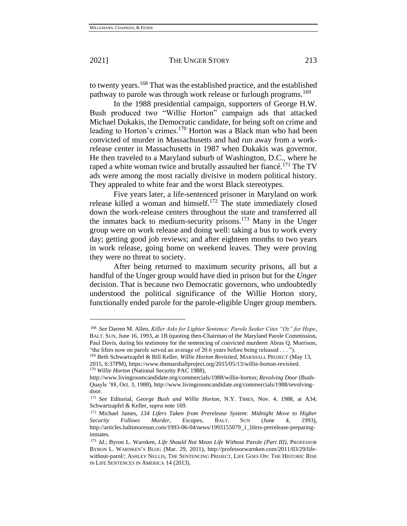to twenty years.<sup>168</sup> That was the established practice, and the established pathway to parole was through work release or furlough programs.<sup>169</sup>

In the 1988 presidential campaign, supporters of George H.W. Bush produced two "Willie Horton" campaign ads that attacked Michael Dukakis, the Democratic candidate, for being soft on crime and leading to Horton's crimes.<sup>170</sup> Horton was a Black man who had been convicted of murder in Massachusetts and had run away from a workrelease center in Massachusetts in 1987 when Dukakis was governor. He then traveled to a Maryland suburb of Washington, D.C., where he raped a white woman twice and brutally assaulted her fiance.<sup>171</sup> The TV ads were among the most racially divisive in modern political history. They appealed to white fear and the worst Black stereotypes.

Five years later, a life-sentenced prisoner in Maryland on work release killed a woman and himself.<sup>172</sup> The state immediately closed down the work-release centers throughout the state and transferred all the inmates back to medium-security prisons.<sup>173</sup> Many in the Unger group were on work release and doing well: taking a bus to work every day; getting good job reviews; and after eighteen months to two years in work release, going home on weekend leaves. They were proving they were no threat to society.

After being returned to maximum security prisons, all but a handful of the Unger group would have died in prison but for the *Unger* decision. That is because two Democratic governors, who undoubtedly understood the political significance of the Willie Horton story, functionally ended parole for the parole-eligible Unger group members.

<span id="page-29-0"></span>

<sup>168</sup> *See* Darren M. Allen, *Killer Asks for Lighter Sentence: Parole Seeker Cites "Oz" for Hope*, BALT. SUN, June 16, 1993, at 1B (quoting then-Chairman of the Maryland Parole Commission, Paul Davis, during his testimony for the sentencing of convicted murderer Abras Q. Morrison, "the lifers now on parole served an average of 20.6 years before being released . . . ").

<sup>169</sup> Beth Schwartzapfel & Bill Keller, *Willie Horton Revisited*, MARSHALL PROJECT (May 13, 2015, 6:37PM), https://www.themarshallproject.org/2015/05/13/willie-horton-revisited. <sup>170</sup> *Willie Horton* (National Security PAC 1988),

http://www.livingroomcandidate.org/commercials/1988/willie-horton; *Revolving Door* (Bush-Quayle '88, Oct. 3, 1988), http://www.livingroomcandidate.org/commercials/1988/revolvingdoor.

<sup>171</sup> *See* Editorial, *George Bush and Willie Horton*, N.Y. TIMES, Nov. 4, 1988, at A34; Schwartzapfel & Keller, *supra* note 169.

<sup>172</sup> Michael James, *134 Lifers Taken from Prerelease System: Midnight Move to Higher Security Follows Murder, Escapes*, BALT. SUN (June 4, 1993), http://articles.baltimoresun.com/1993-06-04/news/1993155079\_1\_lifers-prerelease-preparinginmates.

<sup>173</sup> *Id.*; Byron L. Warnken, *Life Should Not Mean Life Without Parole (Part III)*, PROFESSOR BYRON L. WARNKEN'S BLOG (Mar. 29, 2011), http://professorwarnken.com/2011/03/29/lifewithout-parol/; ASHLEY NELLIS, THE SENTENCING PROJECT, LIFE GOES ON: THE HISTORIC RISE IN LIFE SENTENCES IN AMERICA 14 (2013).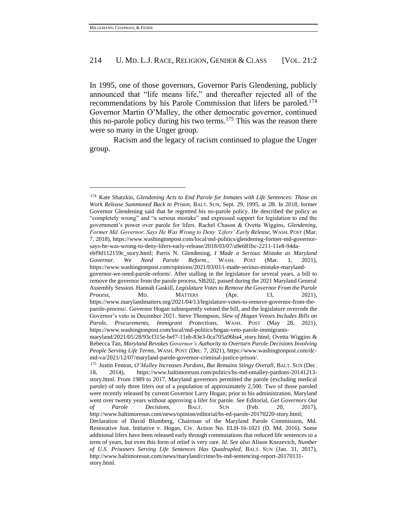In 1995, one of those governors, Governor Paris Glendening, publicly announced that "life means life," and thereafter rejected all of the recommendations by his Parole Commission that lifers be paroled.<sup>174</sup> Governor Martin O'Malley, the other democratic governor, continued this no-parole policy during his two terms.<sup>175</sup> This was the reason there were so many in the Unger group.

Racism and the legacy of racism continued to plague the Unger group.

<sup>174</sup> Kate Shatzkin, *Glendening Acts to End Parole for Inmates with Life Sentences: Those on Work Release Summoned Back to Prison*, BALT. SUN, Sept. 29, 1995, at 2B. In 2018, former Governor Glendening said that he regretted his no-parole policy. He described the policy as "completely wrong" and "a serious mistake" and expressed support for legislation to end the government's power over parole for lifers. Rachel Chason & Ovetta Wiggins, *Glendening, Former Md. Governor, Says He Was Wrong to Deny 'Lifers' Early Release*, WASH. POST (Mar. 7, 2018), https://www.washingtonpost.com/local/md-politics/glendening-former-md-governorsays-he-was-wrong-to-deny-lifers-early-release/2018/03/07/a9e681bc-2211-11e8-94da-

ebf9d112159c\_story.html; Parris N. Glendening, *I Made a Serious Mistake as Maryland Governor. We Need Parole Reform.*, WASH. POST (Mar. 1, 2021), https://www.washingtonpost.com/opinions/2021/03/01/i-made-serious-mistake-marylandgovernor-we-need-parole-reform/. After stalling in the legislature for several years, a bill to

remove the governor from the parole process, SB202, passed during the 2021 Maryland General Assembly Session. Hannah Gaskill, *Legislature Votes to Remove the Governor From the Parole Process*, MD. MATTERS (Apr. 13, 2021), https://www.marylandmatters.org/2021/04/13/legislature-votes-to-remove-governor-from-theparole-process/. Governor Hogan subsequently vetoed the bill, and the legislature overrode the Governor's veto in December 2021. Steve Thompson, *Slew of Hogan Vetoes Includes Bills on Parole, Procurements, Immigrant Protections*, WASH. POST (May 28, 2021), [https://www.washingtonpost.com/local/md-politics/hogan-veto-parole-immigrants-](https://www.washingtonpost.com/local/md-politics/hogan-veto-parole-immigrants-maryland/2021/05/28/93cf315e-bef7-11eb-83e3-0ca705a96ba4_story.html)

[maryland/2021/05/28/93cf315e-bef7-11eb-83e3-0ca705a96ba4\\_story.html;](https://www.washingtonpost.com/local/md-politics/hogan-veto-parole-immigrants-maryland/2021/05/28/93cf315e-bef7-11eb-83e3-0ca705a96ba4_story.html) Ovetta Wiggins & Rebecca Tan, *Maryland Revokes Governor's Authority to Overturn Parole Decisions Involving People Serving Life Terms*, WASH. POST (Dec. 7, 2021), [https://www.washingtonpost.com/dc](https://www.washingtonpost.com/dc-md-va/2021/12/07/maryland-parole-governor-criminal-justice-prison/)[md-va/2021/12/07/maryland-parole-governor-criminal-justice-prison/.](https://www.washingtonpost.com/dc-md-va/2021/12/07/maryland-parole-governor-criminal-justice-prison/)

<sup>&</sup>lt;sup>175</sup> Justin Fenton, *O'Malley Increases Pardons*, *But Remains Stingy Overall*, BALT. SUN (Dec. 18, 2014), https://www.baltimoresun.com/politics/bs-md-omalley-pardons-20141213 story.html. From 1989 to 2017, Maryland governors permitted the parole (excluding medical parole) of only three lifers out of a population of approximately 2,500. Two of those paroled were recently released by current Governor Larry Hogan; prior to his administration, Maryland went over twenty years without approving a lifer for parole. *See* Editorial, *Get Governors Out of Parole Decisions*, BALT. SUN (Feb. 20, 2017), http://www.baltimoresun.com/news/opinion/editorial/bs-ed-parole-20170220-story.html; Declaration of David Blumberg, Chairman of the Maryland Parole Commission, Md. Restorative Just. Initiative v. Hogan, Civ. Action No. ELH-16-1021 (D. Md. 2016). Some additional lifers have been released early through commutations that reduced life sentences to a term of years, but even this form of relief is very rare. *Id*. *See also* Alison Knezevich, *Number of U.S. Prisoners Serving Life Sentences Has Quadrupled*, BALT. SUN (Jan. 31, 2017), http://www.baltimoresun.com/news/maryland/crime/bs-md-sentencing-report-20170131 story.html.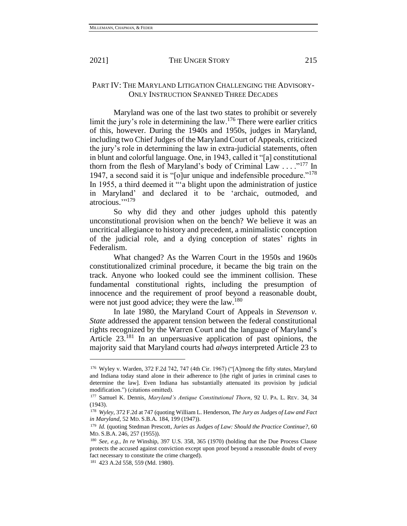## PART IV: THE MARYLAND LITIGATION CHALLENGING THE ADVISORY-ONLY INSTRUCTION SPANNED THREE DECADES

Maryland was one of the last two states to prohibit or severely limit the jury's role in determining the law.<sup>176</sup> There were earlier critics of this, however. During the 1940s and 1950s, judges in Maryland, including two Chief Judges of the Maryland Court of Appeals, criticized the jury's role in determining the law in extra-judicial statements, often in blunt and colorful language. One, in 1943, called it "[a] constitutional thorn from the flesh of Maryland's body of Criminal Law  $\ldots$ <sup>177</sup> In 1947, a second said it is "[o]ur unique and indefensible procedure."<sup>178</sup> In 1955, a third deemed it "'a blight upon the administration of justice in Maryland' and declared it to be 'archaic, outmoded, and atrocious."<sup>179</sup>

So why did they and other judges uphold this patently unconstitutional provision when on the bench? We believe it was an uncritical allegiance to history and precedent, a minimalistic conception of the judicial role, and a dying conception of states' rights in Federalism.

What changed? As the Warren Court in the 1950s and 1960s constitutionalized criminal procedure, it became the big train on the track. Anyone who looked could see the imminent collision. These fundamental constitutional rights, including the presumption of innocence and the requirement of proof beyond a reasonable doubt, were not just good advice; they were the law.<sup>180</sup>

In late 1980, the Maryland Court of Appeals in *Stevenson v. State* addressed the apparent tension between the federal constitutional rights recognized by the Warren Court and the language of Maryland's Article 23.<sup>181</sup> In an unpersuasive application of past opinions, the majority said that Maryland courts had *always* interpreted Article 23 to

<span id="page-31-0"></span>

<sup>176</sup> Wyley v. Warden, 372 F.2d 742, 747 (4th Cir. 1967) ("[A]mong the fifty states, Maryland and Indiana today stand alone in their adherence to [the right of juries in criminal cases to determine the law]. Even Indiana has substantially attenuated its provision by judicial modification.") (citations omitted).

<sup>177</sup> Samuel K. Dennis, *Maryland's Antique Constitutional Thorn*, 92 U. PA. L. REV. 34, 34 (1943).

<sup>178</sup> *Wyley*, 372 F.2d at 747 (quoting William L. Henderson, *The Jury as Judges of Law and Fact in Maryland*, 52 MD. S.B.A. 184, 199 (1947)).

<sup>179</sup> *Id.* (quoting Stedman Prescott, *Juries as Judges of Law: Should the Practice Continue?*, 60 MD. S.B.A. 246, 257 (1955)).

<sup>180</sup> *See, e.g.*, *In re* Winship, 397 U.S. 358, 365 (1970) (holding that the Due Process Clause protects the accused against conviction except upon proof beyond a reasonable doubt of every fact necessary to constitute the crime charged).

<sup>181</sup> 423 A.2d 558, 559 (Md. 1980).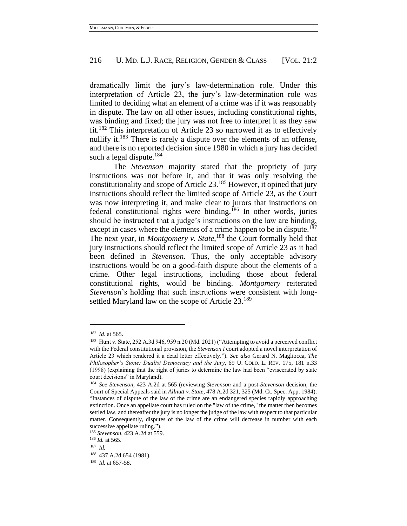dramatically limit the jury's law-determination role. Under this interpretation of Article 23, the jury's law-determination role was limited to deciding what an element of a crime was if it was reasonably in dispute. The law on all other issues, including constitutional rights, was binding and fixed; the jury was not free to interpret it as they saw fit.<sup>182</sup> This interpretation of Article 23 so narrowed it as to effectively nullify it.<sup>183</sup> There is rarely a dispute over the elements of an offense, and there is no reported decision since 1980 in which a jury has decided such a legal dispute. $184$ 

The *Stevenson* majority stated that the propriety of jury instructions was not before it, and that it was only resolving the constitutionality and scope of Article  $23$ .<sup>185</sup> However, it opined that jury instructions should reflect the limited scope of Article 23, as the Court was now interpreting it, and make clear to jurors that instructions on federal constitutional rights were binding.<sup>186</sup> In other words, juries should be instructed that a judge's instructions on the law are binding, except in cases where the elements of a crime happen to be in dispute.<sup>187</sup> The next year, in *Montgomery v. State*,<sup>188</sup> the Court formally held that jury instructions should reflect the limited scope of Article 23 as it had been defined in *Stevenson*. Thus, the only acceptable advisory instructions would be on a good-faith dispute about the elements of a crime. Other legal instructions, including those about federal constitutional rights, would be binding. *Montgomery* reiterated *Stevenson*'s holding that such instructions were consistent with longsettled Maryland law on the scope of Article 23.<sup>189</sup>

<sup>182</sup> *Id*. at 565.

<sup>183</sup> Hunt v. State, 252 A.3d 946, 959 n.20 (Md. 2021) ("Attempting to avoid a perceived conflict with the Federal constitutional provision, the *Stevenson I* court adopted a novel interpretation of Article 23 which rendered it a dead letter effectively."). *See also* Gerard N. Magliocca, *The Philosopher's Stone: Dualist Democracy and the Jury*, 69 U. COLO. L. REV. 175, 181 n.33 (1998) (explaining that the right of juries to determine the law had been "eviscerated by state court decisions" in Maryland).

<sup>184</sup> *See Stevenson*, 423 A.2d at 565 (reviewing *Stevenson* and a post-*Stevenson* decision, the Court of Special Appeals said in *Allnutt v. State*, 478 A.2d 321, 325 (Md. Ct. Spec. App. 1984): "Instances of dispute of the law of the crime are an endangered species rapidly approaching extinction. Once an appellate court has ruled on the "law of the crime," the matter then becomes settled law, and thereafter the jury is no longer the judge of the law with respect to that particular matter. Consequently, disputes of the law of the crime will decrease in number with each successive appellate ruling.").

<sup>185</sup> *Stevenson*, 423 A.2d at 559.

<sup>186</sup> *Id.* at 565.

 $187$  *Id.* 

<sup>188</sup> 437 A.2d 654 (1981).

<sup>189</sup> *Id.* at 657-58.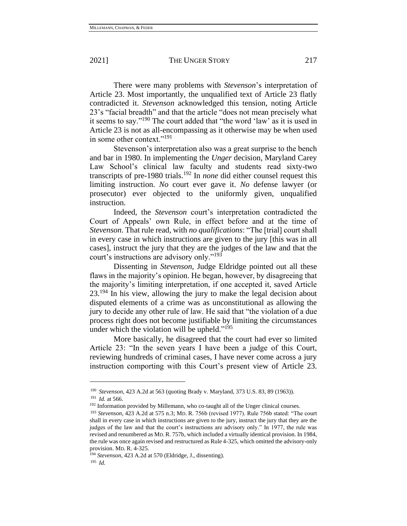There were many problems with *Stevenson*'s interpretation of Article 23. Most importantly, the unqualified text of Article 23 flatly contradicted it. *Stevenson* acknowledged this tension, noting Article 23's "facial breadth" and that the article "does not mean precisely what it seems to say."<sup>190</sup> The court added that "the word 'law' as it is used in Article 23 is not as all-encompassing as it otherwise may be when used in some other context."<sup>191</sup>

Stevenson's interpretation also was a great surprise to the bench and bar in 1980. In implementing the *Unger* decision, Maryland Carey Law School's clinical law faculty and students read sixty-two transcripts of pre-1980 trials.<sup>192</sup> In *none* did either counsel request this limiting instruction. *No* court ever gave it. *No* defense lawyer (or prosecutor) ever objected to the uniformly given, unqualified instruction.

Indeed, the *Stevenson* court's interpretation contradicted the Court of Appeals' own Rule, in effect before and at the time of *Stevenson*. That rule read, with *no qualifications*: "The [trial] court shall in every case in which instructions are given to the jury [this was in all cases], instruct the jury that they are the judges of the law and that the court's instructions are advisory only."<sup>193</sup>

Dissenting in *Stevenson*, Judge Eldridge pointed out all these flaws in the majority's opinion. He began, however, by disagreeing that the majority's limiting interpretation, if one accepted it, saved Article 23.<sup>194</sup> In his view, allowing the jury to make the legal decision about disputed elements of a crime was as unconstitutional as allowing the jury to decide any other rule of law. He said that "the violation of a due process right does not become justifiable by limiting the circumstances under which the violation will be upheld."<sup>195</sup>

More basically, he disagreed that the court had ever so limited Article 23: "In the seven years I have been a judge of this Court, reviewing hundreds of criminal cases, I have never come across a jury instruction comporting with this Court's present view of Article 23.

<sup>190</sup> *Stevenson*, 423 A.2d at 563 (quoting Brady v. Maryland, 373 U.S. 83, 89 (1963)). <sup>191</sup> *Id.* at 566.

<sup>&</sup>lt;sup>192</sup> Information provided by Millemann, who co-taught all of the Unger clinical courses.

<sup>193</sup> *Stevenson*, 423 A.2d at 575 n.3; MD. R. 756b (revised 1977). Rule 756b stated: "The court shall in every case in which instructions are given to the jury, instruct the jury that they are the judges of the law and that the court's instructions are advisory only." In 1977, the rule was revised and renumbered as MD.R. 757b, which included a virtually identical provision. In 1984, the rule was once again revised and restructured as Rule 4-325, which omitted the advisory-only provision. MD. R. 4-325.

<sup>194</sup> *Stevenson*, 423 A.2d at 570 (Eldridge, J., dissenting).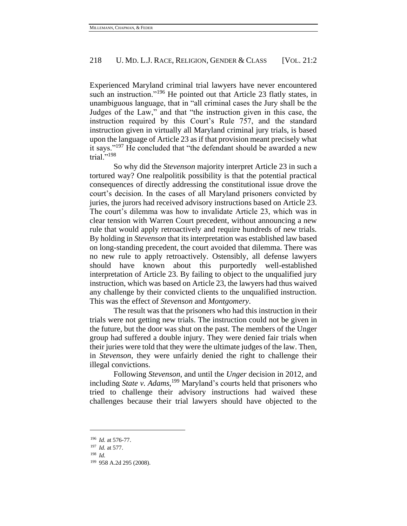Experienced Maryland criminal trial lawyers have never encountered such an instruction."<sup>196</sup> He pointed out that Article 23 flatly states, in unambiguous language, that in "all criminal cases the Jury shall be the Judges of the Law," and that "the instruction given in this case, the instruction required by this Court's Rule 757, and the standard instruction given in virtually all Maryland criminal jury trials, is based upon the language of Article 23 as if that provision meant precisely what it says."<sup>197</sup> He concluded that "the defendant should be awarded a new trial." $^{198}$ 

So why did the *Stevenson* majority interpret Article 23 in such a tortured way? One realpolitik possibility is that the potential practical consequences of directly addressing the constitutional issue drove the court's decision. In the cases of all Maryland prisoners convicted by juries, the jurors had received advisory instructions based on Article 23. The court's dilemma was how to invalidate Article 23, which was in clear tension with Warren Court precedent, without announcing a new rule that would apply retroactively and require hundreds of new trials. By holding in *Stevenson* that its interpretation was established law based on long-standing precedent, the court avoided that dilemma. There was no new rule to apply retroactively. Ostensibly, all defense lawyers should have known about this purportedly well-established interpretation of Article 23. By failing to object to the unqualified jury instruction, which was based on Article 23, the lawyers had thus waived any challenge by their convicted clients to the unqualified instruction. This was the effect of *Stevenson* and *Montgomery*.

The result was that the prisoners who had this instruction in their trials were not getting new trials. The instruction could not be given in the future, but the door was shut on the past. The members of the Unger group had suffered a double injury. They were denied fair trials when their juries were told that they were the ultimate judges of the law. Then, in *Stevenson*, they were unfairly denied the right to challenge their illegal convictions.

Following *Stevenson*, and until the *Unger* decision in 2012, and including *State v. Adams,*<sup>199</sup> Maryland's courts held that prisoners who tried to challenge their advisory instructions had waived these challenges because their trial lawyers should have objected to the

<sup>196</sup> *Id.* at 576-77.

<sup>197</sup> *Id.* at 577.

<sup>198</sup> *Id.*

<sup>199</sup> 958 A.2d 295 (2008).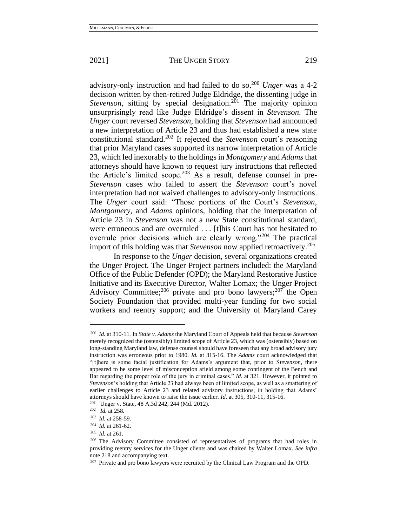advisory-only instruction and had failed to do so.<sup>200</sup> *Unger* was a 4-2 decision written by then-retired Judge Eldridge, the dissenting judge in *Stevenson*, sitting by special designation.<sup>201</sup> The majority opinion unsurprisingly read like Judge Eldridge's dissent in *Stevenson*. The *Unger* court reversed *Stevenson*, holding that *Stevenson* had announced a new interpretation of Article 23 and thus had established a new state constitutional standard.<sup>202</sup> It rejected the *Stevenson* court's reasoning that prior Maryland cases supported its narrow interpretation of Article 23, which led inexorably to the holdings in *Montgomery* and *Adams* that attorneys should have known to request jury instructions that reflected the Article's limited scope.<sup>203</sup> As a result, defense counsel in pre-*Stevenson* cases who failed to assert the *Stevenson* court's novel interpretation had not waived challenges to advisory-only instructions. The *Unger* court said: "Those portions of the Court's *Stevenson*, *Montgomery*, and *Adams* opinions, holding that the interpretation of Article 23 in *Stevenson* was not a new State constitutional standard, were erroneous and are overruled . . . [t]his Court has not hesitated to overrule prior decisions which are clearly wrong."<sup>204</sup> The practical import of this holding was that *Stevenson* now applied retroactively.<sup>205</sup>

In response to the *Unger* decision, several organizations created the Unger Project. The Unger Project partners included: the Maryland Office of the Public Defender (OPD); the Maryland Restorative Justice Initiative and its Executive Director, Walter Lomax; the Unger Project Advisory Committee;<sup>206</sup> private and pro bono lawyers;<sup>207</sup> the Open Society Foundation that provided multi-year funding for two social workers and reentry support; and the University of Maryland Carey

<sup>200</sup> *Id.* at 310-11*.* In *State v. Adams* the Maryland Court of Appeals held that because *Stevenson* merely recognized the (ostensibly) limited scope of Article 23, which was (ostensibly) based on long-standing Maryland law, defense counsel should have foreseen that any broad advisory jury instruction was erroneous prior to 1980. *Id.* at 315-16. The *Adams* court acknowledged that "[t]here is some facial justification for Adams's argument that, prior to S*tevenson*, there appeared to be some level of misconception afield among some contingent of the Bench and Bar regarding the proper role of the jury in criminal cases." *Id.* at 321. However, it pointed to *Stevenson*'s holding that Article 23 had always been of limited scope, as well as a smattering of earlier challenges to Article 23 and related advisory instructions, in holding that Adams' attorneys should have known to raise the issue earlier. *Id.* at 305, 310-11, 315-16.

<sup>&</sup>lt;sup>201</sup> Unger v. State, 48 A.3d 242, 244 (Md. 2012).

<sup>202</sup> *Id.* at 258.

<sup>203</sup> *Id.* at 258-59.

<sup>204</sup> *Id.* at 261-62.

<sup>205</sup> *Id.* at 261.

<sup>206</sup> The Advisory Committee consisted of representatives of programs that had roles in providing reentry services for the Unger clients and was chaired by Walter Lomax. *See infra* not[e 218](#page-38-0) and accompanying text.

 $207$  Private and pro bono lawyers were recruited by the Clinical Law Program and the OPD.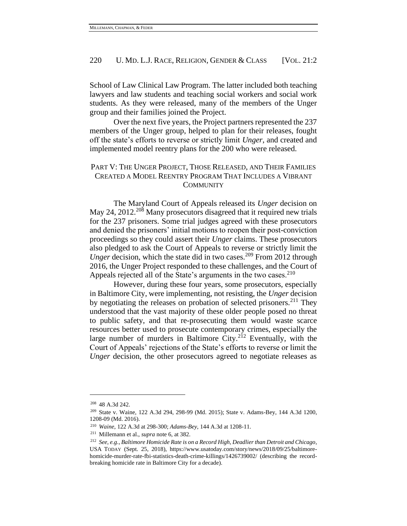School of Law Clinical Law Program. The latter included both teaching lawyers and law students and teaching social workers and social work students. As they were released, many of the members of the Unger group and their families joined the Project.

Over the next five years, the Project partners represented the 237 members of the Unger group, helped to plan for their releases, fought off the state's efforts to reverse or strictly limit *Unger*, and created and implemented model reentry plans for the 200 who were released.

# PART V: THE UNGER PROJECT, THOSE RELEASED, AND THEIR FAMILIES CREATED A MODEL REENTRY PROGRAM THAT INCLUDES A VIBRANT **COMMUNITY**

The Maryland Court of Appeals released its *Unger* decision on May 24, 2012.<sup>208</sup> Many prosecutors disagreed that it required new trials for the 237 prisoners. Some trial judges agreed with these prosecutors and denied the prisoners' initial motions to reopen their post-conviction proceedings so they could assert their *Unger* claims. These prosecutors also pledged to ask the Court of Appeals to reverse or strictly limit the *Unger* decision, which the state did in two cases.<sup>209</sup> From 2012 through 2016, the Unger Project responded to these challenges, and the Court of Appeals rejected all of the State's arguments in the two cases.<sup>210</sup>

However, during these four years, some prosecutors, especially in Baltimore City, were implementing, not resisting, the *Unger* decision by negotiating the releases on probation of selected prisoners.<sup>211</sup> They understood that the vast majority of these older people posed no threat to public safety, and that re-prosecuting them would waste scarce resources better used to prosecute contemporary crimes, especially the large number of murders in Baltimore City.<sup>212</sup> Eventually, with the Court of Appeals' rejections of the State's efforts to reverse or limit the *Unger* decision, the other prosecutors agreed to negotiate releases as

<sup>208</sup> 48 A.3d 242.

<sup>209</sup> State v. Waine, 122 A.3d 294, 298-99 (Md. 2015); State v. Adams-Bey, 144 A.3d 1200, 1208-09 (Md. 2016).

<sup>210</sup> *Waine*, 122 A.3d at 298-300; *Adams-Bey*, 144 A.3d at 1208-11.

<sup>211</sup> Millemann et al., *supra* note 6, at 382.

<sup>212</sup> *See, e.g.*, *Baltimore Homicide Rate is on a Record High, Deadlier than Detroit and Chicago*, USA TODAY (Sept. 25, 2018), https://www.usatoday.com/story/news/2018/09/25/baltimorehomicide-murder-rate-fbi-statistics-death-crime-killings/1426739002/ (describing the recordbreaking homicide rate in Baltimore City for a decade).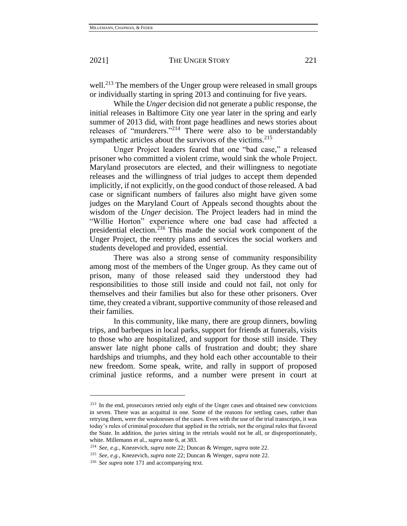well.<sup>213</sup> The members of the Unger group were released in small groups or individually starting in spring 2013 and continuing for five years.

While the *Unger* decision did not generate a public response, the initial releases in Baltimore City one year later in the spring and early summer of 2013 did, with front page headlines and news stories about releases of "murderers."<sup>214</sup> There were also to be understandably sympathetic articles about the survivors of the victims.<sup>215</sup>

Unger Project leaders feared that one "bad case," a released prisoner who committed a violent crime, would sink the whole Project. Maryland prosecutors are elected, and their willingness to negotiate releases and the willingness of trial judges to accept them depended implicitly, if not explicitly, on the good conduct of those released. A bad case or significant numbers of failures also might have given some judges on the Maryland Court of Appeals second thoughts about the wisdom of the *Unger* decision. The Project leaders had in mind the "Willie Horton" experience where one bad case had affected a presidential election.<sup>216</sup> This made the social work component of the Unger Project, the reentry plans and services the social workers and students developed and provided, essential.

There was also a strong sense of community responsibility among most of the members of the Unger group. As they came out of prison, many of those released said they understood they had responsibilities to those still inside and could not fail, not only for themselves and their families but also for these other prisoners. Over time, they created a vibrant, supportive community of those released and their families.

In this community, like many, there are group dinners, bowling trips, and barbeques in local parks, support for friends at funerals, visits to those who are hospitalized, and support for those still inside. They answer late night phone calls of frustration and doubt; they share hardships and triumphs, and they hold each other accountable to their new freedom. Some speak, write, and rally in support of proposed criminal justice reforms, and a number were present in court at

<sup>&</sup>lt;sup>213</sup> In the end, prosecutors retried only eight of the Unger cases and obtained new convictions in seven. There was an acquittal in one. Some of the reasons for settling cases, rather than retrying them, were the weaknesses of the cases. Even with the use of the trial transcripts, it was today's rules of criminal procedure that applied in the retrials, not the original rules that favored the State. In addition, the juries sitting in the retrials would not be all, or disproportionately, white. Millemann et al., *supra* note 6, at 383.

<sup>214</sup> *See, e.g.*, Knezevich, *supra* note 22; Duncan & Wenger, *supra* note 22.

<sup>215</sup> *See, e.g.*, Knezevich, *supra* note 22; Duncan & Wenger, *supra* note 22.

<sup>216</sup> *See supra* note [171](#page-29-0) and accompanying text.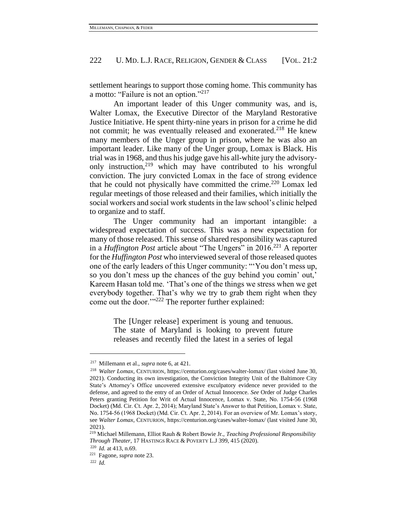settlement hearings to support those coming home. This community has a motto: "Failure is not an option."<sup>217</sup>

<span id="page-38-0"></span>An important leader of this Unger community was, and is, Walter Lomax, the Executive Director of the Maryland Restorative Justice Initiative. He spent thirty-nine years in prison for a crime he did not commit; he was eventually released and exonerated.<sup>218</sup> He knew many members of the Unger group in prison, where he was also an important leader. Like many of the Unger group, Lomax is Black. His trial was in 1968, and thus his judge gave his all-white jury the advisoryonly instruction,<sup>219</sup> which may have contributed to his wrongful conviction. The jury convicted Lomax in the face of strong evidence that he could not physically have committed the crime.<sup>220</sup> Lomax led regular meetings of those released and their families, which initially the social workers and social work students in the law school's clinic helped to organize and to staff.

The Unger community had an important intangible: a widespread expectation of success. This was a new expectation for many of those released. This sense of shared responsibility was captured in a *Huffington Post* article about "The Ungers" in 2016.<sup>221</sup> A reporter for the *Huffington Post* who interviewed several of those released quotes one of the early leaders of this Unger community: "'You don't mess up, so you don't mess up the chances of the guy behind you comin' out,' Kareem Hasan told me. 'That's one of the things we stress when we get everybody together. That's why we try to grab them right when they come out the door."<sup>222</sup> The reporter further explained:

> The [Unger release] experiment is young and tenuous. The state of Maryland is looking to prevent future releases and recently filed the latest in a series of legal

<sup>217</sup> Millemann et al., *supra* note 6, at 421.

<sup>218</sup> *Walter Lomax*, CENTURION, https://centurion.org/cases/walter-lomax/ (last visited June 30, 2021). Conducting its own investigation, the Conviction Integrity Unit of the Baltimore City State's Attorney's Office uncovered extensive exculpatory evidence never provided to the defense, and agreed to the entry of an Order of Actual Innocence. *See* Order of Judge Charles Peters granting Petition for Writ of Actual Innocence, Lomax v. State, No. 1754-56 (1968 Docket) (Md. Cir. Ct. Apr. 2, 2014); Maryland State's Answer to that Petition, Lomax v. State, No. 1754-56 (1968 Docket) (Md. Cir. Ct. Apr. 2, 2014). For an overview of Mr. Lomax's story, see *Walter Lomax*, CENTURION, https://centurion.org/cases/walter-lomax/ (last visited June 30, 2021).

<sup>219</sup> Michael Millemann, Elliot Rauh & Robert Bowie Jr., *Teaching Professional Responsibility Through Theater*, 17 HASTINGS RACE & POVERTY L.J 399, 415 (2020).

<sup>220</sup> *Id.* at 413, n.69.

<sup>221</sup> Fagone*, supra* note 23.

<sup>222</sup> *Id.*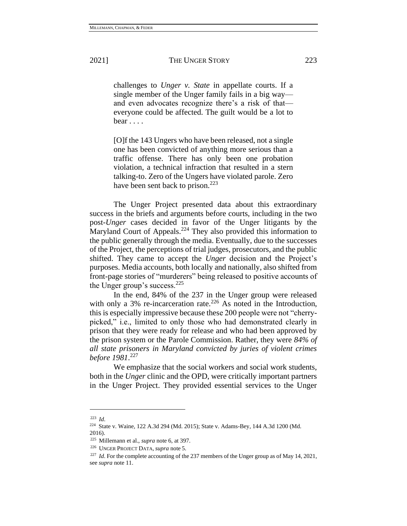challenges to *Unger v. State* in appellate courts. If a single member of the Unger family fails in a big way and even advocates recognize there's a risk of that everyone could be affected. The guilt would be a lot to bear . . . .

[O]f the 143 Ungers who have been released, not a single one has been convicted of anything more serious than a traffic offense. There has only been one probation violation, a technical infraction that resulted in a stern talking-to. Zero of the Ungers have violated parole. Zero have been sent back to prison.<sup>223</sup>

The Unger Project presented data about this extraordinary success in the briefs and arguments before courts, including in the two post-*Unger* cases decided in favor of the Unger litigants by the Maryland Court of Appeals.<sup>224</sup> They also provided this information to the public generally through the media. Eventually, due to the successes of the Project, the perceptions of trial judges, prosecutors, and the public shifted. They came to accept the *Unger* decision and the Project's purposes. Media accounts, both locally and nationally, also shifted from front-page stories of "murderers" being released to positive accounts of the Unger group's success.  $225$ 

In the end, 84% of the 237 in the Unger group were released with only a  $3\%$  re-incarceration rate.<sup>226</sup> As noted in the Introduction, this is especially impressive because these 200 people were not "cherrypicked," i.e., limited to only those who had demonstrated clearly in prison that they were ready for release and who had been approved by the prison system or the Parole Commission. Rather, they were *84% of all state prisoners in Maryland convicted by juries of violent crimes before 1981*. 227

We emphasize that the social workers and social work students, both in the *Unger* clinic and the OPD, were critically important partners in the Unger Project. They provided essential services to the Unger

<sup>223</sup> *Id*.

<sup>224</sup> State v. Waine, 122 A.3d 294 (Md. 2015); State v. Adams-Bey, 144 A.3d 1200 (Md. 2016).

<sup>225</sup> Millemann et al., *supra* note 6, at 397.

<sup>226</sup> UNGER PROJECT DATA, *supra* note [5.](#page-1-0)

<sup>&</sup>lt;sup>227</sup> *Id*. For the complete accounting of the 237 members of the Unger group as of May 14, 2021, see *supra* not[e 11.](#page-2-0)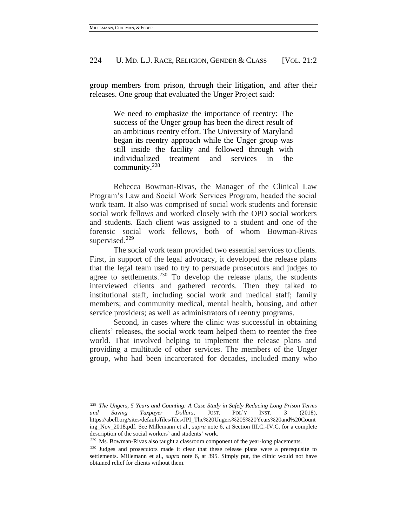group members from prison, through their litigation, and after their releases. One group that evaluated the Unger Project said:

> We need to emphasize the importance of reentry: The success of the Unger group has been the direct result of an ambitious reentry effort. The University of Maryland began its reentry approach while the Unger group was still inside the facility and followed through with individualized treatment and services in the community.<sup>228</sup>

Rebecca Bowman-Rivas, the Manager of the Clinical Law Program's Law and Social Work Services Program, headed the social work team. It also was comprised of social work students and forensic social work fellows and worked closely with the OPD social workers and students. Each client was assigned to a student and one of the forensic social work fellows, both of whom Bowman-Rivas supervised.<sup>229</sup>

The social work team provided two essential services to clients. First, in support of the legal advocacy, it developed the release plans that the legal team used to try to persuade prosecutors and judges to agree to settlements.<sup>230</sup> To develop the release plans, the students interviewed clients and gathered records. Then they talked to institutional staff, including social work and medical staff; family members; and community medical, mental health, housing, and other service providers; as well as administrators of reentry programs.

Second, in cases where the clinic was successful in obtaining clients' releases, the social work team helped them to reenter the free world. That involved helping to implement the release plans and providing a multitude of other services. The members of the Unger group, who had been incarcerated for decades, included many who

<sup>228</sup> *The Ungers, 5 Years and Counting: A Case Study in Safely Reducing Long Prison Terms and Saving Taxpayer Dollars*, JUST. POL'Y INST. 3 (2018), https://abell.org/sites/default/files/files/JPI\_The%20Ungers%205%20Years%20and%20Count ing\_Nov\_2018.pdf. See Millemann et al., *supra* note 6, at Section III.C.-IV.C. for a complete description of the social workers' and students' work.

<sup>229</sup> Ms. Bowman-Rivas also taught a classroom component of the year-long placements.

<sup>&</sup>lt;sup>230</sup> Judges and prosecutors made it clear that these release plans were a prerequisite to settlements. Millemann et al., *supra* note 6, at 395. Simply put, the clinic would not have obtained relief for clients without them.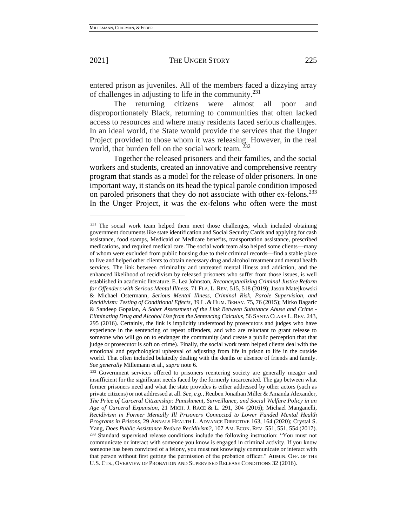entered prison as juveniles. All of the members faced a dizzying array of challenges in adjusting to life in the community.<sup>231</sup>

The returning citizens were almost all poor and disproportionately Black, returning to communities that often lacked access to resources and where many residents faced serious challenges. In an ideal world, the State would provide the services that the Unger Project provided to those whom it was releasing. However, in the real world, that burden fell on the social work team. <sup>232</sup>

Together the released prisoners and their families, and the social workers and students, created an innovative and comprehensive reentry program that stands as a model for the release of older prisoners. In one important way, it stands on its head the typical parole condition imposed on paroled prisoners that they do not associate with other ex-felons.<sup>233</sup> In the Unger Project, it was the ex-felons who often were the most

<sup>231</sup> The social work team helped them meet those challenges, which included obtaining government documents like state identification and Social Security Cards and applying for cash assistance, food stamps, Medicaid or Medicare benefits, transportation assistance, prescribed medications, and required medical care. The social work team also helped some clients—many of whom were excluded from public housing due to their criminal records—find a stable place to live and helped other clients to obtain necessary drug and alcohol treatment and mental health services. The link between criminality and untreated mental illness and addiction, and the enhanced likelihood of recidivism by released prisoners who suffer from those issues, is well established in academic literature. E. Lea Johnston, *Reconceptualizing Criminal Justice Reform for Offenders with Serious Mental Illness*, 71 FLA. L. REV. 515, 518 (2019); Jason Matejkowski & Michael Ostermann*, Serious Mental Illness, Criminal Risk, Parole Supervision, and Recidivism: Testing of Conditional Effects*, 39 L. & HUM. BEHAV. 75, 76 (2015); Mirko Bagaric & Sandeep Gopalan, *A Sober Assessment of the Link Between Substance Abuse and Crime - Eliminating Drug and Alcohol Use from the Sentencing Calculus*, 56 SANTA CLARA L.REV. 243, 295 (2016). Certainly, the link is implicitly understood by prosecutors and judges who have experience in the sentencing of repeat offenders, and who are reluctant to grant release to someone who will go on to endanger the community (and create a public perception that that judge or prosecutor is soft on crime). Finally, the social work team helped clients deal with the emotional and psychological upheaval of adjusting from life in prison to life in the outside world. That often included belatedly dealing with the deaths or absence of friends and family. *See generally* Millemann et al., *supra* note 6.

<sup>&</sup>lt;sup>232</sup> Government services offered to prisoners reentering society are generally meager and insufficient for the significant needs faced by the formerly incarcerated. The gap between what former prisoners need and what the state provides is either addressed by other actors (such as private citizens) or not addressed at all. *See, e.g.*, Reuben Jonathan Miller & Amanda Alexander, *The Price of Carceral Citizenship: Punishment, Surveillance, and Social Welfare Policy in an Age of Carceral Expansion*, 21 MICH. J. RACE & L. 291, 304 (2016); Michael Manganelli, *Recidivism in Former Mentally Ill Prisoners Connected to Lower Funded Mental Health Programs in Prisons*, 29 ANNALS HEALTH L. ADVANCE DIRECTIVE 163, 164 (2020); Crystal S. Yang, *Does Public Assistance Reduce Recidivism?*, 107 AM. ECON. REV. 551, 551, 554 (2017). <sup>233</sup> Standard supervised release conditions include the following instruction: "You must not communicate or interact with someone you know is engaged in criminal activity. If you know someone has been convicted of a felony, you must not knowingly communicate or interact with that person without first getting the permission of the probation officer." ADMIN. OFF. OF THE U.S. CTS., OVERVIEW OF PROBATION AND SUPERVISED RELEASE CONDITIONS 32 (2016).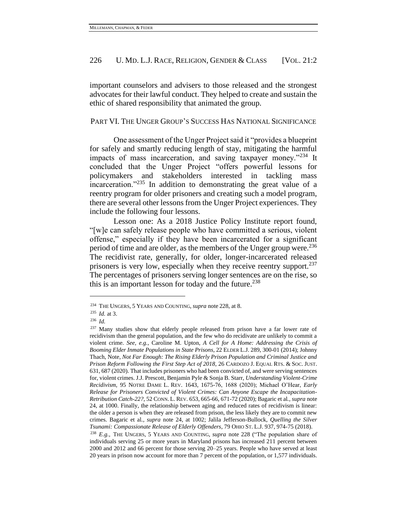important counselors and advisers to those released and the strongest advocates for their lawful conduct. They helped to create and sustain the ethic of shared responsibility that animated the group.

PART VI. THE UNGER GROUP'S SUCCESS HAS NATIONAL SIGNIFICANCE

One assessment of the Unger Project said it "provides a blueprint for safely and smartly reducing length of stay, mitigating the harmful impacts of mass incarceration, and saving taxpayer money."<sup>234</sup> It concluded that the Unger Project "offers powerful lessons for policymakers and stakeholders interested in tackling mass incarceration."<sup>235</sup> In addition to demonstrating the great value of a reentry program for older prisoners and creating such a model program, there are several other lessons from the Unger Project experiences. They include the following four lessons.

Lesson one: As a 2018 Justice Policy Institute report found, "[w]e can safely release people who have committed a serious, violent offense," especially if they have been incarcerated for a significant period of time and are older, as the members of the Unger group were.<sup>236</sup> The recidivist rate, generally, for older, longer-incarcerated released prisoners is very low, especially when they receive reentry support.<sup>237</sup> The percentages of prisoners serving longer sentences are on the rise, so this is an important lesson for today and the future. $238$ 

<sup>234</sup> THE UNGERS, 5 YEARS AND COUNTING, *supra* note 228, at 8.

<sup>235</sup> *Id.* at 3.

<sup>236</sup> *Id.* 

<sup>&</sup>lt;sup>237</sup> Many studies show that elderly people released from prison have a far lower rate of recidivism than the general population, and the few who do recidivate are unlikely to commit a violent crime. *See, e.g.*, Caroline M. Upton, *A Cell for A Home: Addressing the Crisis of Booming Elder Inmate Populations in State Prisons*, 22 ELDER L.J. 289, 300-01 (2014); Johnny Thach, Note, *Not Far Enough: The Rising Elderly Prison Population and Criminal Justice and Prison Reform Following the First Step Act of 2018*, 26 CARDOZO J. EQUAL RTS. & SOC. JUST. 631, 687 (2020). That includes prisoners who had been convicted of, and were serving sentences for, violent crimes. J.J. Prescott, Benjamin Pyle & Sonja B. Starr, *Understanding Violent-Crime Recidivism*, 95 NOTRE DAME L. REV. 1643, 1675-76, 1688 (2020); Michael O'Hear, *Early Release for Prisoners Convicted of Violent Crimes: Can Anyone Escape the Incapacitation-Retribution Catch-22?*, 52 CONN. L. REV. 653, 665-66, 671-72 (2020); Bagaric et al*., supra* note [24,](#page-4-0) at 1000. Finally, the relationship between aging and reduced rates of recidivism is linear: the older a person is when they are released from prison, the less likely they are to commit new crimes. Bagaric et al*., supra* note [24,](#page-4-0) at 1002; Jalila Jefferson-Bullock, *Quelling the Silver Tsunami: Compassionate Release of Elderly Offenders*, 79 OHIO ST. L.J. 937, 974-75 (2018). <sup>238</sup> *E.g.,* THE UNGERS, 5 YEARS AND COUNTING, *supra* note 228 ("The population share of individuals serving 25 or more years in Maryland prisons has increased 211 percent between

<sup>2000</sup> and 2012 and 66 percent for those serving 20–25 years. People who have served at least 20 years in prison now account for more than 7 percent of the population, or 1,577 individuals.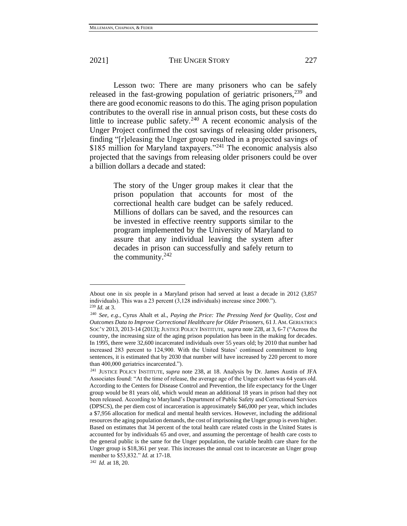Lesson two: There are many prisoners who can be safely released in the fast-growing population of geriatric prisoners,<sup>239</sup> and there are good economic reasons to do this. The aging prison population contributes to the overall rise in annual prison costs, but these costs do little to increase public safety.<sup>240</sup> A recent economic analysis of the Unger Project confirmed the cost savings of releasing older prisoners, finding "[r]eleasing the Unger group resulted in a projected savings of \$185 million for Maryland taxpayers."<sup>241</sup> The economic analysis also projected that the savings from releasing older prisoners could be over a billion dollars a decade and stated:

> The story of the Unger group makes it clear that the prison population that accounts for most of the correctional health care budget can be safely reduced. Millions of dollars can be saved, and the resources can be invested in effective reentry supports similar to the program implemented by the University of Maryland to assure that any individual leaving the system after decades in prison can successfully and safely return to the community. $242$

About one in six people in a Maryland prison had served at least a decade in 2012 (3,857 individuals). This was a 23 percent (3,128 individuals) increase since 2000."). <sup>239</sup> *Id.* at 3.

<sup>240</sup> *See, e.g.*, Cyrus Ahalt et al., *Paying the Price: The Pressing Need for Quality, Cost and Outcomes Data to Improve Correctional Healthcare for Older Prisoners,* 61 J. AM. GERIATRICS SOC'Y 2013, 2013-14 (2013); JUSTICE POLICY INSTITUTE, *supra* note 228, at 3, 6-7 ("Across the country, the increasing size of the aging prison population has been in the making for decades. In 1995, there were 32,600 incarcerated individuals over 55 years old; by 2010 that number had increased 283 percent to 124,900. With the United States' continued commitment to long sentences, it is estimated that by 2030 that number will have increased by 220 percent to more than 400,000 geriatrics incarcerated.").

<sup>241</sup> JUSTICE POLICY INSTITUTE, *supra* note 238, at 18. Analysis by Dr. James Austin of JFA Associates found: "At the time of release, the average age of the Unger cohort was 64 years old. According to the Centers for Disease Control and Prevention, the life expectancy for the Unger group would be 81 years old, which would mean an additional 18 years in prison had they not been released. According to Maryland's Department of Public Safety and Correctional Services (DPSCS), the per diem cost of incarceration is approximately \$46,000 per year, which includes a \$7,956 allocation for medical and mental health services. However, including the additional resources the aging population demands, the cost of imprisoning the Unger group is even higher. Based on estimates that 34 percent of the total health care related costs in the United States is accounted for by individuals 65 and over, and assuming the percentage of health care costs to the general public is the same for the Unger population, the variable health care share for the Unger group is \$18,361 per year. This increases the annual cost to incarcerate an Unger group member to \$53,832." *Id*. at 17-18.

<sup>242</sup> *Id*. at 18, 20.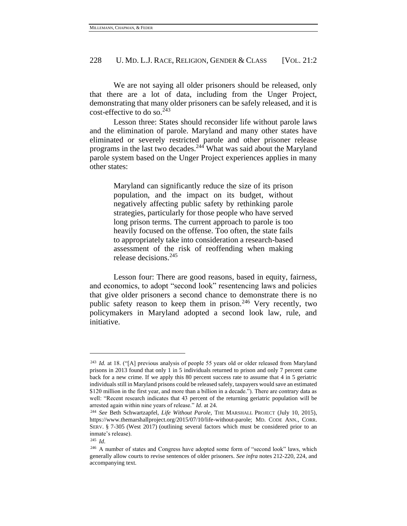We are not saying all older prisoners should be released, only that there are a lot of data, including from the Unger Project, demonstrating that many older prisoners can be safely released, and it is cost-effective to do so. $243$ 

Lesson three: States should reconsider life without parole laws and the elimination of parole. Maryland and many other states have eliminated or severely restricted parole and other prisoner release programs in the last two decades.<sup>244</sup> What was said about the Maryland parole system based on the Unger Project experiences applies in many other states:

> Maryland can significantly reduce the size of its prison population, and the impact on its budget, without negatively affecting public safety by rethinking parole strategies, particularly for those people who have served long prison terms. The current approach to parole is too heavily focused on the offense. Too often, the state fails to appropriately take into consideration a research-based assessment of the risk of reoffending when making release decisions.<sup>245</sup>

Lesson four: There are good reasons, based in equity, fairness, and economics, to adopt "second look" resentencing laws and policies that give older prisoners a second chance to demonstrate there is no public safety reason to keep them in prison.<sup>246</sup> Very recently, two policymakers in Maryland adopted a second look law, rule, and initiative.

<sup>243</sup> *Id.* at 18. ("[A] previous analysis of people 55 years old or older released from Maryland prisons in 2013 found that only 1 in 5 individuals returned to prison and only 7 percent came back for a new crime. If we apply this 80 percent success rate to assume that 4 in 5 geriatric individuals still in Maryland prisons could be released safely, taxpayers would save an estimated \$120 million in the first year, and more than a billion in a decade."). There are contrary data as well: "Recent research indicates that 43 percent of the returning geriatric population will be arrested again within nine years of release." *Id*. at 24.

<sup>&</sup>lt;sup>244</sup> See Beth Schwartzapfel, *Life Without Parole*, THE MARSHALL PROJECT (July 10, 2015), https://www.themarshallproject.org/2015/07/10/life-without-parole; MD. CODE ANN., CORR. SERV. § 7-305 (West 2017) (outlining several factors which must be considered prior to an inmate's release).

<sup>245</sup> *Id*.

<sup>&</sup>lt;sup>246</sup> A number of states and Congress have adopted some form of "second look" laws, which generally allow courts to revise sentences of older prisoners. *See infra* notes 212-220, 224, and accompanying text.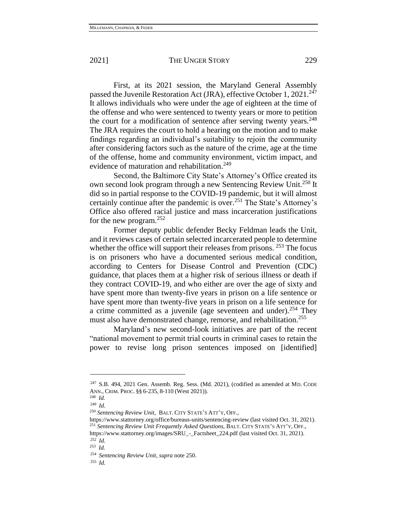First, at its 2021 session, the Maryland General Assembly passed the Juvenile Restoration Act (JRA), effective October 1, 2021.<sup>247</sup> It allows individuals who were under the age of eighteen at the time of the offense and who were sentenced to twenty years or more to petition the court for a modification of sentence after serving twenty years.<sup>248</sup> The JRA requires the court to hold a hearing on the motion and to make findings regarding an individual's suitability to rejoin the community after considering factors such as the nature of the crime, age at the time of the offense, home and community environment, victim impact, and evidence of maturation and rehabilitation.<sup>249</sup>

Second, the Baltimore City State's Attorney's Office created its own second look program through a new Sentencing Review Unit.<sup>250</sup> It did so in partial response to the COVID-19 pandemic, but it will almost certainly continue after the pandemic is over.<sup>251</sup> The State's Attorney's Office also offered racial justice and mass incarceration justifications for the new program.<sup>252</sup>

Former deputy public defender Becky Feldman leads the Unit, and it reviews cases of certain selected incarcerated people to determine whether the office will support their releases from prisons.  $253$  The focus is on prisoners who have a documented serious medical condition, according to Centers for Disease Control and Prevention (CDC) guidance, that places them at a higher risk of serious illness or death if they contract COVID-19, and who either are over the age of sixty and have spent more than twenty-five years in prison on a life sentence or have spent more than twenty-five years in prison on a life sentence for a crime committed as a juvenile (age seventeen and under).<sup>254</sup> They must also have demonstrated change, remorse, and rehabilitation.<sup>255</sup>

Maryland's new second-look initiatives are part of the recent "national movement to permit trial courts in criminal cases to retain the power to revise long prison sentences imposed on [identified]

<sup>255</sup> *Id.* 

<sup>247</sup> S.B. 494, 2021 Gen. Assemb. Reg. Sess. (Md. 2021), (codified as amended at MD. CODE ANN., CRIM. PROC. §§ 6-235, 8-110 (West 2021)).

<sup>248</sup> *Id.*

<sup>249</sup> *Id*.

<sup>250</sup> *Sentencing Review Unit*, BALT. CITY STATE'S ATT'Y, OFF.,

https://www.stattorney.org/office/bureaus-units/sentencing-review (last visited Oct. 31, 2021). <sup>251</sup> *Sentencing Review Unit Frequently Asked Questions*, BALT. CITY STATE'S ATT'Y, OFF., https://www.stattorney.org/images/SRU\_-\_Factsheet\_224.pdf (last visited Oct. 31, 2021).

<sup>252</sup> *Id.*

<sup>253</sup> *Id.*

<sup>254</sup> *Sentencing Review Unit*, *supra* note 250.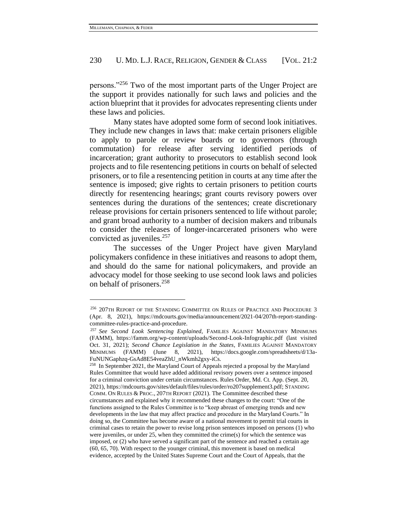persons."<sup>256</sup> Two of the most important parts of the Unger Project are the support it provides nationally for such laws and policies and the action blueprint that it provides for advocates representing clients under these laws and policies.

Many states have adopted some form of second look initiatives. They include new changes in laws that: make certain prisoners eligible to apply to parole or review boards or to governors (through commutation) for release after serving identified periods of incarceration; grant authority to prosecutors to establish second look projects and to file resentencing petitions in courts on behalf of selected prisoners, or to file a resentencing petition in courts at any time after the sentence is imposed; give rights to certain prisoners to petition courts directly for resentencing hearings; grant courts revisory powers over sentences during the durations of the sentences; create discretionary release provisions for certain prisoners sentenced to life without parole; and grant broad authority to a number of decision makers and tribunals to consider the releases of longer-incarcerated prisoners who were convicted as juveniles. $257$ 

The successes of the Unger Project have given Maryland policymakers confidence in these initiatives and reasons to adopt them, and should do the same for national policymakers, and provide an advocacy model for those seeking to use second look laws and policies on behalf of prisoners.<sup>258</sup>

<sup>256</sup> 207TH REPORT OF THE STANDING COMMITTEE ON RULES OF PRACTICE AND PROCEDURE 3 (Apr. 8, 2021), https://mdcourts.gov/media/announcement/2021-04/207th-report-standingcommittee-rules-practice-and-procedure.

<sup>257</sup> *See Second Look Sentencing Explained*, FAMILIES AGAINST MANDATORY MINIMUMS (FAMM), https://famm.org/wp-content/uploads/Second-Look-Infographic.pdf (last visited Oct. 31, 2021); *Second Chance Legislation in the States*, FAMILIES AGAINST MANDATORY MINIMUMS (FAMM) (June 8, 2021), https://docs.google.com/spreadsheets/d/13a-FuNUNGaphzq-GsAd8E54veaZhU\_nWkmh2gxy-iCs.

<sup>&</sup>lt;sup>258</sup> In September 2021, the Maryland Court of Appeals rejected a proposal by the Maryland Rules Committee that would have added additional revisory powers over a sentence imposed for a criminal conviction under certain circumstances. Rules Order, Md. Ct. App. (Sept. 20, 2021)[, https://mdcourts.gov/sites/default/files/rules/order/ro207supplement3.pdf;](https://mdcourts.gov/sites/default/files/rules/order/ro207supplement3.pdf) STANDING COMM. ON RULES & PROC., 207TH REPORT (2021). The Committee described these circumstances and explained why it recommended these changes to the court: "One of the functions assigned to the Rules Committee is to "keep abreast of emerging trends and new developments in the law that may affect practice and procedure in the Maryland Courts." In doing so, the Committee has become aware of a national movement to permit trial courts in criminal cases to retain the power to revise long prison sentences imposed on persons (1) who were juveniles, or under 25, when they committed the crime(s) for which the sentence was imposed, or (2) who have served a significant part of the sentence and reached a certain age (60, 65, 70). With respect to the younger criminal, this movement is based on medical evidence, accepted by the United States Supreme Court and the Court of Appeals, that the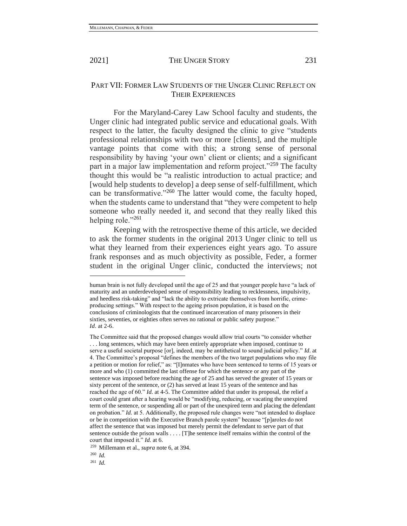# PART VII: FORMER LAW STUDENTS OF THE UNGER CLINIC REFLECT ON THEIR EXPERIENCES

For the Maryland-Carey Law School faculty and students, the Unger clinic had integrated public service and educational goals. With respect to the latter, the faculty designed the clinic to give "students professional relationships with two or more [clients], and the multiple vantage points that come with this; a strong sense of personal responsibility by having 'your own' client or clients; and a significant part in a major law implementation and reform project."<sup>259</sup> The faculty thought this would be "a realistic introduction to actual practice; and [would help students to develop] a deep sense of self-fulfillment, which can be transformative."<sup>260</sup> The latter would come, the faculty hoped, when the students came to understand that "they were competent to help someone who really needed it, and second that they really liked this helping role."<sup>261</sup>

Keeping with the retrospective theme of this article, we decided to ask the former students in the original 2013 Unger clinic to tell us what they learned from their experiences eight years ago. To assure frank responses and as much objectivity as possible, Feder, a former student in the original Unger clinic, conducted the interviews; not

<sup>261</sup> *Id.*

human brain is not fully developed until the age of 25 and that younger people have "a lack of maturity and an underdeveloped sense of responsibility leading to recklessness, impulsivity, and heedless risk-taking" and "lack the ability to extricate themselves from horrific, crimeproducing settings." With respect to the ageing prison population, it is based on the conclusions of criminologists that the continued incarceration of many prisoners in their sixties, seventies, or eighties often serves no rational or public safety purpose." *Id*. at 2-6.

The Committee said that the proposed changes would allow trial courts "to consider whether . . . long sentences, which may have been entirely appropriate when imposed, continue to serve a useful societal purpose [or], indeed, may be antithetical to sound judicial policy." *Id*. at 4. The Committee's proposal "defines the members of the two target populations who may file a petition or motion for relief," as: "[I]nmates who have been sentenced to terms of 15 years or more and who (1) committed the last offense for which the sentence or any part of the sentence was imposed before reaching the age of 25 and has served the greater of 15 years or sixty percent of the sentence, or (2) has served at least 15 years of the sentence and has reached the age of 60." *Id*. at 4-5. The Committee added that under its proposal, the relief a court could grant after a hearing would be "modifying, reducing, or vacating the unexpired term of the sentence, or suspending all or part of the unexpired term and placing the defendant on probation." *Id.* at 5. Additionally, the proposed rule changes were "not intended to displace or be in competition with the Executive Branch parole system" because "[p]aroles do not affect the sentence that was imposed but merely permit the defendant to serve part of that sentence outside the prison walls . . . . [T]he sentence itself remains within the control of the court that imposed it." *Id.* at 6.

<sup>259</sup> Millemann et al., *supra* note 6, at 394.

<sup>260</sup> *Id.*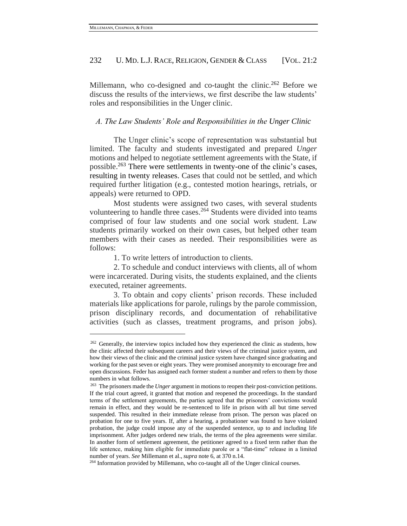Millemann, who co-designed and co-taught the clinic.<sup>262</sup> Before we discuss the results of the interviews, we first describe the law students' roles and responsibilities in the Unger clinic.

## *A. The Law Students' Role and Responsibilities in the Unger Clinic*

The Unger clinic's scope of representation was substantial but limited. The faculty and students investigated and prepared *Unger* motions and helped to negotiate settlement agreements with the State, if possible.<sup>263</sup> There were settlements in twenty-one of the clinic's cases, resulting in twenty releases. Cases that could not be settled, and which required further litigation (e.g., contested motion hearings, retrials, or appeals) were returned to OPD.

Most students were assigned two cases, with several students volunteering to handle three cases.<sup>264</sup> Students were divided into teams comprised of four law students and one social work student. Law students primarily worked on their own cases, but helped other team members with their cases as needed. Their responsibilities were as follows:

1. To write letters of introduction to clients.

2. To schedule and conduct interviews with clients, all of whom were incarcerated. During visits, the students explained, and the clients executed, retainer agreements.

3. To obtain and copy clients' prison records. These included materials like applications for parole, rulings by the parole commission, prison disciplinary records, and documentation of rehabilitative activities (such as classes, treatment programs, and prison jobs).

<sup>&</sup>lt;sup>262</sup> Generally, the interview topics included how they experienced the clinic as students, how the clinic affected their subsequent careers and their views of the criminal justice system, and how their views of the clinic and the criminal justice system have changed since graduating and working for the past seven or eight years. They were promised anonymity to encourage free and open discussions. Feder has assigned each former student a number and refers to them by those numbers in what follows.

<sup>263</sup> The prisoners made the *Unger* argument in motions to reopen their post-conviction petitions. If the trial court agreed, it granted that motion and reopened the proceedings. In the standard terms of the settlement agreements, the parties agreed that the prisoners' convictions would remain in effect, and they would be re-sentenced to life in prison with all but time served suspended. This resulted in their immediate release from prison. The person was placed on probation for one to five years. If, after a hearing, a probationer was found to have violated probation, the judge could impose any of the suspended sentence, up to and including life imprisonment. After judges ordered new trials, the terms of the plea agreements were similar. In another form of settlement agreement, the petitioner agreed to a fixed term rather than the life sentence, making him eligible for immediate parole or a "flat-time" release in a limited number of years. *See* Millemann et al., *supra* note 6, at 370 n.14.

<sup>&</sup>lt;sup>264</sup> Information provided by Millemann, who co-taught all of the Unger clinical courses.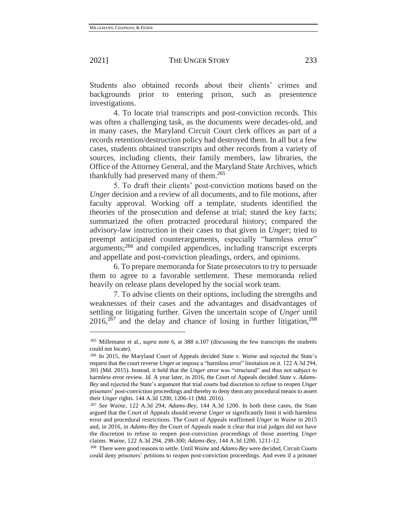Students also obtained records about their clients' crimes and backgrounds prior to entering prison, such as presentence investigations.

4. To locate trial transcripts and post-conviction records. This was often a challenging task, as the documents were decades-old, and in many cases, the Maryland Circuit Court clerk offices as part of a records retention/destruction policy had destroyed them. In all but a few cases, students obtained transcripts and other records from a variety of sources, including clients, their family members, law libraries, the Office of the Attorney General, and the Maryland State Archives, which thankfully had preserved many of them.<sup>265</sup>

5. To draft their clients' post-conviction motions based on the *Unger* decision and a review of all documents, and to file motions, after faculty approval*.* Working off a template, students identified the theories of the prosecution and defense at trial; stated the key facts; summarized the often protracted procedural history; compared the advisory-law instruction in their cases to that given in *Unger*; tried to preempt anticipated counterarguments, especially "harmless error" arguments;<sup>266</sup> and compiled appendices, including transcript excerpts and appellate and post-conviction pleadings, orders, and opinions.

6. To prepare memoranda for State prosecutors to try to persuade them to agree to a favorable settlement. These memoranda relied heavily on release plans developed by the social work team.

7. To advise clients on their options, including the strengths and weaknesses of their cases and the advantages and disadvantages of settling or litigating further. Given the uncertain scope of *Unger* until  $2016$ ,<sup>267</sup> and the delay and chance of losing in further litigation,<sup>268</sup>

<sup>265</sup> Millemann et al., *supra* note 6, at 388 n.107 (discussing the few transcripts the students could not locate).

<sup>266</sup> In 2015, the Maryland Court of Appeals decided *State v. Waine* and rejected the State's request that the court reverse *Unge*r or impose a "harmless error" limitation on it. 122 A.3d 294, 301 (Md. 2015). Instead, it held that the *Unger* error was "structural" and thus not subject to harmless error review. *Id.* A year later, in 2016, the Court of Appeals decided *State v. Adams-Bey* and rejected the State's argument that trial courts had discretion to refuse to reopen *Unger* prisoners' post-conviction proceedings and thereby to deny them any procedural means to assert their *Unger* rights. 144 A.3d 1200, 1206-11 (Md. 2016).

<sup>267</sup> *See Waine*, 122 A.3d 294; *Adams-Bey*, 144 A.3d 1200. In both these cases, the State argued that the Court of Appeals should reverse *Unger* or significantly limit it with harmless error and procedural restrictions. The Court of Appeals reaffirmed *Unger* in *Waine* in 2015 and, in 2016, in *Adams-Bey* the Court of Appeals made it clear that trial judges did not have the discretion to refuse to reopen post-conviction proceedings of those asserting *Unger* claims. *Waine*, 122 A.3d 294, 298-300; *Adams-Bey*, 144 A.3d 1200, 1211-12.

<sup>268</sup> There were good reasons to settle. Until *Waine* and *Adams-Bey* were decided, Circuit Courts could deny prisoners' petitions to reopen post-conviction proceedings. And even if a prisoner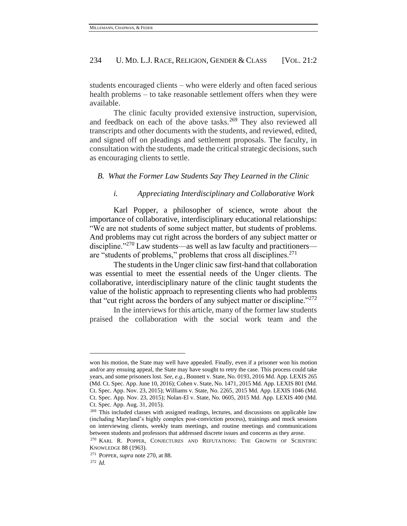students encouraged clients – who were elderly and often faced serious health problems – to take reasonable settlement offers when they were available.

The clinic faculty provided extensive instruction, supervision, and feedback on each of the above tasks.<sup>269</sup> They also reviewed all transcripts and other documents with the students, and reviewed, edited, and signed off on pleadings and settlement proposals. The faculty, in consultation with the students, made the critical strategic decisions, such as encouraging clients to settle.

#### *B. What the Former Law Students Say They Learned in the Clinic*

## *i. Appreciating Interdisciplinary and Collaborative Work*

Karl Popper, a philosopher of science, wrote about the importance of collaborative, interdisciplinary educational relationships: "We are not students of some subject matter, but students of problems. And problems may cut right across the borders of any subject matter or discipline."<sup>270</sup> Law students—as well as law faculty and practitioners are "students of problems," problems that cross all disciplines.<sup>271</sup>

<span id="page-50-0"></span>The students in the Unger clinic saw first-hand that collaboration was essential to meet the essential needs of the Unger clients. The collaborative, interdisciplinary nature of the clinic taught students the value of the holistic approach to representing clients who had problems that "cut right across the borders of any subject matter or discipline."<sup>272</sup>

In the interviews for this article, many of the former law students praised the collaboration with the social work team and the

won his motion, the State may well have appealed. Finally, even if a prisoner won his motion and/or any ensuing appeal, the State may have sought to retry the case. This process could take years, and some prisoners lost. *See, e.g.*, Bonnett v. State, No. 0193, 2016 Md. App. LEXIS 265 (Md. Ct. Spec. App. June 10, 2016); Cohen v. State, No. 1471, 2015 Md. App. LEXIS 801 (Md. Ct. Spec. App. Nov. 23, 2015); Williams v. State, No. 2265, 2015 Md. App. LEXIS 1046 (Md. Ct. Spec. App. Nov. 23, 2015); Nolan-El v. State, No. 0605, 2015 Md. App. LEXIS 400 (Md. Ct. Spec. App. Aug. 31, 2015).

<sup>&</sup>lt;sup>269</sup> This included classes with assigned readings, lectures, and discussions on applicable law (including Maryland's highly complex post-conviction process), trainings and mock sessions on interviewing clients, weekly team meetings, and routine meetings and communications between students and professors that addressed discrete issues and concerns as they arose.

<sup>&</sup>lt;sup>270</sup> KARL R. POPPER, CONJECTURES AND REFUTATIONS: THE GROWTH OF SCIENTIFIC KNOWLEDGE 88 (1963).

<sup>271</sup> POPPER*, supra* note [270,](#page-50-0) at 88.

<sup>272</sup> *Id.*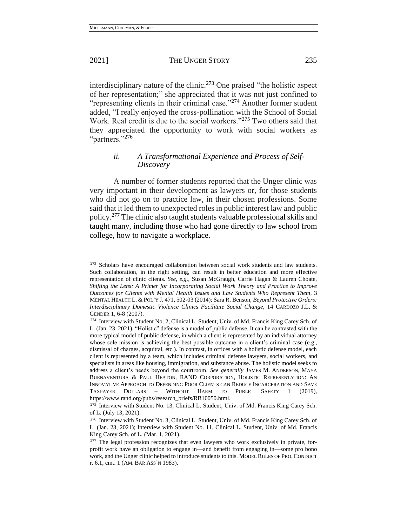interdisciplinary nature of the clinic.<sup>273</sup> One praised "the holistic aspect of her representation;" she appreciated that it was not just confined to "representing clients in their criminal case."<sup>274</sup> Another former student added, "I really enjoyed the cross-pollination with the School of Social Work. Real credit is due to the social workers."<sup>275</sup> Two others said that they appreciated the opportunity to work with social workers as "partners."<sup>276</sup>

# *ii. A Transformational Experience and Process of Self-Discovery*

A number of former students reported that the Unger clinic was very important in their development as lawyers or, for those students who did not go on to practice law, in their chosen professions. Some said that it led them to unexpected roles in public interest law and public policy.<sup>277</sup> The clinic also taught students valuable professional skills and taught many, including those who had gone directly to law school from college, how to navigate a workplace.

<sup>&</sup>lt;sup>273</sup> Scholars have encouraged collaboration between social work students and law students. Such collaboration, in the right setting, can result in better education and more effective representation of clinic clients. *See, e.g.*, Susan McGraugh, Carrie Hagan & Lauren Choate, *Shifting the Lens: A Primer for Incorporating Social Work Theory and Practice to Improve Outcomes for Clients with Mental Health Issues and Law Students Who Represent Them*, 3 MENTAL HEALTH L. & POL'Y J. 471, 502-03 (2014); Sara R. Benson, *Beyond Protective Orders: Interdisciplinary Domestic Violence Clinics Facilitate Social Change,* 14 CARDOZO J.L. & GENDER 1, 6-8 (2007).

<sup>274</sup> Interview with Student No. 2, Clinical L. Student, Univ. of Md. Francis King Carey Sch. of L. (Jan. 23, 2021). "Holistic" defense is a model of public defense. It can be contrasted with the more typical model of public defense, in which a client is represented by an individual attorney whose sole mission is achieving the best possible outcome in a client's criminal case (e.g., dismissal of charges, acquittal, etc.). In contrast, in offices with a holistic defense model, each client is represented by a team, which includes criminal defense lawyers, social workers, and specialists in areas like housing, immigration, and substance abuse. The holistic model seeks to address a client's needs beyond the courtroom. *See generally* JAMES M. ANDERSON, MAYA BUENAVENTURA & PAUL HEATON, RAND CORPORATION, HOLISTIC REPRESENTATION: AN INNOVATIVE APPROACH TO DEFENDING POOR CLIENTS CAN REDUCE INCARCERATION AND SAVE TAXPAYER DOLLARS – WITHOUT HARM TO PUBLIC SAFETY 1 (2019), https://www.rand.org/pubs/research\_briefs/RB10050.html.

<sup>275</sup> Interview with Student No. 13, Clinical L. Student, Univ. of Md. Francis King Carey Sch. of L. (July 13, 2021).

<sup>276</sup> Interview with Student No. 3, Clinical L. Student, Univ. of Md. Francis King Carey Sch. of L. (Jan. 23, 2021); Interview with Student No. 11, Clinical L. Student, Univ. of Md. Francis King Carey Sch. of L. (Mar. 1, 2021).

 $277$  The legal profession recognizes that even lawyers who work exclusively in private, forprofit work have an obligation to engage in—and benefit from engaging in—some pro bono work, and the Unger clinic helped to introduce students to this. MODEL RULES OF PRO. CONDUCT r. 6.1, cmt. 1 (AM. BAR ASS'N 1983).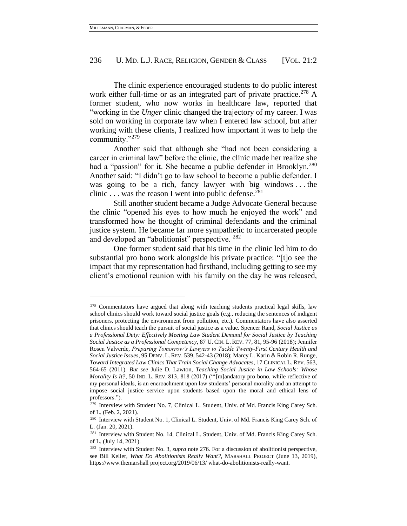The clinic experience encouraged students to do public interest work either full-time or as an integrated part of private practice. <sup>278</sup> A former student, who now works in healthcare law, reported that "working in the *Unger* clinic changed the trajectory of my career. I was sold on working in corporate law when I entered law school, but after working with these clients, I realized how important it was to help the community."<sup>279</sup>

Another said that although she "had not been considering a career in criminal law" before the clinic, the clinic made her realize she had a "passion" for it. She became a public defender in Brooklyn.<sup>280</sup> Another said: "I didn't go to law school to become a public defender. I was going to be a rich, fancy lawyer with big windows  $\dots$  the clinic . . . was the reason I went into public defense.<sup>281</sup>

Still another student became a Judge Advocate General because the clinic "opened his eyes to how much he enjoyed the work" and transformed how he thought of criminal defendants and the criminal justice system. He became far more sympathetic to incarcerated people and developed an "abolitionist" perspective. <sup>282</sup>

One former student said that his time in the clinic led him to do substantial pro bono work alongside his private practice: "[t]o see the impact that my representation had firsthand, including getting to see my client's emotional reunion with his family on the day he was released,

<sup>278</sup> Commentators have argued that along with teaching students practical legal skills, law school clinics should work toward social justice goals (e.g., reducing the sentences of indigent prisoners, protecting the environment from pollution, etc.). Commentators have also asserted that clinics should teach the pursuit of social justice as a value. Spencer Rand, *Social Justice as a Professional Duty: Effectively Meeting Law Student Demand for Social Justice by Teaching Social Justice as a Professional Competency*, 87 U. CIN. L. REV. 77, 81, 95-96 (2018); Jennifer Rosen Valverde, *Preparing Tomorrow's Lawyers to Tackle Twenty-First Century Health and Social Justice Issues*, 95 DENV. L.REV. 539, 542-43 (2018); Marcy L. Karin & Robin R. Runge, *Toward Integrated Law Clinics That Train Social Change Advocates*, 17 CLINICAL L. REV. 563, 564-65 (2011). *But see* Julie D. Lawton, *Teaching Social Justice in Law Schools: Whose Morality Is It?*, 50 IND. L. REV. 813, 818 (2017) ("'[m]andatory pro bono, while reflective of my personal ideals, is an encroachment upon law students' personal morality and an attempt to impose social justice service upon students based upon the moral and ethical lens of professors.").

<sup>279</sup> Interview with Student No. 7, Clinical L. Student, Univ. of Md. Francis King Carey Sch. of L. (Feb. 2, 2021).

<sup>280</sup> Interview with Student No. 1, Clinical L. Student, Univ. of Md. Francis King Carey Sch. of L. (Jan. 20, 2021).

<sup>281</sup> Interview with Student No. 14, Clinical L. Student, Univ. of Md. Francis King Carey Sch. of L. (July 14, 2021).

<sup>282</sup> Interview with Student No. 3, *supra* note 276. For a discussion of abolitionist perspective, see Bill Keller, *What Do Abolitionists Really Want?*, MARSHALL PROJECT (June 13, 2019), https://www.themarshall project.org/2019/06/13/ what-do-abolitionists-really-want.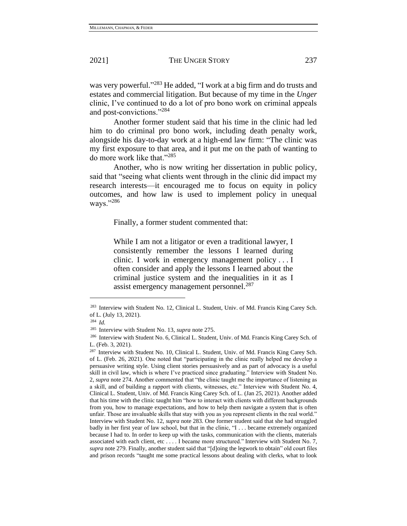was very powerful."<sup>283</sup> He added, "I work at a big firm and do trusts and estates and commercial litigation. But because of my time in the *Unger*  clinic, I've continued to do a lot of pro bono work on criminal appeals and post-convictions."<sup>284</sup>

Another former student said that his time in the clinic had led him to do criminal pro bono work, including death penalty work, alongside his day-to-day work at a high-end law firm: "The clinic was my first exposure to that area, and it put me on the path of wanting to do more work like that."<sup>285</sup>

Another, who is now writing her dissertation in public policy, said that "seeing what clients went through in the clinic did impact my research interests—it encouraged me to focus on equity in policy outcomes, and how law is used to implement policy in unequal ways."<sup>286</sup>

Finally, a former student commented that:

While I am not a litigator or even a traditional lawyer, I consistently remember the lessons I learned during clinic. I work in emergency management policy . . . I often consider and apply the lessons I learned about the criminal justice system and the inequalities in it as I assist emergency management personnel.<sup>287</sup>

<sup>283</sup> Interview with Student No. 12, Clinical L. Student, Univ. of Md. Francis King Carey Sch. of L. (July 13, 2021).

<sup>284</sup> *Id.*

<sup>285</sup> Interview with Student No. 13, *supra* note 275.

<sup>286</sup> Interview with Student No. 6, Clinical L. Student, Univ. of Md. Francis King Carey Sch. of L. (Feb. 3, 2021).

<sup>&</sup>lt;sup>287</sup> Interview with Student No. 10, Clinical L. Student, Univ. of Md. Francis King Carey Sch. of L. (Feb. 26, 2021). One noted that "participating in the clinic really helped me develop a persuasive writing style. Using client stories persuasively and as part of advocacy is a useful skill in civil law, which is where I've practiced since graduating." Interview with Student No. 2, *supra* note 274. Another commented that "the clinic taught me the importance of listening as a skill, and of building a rapport with clients, witnesses, etc." Interview with Student No. 4, Clinical L. Student, Univ. of Md. Francis King Carey Sch. of L. (Jan 25, 2021). Another added that his time with the clinic taught him "how to interact with clients with different backgrounds from you, how to manage expectations, and how to help them navigate a system that is often unfair. Those are invaluable skills that stay with you as you represent clients in the real world." Interview with Student No. 12, *supra* note 283. One former student said that she had struggled badly in her first year of law school, but that in the clinic, "I . . . became extremely organized because I had to. In order to keep up with the tasks, communication with the clients, materials associated with each client, etc . . . . I became more structured." Interview with Student No. 7, *supra* note 279. Finally, another student said that "[d]oing the legwork to obtain" old court files and prison records "taught me some practical lessons about dealing with clerks, what to look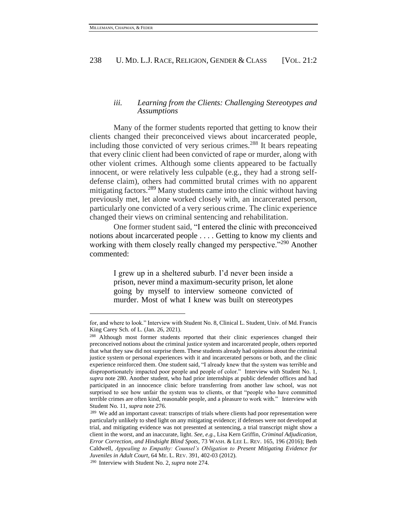## *iii. Learning from the Clients: Challenging Stereotypes and Assumptions*

Many of the former students reported that getting to know their clients changed their preconceived views about incarcerated people, including those convicted of very serious crimes.<sup>288</sup> It bears repeating that every clinic client had been convicted of rape or murder, along with other violent crimes. Although some clients appeared to be factually innocent, or were relatively less culpable (e.g.*,* they had a strong selfdefense claim), others had committed brutal crimes with no apparent mitigating factors.<sup>289</sup> Many students came into the clinic without having previously met, let alone worked closely with, an incarcerated person, particularly one convicted of a very serious crime. The clinic experience changed their views on criminal sentencing and rehabilitation.

One former student said, "I entered the clinic with preconceived notions about incarcerated people . . . . Getting to know my clients and working with them closely really changed my perspective."<sup>290</sup> Another commented:

> I grew up in a sheltered suburb. I'd never been inside a prison, never mind a maximum-security prison, let alone going by myself to interview someone convicted of murder. Most of what I knew was built on stereotypes

for, and where to look." Interview with Student No. 8, Clinical L. Student, Univ. of Md. Francis King Carey Sch. of L. (Jan. 26, 2021).

<sup>288</sup> Although most former students reported that their clinic experiences changed their preconceived notions about the criminal justice system and incarcerated people, others reported that what they saw did not surprise them. These students already had opinions about the criminal justice system or personal experiences with it and incarcerated persons or both, and the clinic experience reinforced them. One student said, "I already knew that the system was terrible and disproportionately impacted poor people and people of color." Interview with Student No. 1, *supra* note 280. Another student, who had prior internships at public defender offices and had participated in an innocence clinic before transferring from another law school, was not surprised to see how unfair the system was to clients, or that "people who have committed terrible crimes are often kind, reasonable people, and a pleasure to work with." Interview with Student No. 11, *supra* note 276.

<sup>&</sup>lt;sup>289</sup> We add an important caveat: transcripts of trials where clients had poor representation were particularly unlikely to shed light on any mitigating evidence; if defenses were not developed at trial, and mitigating evidence was not presented at sentencing, a trial transcript might show a client in the worst, and an inaccurate, light. *See, e.g.*, Lisa Kern Griffin, *Criminal Adjudication, Error Correction, and Hindsight Blind Spots*, 73 WASH. & LEE L. REV. 165, 196 (2016); Beth Caldwell, *Appealing to Empathy: Counsel's Obligation to Present Mitigating Evidence for Juveniles in Adult Court*, 64 ME. L. REV. 391, 402-03 (2012).

<sup>290</sup> Interview with Student No. 2, *supra* note 274.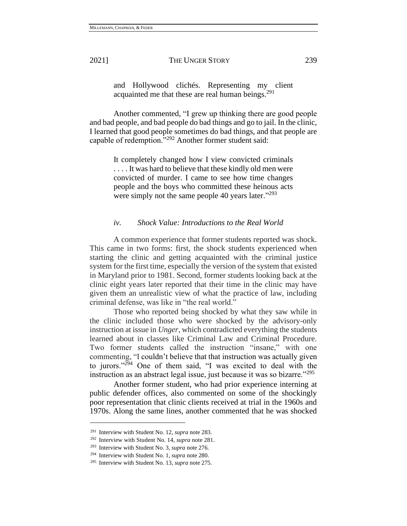and Hollywood clichés. Representing my client acquainted me that these are real human beings.<sup>291</sup>

Another commented, "I grew up thinking there are good people and bad people, and bad people do bad things and go to jail. In the clinic, I learned that good people sometimes do bad things, and that people are capable of redemption."<sup>292</sup> Another former student said:

> It completely changed how I view convicted criminals . . . . It was hard to believe that these kindly old men were convicted of murder. I came to see how time changes people and the boys who committed these heinous acts were simply not the same people 40 years later."<sup>293</sup>

#### *iv. Shock Value: Introductions to the Real World*

A common experience that former students reported was shock. This came in two forms: first, the shock students experienced when starting the clinic and getting acquainted with the criminal justice system for the first time, especially the version of the system that existed in Maryland prior to 1981. Second, former students looking back at the clinic eight years later reported that their time in the clinic may have given them an unrealistic view of what the practice of law, including criminal defense, was like in "the real world."

Those who reported being shocked by what they saw while in the clinic included those who were shocked by the advisory-only instruction at issue in *Unger*, which contradicted everything the students learned about in classes like Criminal Law and Criminal Procedure. Two former students called the instruction "insane," with one commenting, "I couldn't believe that that instruction was actually given to jurors." $294$  One of them said, "I was excited to deal with the instruction as an abstract legal issue, just because it was so bizarre."<sup>295</sup>

Another former student, who had prior experience interning at public defender offices, also commented on some of the shockingly poor representation that clinic clients received at trial in the 1960s and 1970s. Along the same lines, another commented that he was shocked

<sup>291</sup> Interview with Student No. 12, *supra* note 283.

<sup>292</sup> Interview with Student No. 14, *supra* note 281.

<sup>293</sup> Interview with Student No. 3, *supra* note 276.

<sup>294</sup> Interview with Student No. 1, *supra* note 280.

<sup>295</sup> Interview with Student No. 13, *supra* note 275.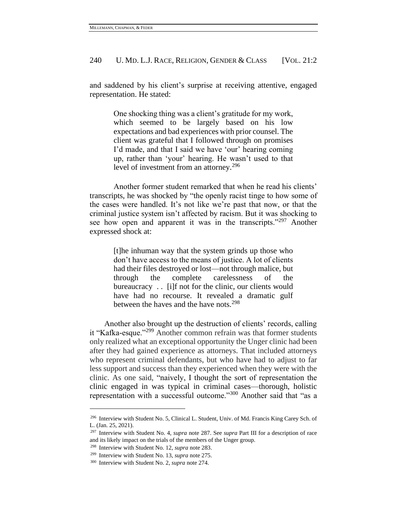and saddened by his client's surprise at receiving attentive, engaged representation. He stated:

> One shocking thing was a client's gratitude for my work, which seemed to be largely based on his low expectations and bad experiences with prior counsel. The client was grateful that I followed through on promises I'd made, and that I said we have 'our' hearing coming up, rather than 'your' hearing. He wasn't used to that level of investment from an attorney.<sup>296</sup>

Another former student remarked that when he read his clients' transcripts, he was shocked by "the openly racist tinge to how some of the cases were handled. It's not like we're past that now, or that the criminal justice system isn't affected by racism. But it was shocking to see how open and apparent it was in the transcripts."<sup>297</sup> Another expressed shock at:

> [t]he inhuman way that the system grinds up those who don't have access to the means of justice. A lot of clients had their files destroyed or lost—not through malice, but through the complete carelessness of the bureaucracy . . [i]f not for the clinic, our clients would have had no recourse. It revealed a dramatic gulf between the haves and the have nots.<sup>298</sup>

Another also brought up the destruction of clients' records, calling it "Kafka-esque."<sup>299</sup> Another common refrain was that former students only realized what an exceptional opportunity the Unger clinic had been after they had gained experience as attorneys. That included attorneys who represent criminal defendants, but who have had to adjust to far less support and success than they experienced when they were with the clinic. As one said, "naively, I thought the sort of representation the clinic engaged in was typical in criminal cases—thorough, holistic representation with a successful outcome."<sup>300</sup> Another said that "as a

<sup>296</sup> Interview with Student No. 5, Clinical L. Student, Univ. of Md. Francis King Carey Sch. of L. (Jan. 25, 2021).

<sup>297</sup> Interview with Student No. 4, *supra* note 287. See *supra* Part III for a description of race and its likely impact on the trials of the members of the Unger group.

<sup>298</sup> Interview with Student No. 12, *supra* note 283.

<sup>299</sup> Interview with Student No. 13, *supra* note 275.

<sup>300</sup> Interview with Student No. 2, *supra* note 274.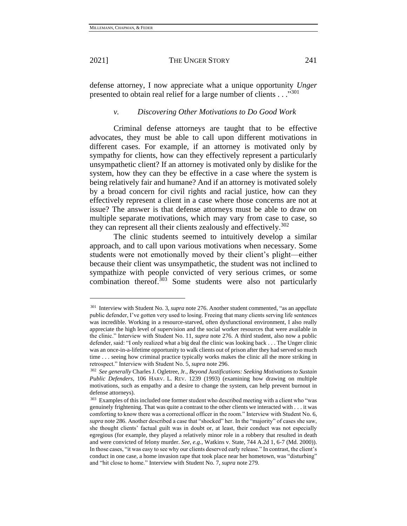defense attorney, I now appreciate what a unique opportunity *Unger* presented to obtain real relief for a large number of clients . . . "301

#### *v. Discovering Other Motivations to Do Good Work*

Criminal defense attorneys are taught that to be effective advocates, they must be able to call upon different motivations in different cases. For example, if an attorney is motivated only by sympathy for clients, how can they effectively represent a particularly unsympathetic client? If an attorney is motivated only by dislike for the system, how they can they be effective in a case where the system is being relatively fair and humane? And if an attorney is motivated solely by a broad concern for civil rights and racial justice, how can they effectively represent a client in a case where those concerns are not at issue? The answer is that defense attorneys must be able to draw on multiple separate motivations, which may vary from case to case, so they can represent all their clients zealously and effectively.<sup>302</sup>

The clinic students seemed to intuitively develop a similar approach, and to call upon various motivations when necessary. Some students were not emotionally moved by their client's plight—either because their client was unsympathetic, the student was not inclined to sympathize with people convicted of very serious crimes, or some combination thereof.<sup>303</sup> Some students were also not particularly

<sup>301</sup> Interview with Student No. 3, *supra* note 276. Another student commented, "as an appellate public defender, I've gotten very used to losing. Freeing that many clients serving life sentences was incredible. Working in a resource-starved, often dysfunctional environment, I also really appreciate the high level of supervision and the social worker resources that were available in the clinic." Interview with Student No. 11, *supra* note 276. A third student, also now a public defender, said: "I only realized what a big deal the clinic was looking back . . . The Unger clinic was an once-in-a-lifetime opportunity to walk clients out of prison after they had served so much time . . . seeing how criminal practice typically works makes the clinic all the more striking in retrospect." Interview with Student No. 5, *supra* note 296.

<sup>302</sup> *See generally* Charles J. Ogletree, Jr., *Beyond Justifications: Seeking Motivations to Sustain Public Defenders*, 106 HARV. L. REV. 1239 (1993) (examining how drawing on multiple motivations, such as empathy and a desire to change the system, can help prevent burnout in defense attorneys).

<sup>&</sup>lt;sup>303</sup> Examples of this included one former student who described meeting with a client who "was genuinely frightening. That was quite a contrast to the other clients we interacted with . . . it was comforting to know there was a correctional officer in the room." Interview with Student No. 6, *supra* note 286. Another described a case that "shocked" her. In the "majority" of cases she saw, she thought clients' factual guilt was in doubt or, at least, their conduct was not especially egregious (for example, they played a relatively minor role in a robbery that resulted in death and were convicted of felony murder. *See, e.g.*, Watkins v. State, 744 A.2d 1, 6-7 (Md. 2000)). In those cases, "it was easy to see why our clients deserved early release." In contrast, the client's conduct in one case, a home invasion rape that took place near her hometown, was "disturbing" and "hit close to home." Interview with Student No. 7, *supra* note 279.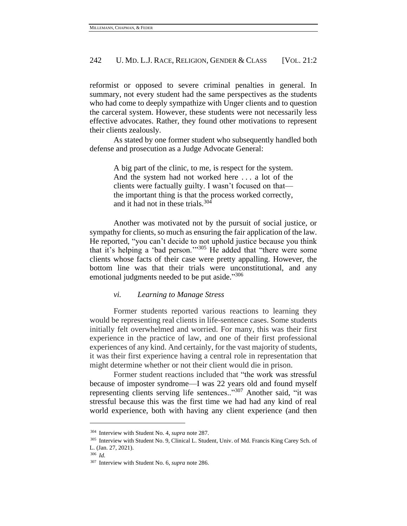reformist or opposed to severe criminal penalties in general. In summary, not every student had the same perspectives as the students who had come to deeply sympathize with Unger clients and to question the carceral system. However, these students were not necessarily less effective advocates. Rather, they found other motivations to represent their clients zealously.

As stated by one former student who subsequently handled both defense and prosecution as a Judge Advocate General:

> A big part of the clinic, to me, is respect for the system. And the system had not worked here . . . a lot of the clients were factually guilty. I wasn't focused on that the important thing is that the process worked correctly, and it had not in these trials.<sup>304</sup>

Another was motivated not by the pursuit of social justice, or sympathy for clients, so much as ensuring the fair application of the law. He reported, "you can't decide to not uphold justice because you think that it's helping a 'bad person.'"<sup>305</sup> He added that "there were some clients whose facts of their case were pretty appalling. However, the bottom line was that their trials were unconstitutional, and any emotional judgments needed to be put aside."306

#### *vi. Learning to Manage Stress*

Former students reported various reactions to learning they would be representing real clients in life-sentence cases. Some students initially felt overwhelmed and worried. For many, this was their first experience in the practice of law, and one of their first professional experiences of any kind. And certainly, for the vast majority of students, it was their first experience having a central role in representation that might determine whether or not their client would die in prison.

Former student reactions included that "the work was stressful because of imposter syndrome—I was 22 years old and found myself representing clients serving life sentences.."<sup>307</sup> Another said, "it was stressful because this was the first time we had had any kind of real world experience, both with having any client experience (and then

<sup>304</sup> Interview with Student No. 4, *supra* note 287.

<sup>305</sup> Interview with Student No. 9, Clinical L. Student, Univ. of Md. Francis King Carey Sch. of L. (Jan. 27, 2021).

<sup>306</sup> *Id.*

<sup>307</sup> Interview with Student No. 6, *supra* note 286.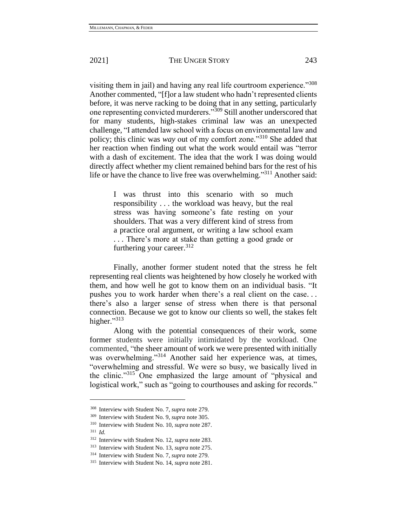visiting them in jail) and having any real life courtroom experience."308 Another commented, "[f]or a law student who hadn't represented clients before, it was nerve racking to be doing that in any setting, particularly one representing convicted murderers."<sup>309</sup> Still another underscored that for many students, high-stakes criminal law was an unexpected challenge, "I attended law school with a focus on environmental law and policy; this clinic was *way* out of my comfort zone."<sup>310</sup> She added that her reaction when finding out what the work would entail was "terror with a dash of excitement. The idea that the work I was doing would directly affect whether my client remained behind bars for the rest of his life or have the chance to live free was overwhelming."<sup>311</sup> Another said:

> I was thrust into this scenario with so much responsibility . . . the workload was heavy, but the real stress was having someone's fate resting on your shoulders. That was a very different kind of stress from a practice oral argument, or writing a law school exam . . . There's more at stake than getting a good grade or furthering your career.  $312$

Finally, another former student noted that the stress he felt representing real clients was heightened by how closely he worked with them, and how well he got to know them on an individual basis. "It pushes you to work harder when there's a real client on the case. . . there's also a larger sense of stress when there is that personal connection. Because we got to know our clients so well, the stakes felt higher."313

Along with the potential consequences of their work, some former students were initially intimidated by the workload. One commented, "the sheer amount of work we were presented with initially was overwhelming."<sup>314</sup> Another said her experience was, at times, "overwhelming and stressful. We were so busy, we basically lived in the clinic."<sup>315</sup> One emphasized the large amount of "physical and logistical work," such as "going to courthouses and asking for records."

<sup>308</sup> Interview with Student No. 7, *supra* note 279.

<sup>309</sup> Interview with Student No. 9, *supra* note 305.

<sup>310</sup> Interview with Student No. 10, *supra* note 287. <sup>311</sup> *Id.*

<sup>312</sup> Interview with Student No. 12, *supra* note 283.

<sup>313</sup> Interview with Student No. 13, *supra* note 275.

<sup>314</sup> Interview with Student No. 7, *supra* note 279.

<sup>315</sup> Interview with Student No. 14, *supra* note 281.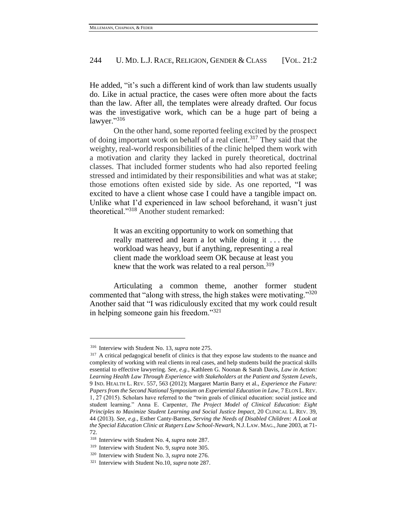He added, "it's such a different kind of work than law students usually do. Like in actual practice, the cases were often more about the facts than the law. After all, the templates were already drafted. Our focus was the investigative work, which can be a huge part of being a lawyer."316

On the other hand, some reported feeling excited by the prospect of doing important work on behalf of a real client.<sup>317</sup> They said that the weighty, real-world responsibilities of the clinic helped them work with a motivation and clarity they lacked in purely theoretical, doctrinal classes. That included former students who had also reported feeling stressed and intimidated by their responsibilities and what was at stake; those emotions often existed side by side. As one reported, "I was excited to have a client whose case I could have a tangible impact on. Unlike what I'd experienced in law school beforehand, it wasn't just theoretical."<sup>318</sup> Another student remarked:

> It was an exciting opportunity to work on something that really mattered and learn a lot while doing it . . . the workload was heavy, but if anything, representing a real client made the workload seem OK because at least you knew that the work was related to a real person.<sup>319</sup>

Articulating a common theme, another former student commented that "along with stress, the high stakes were motivating."<sup>320</sup> Another said that "I was ridiculously excited that my work could result in helping someone gain his freedom."<sup>321</sup>

<sup>316</sup> Interview with Student No. 13, *supra* note 275.

<sup>&</sup>lt;sup>317</sup> A critical pedagogical benefit of clinics is that they expose law students to the nuance and complexity of working with real clients in real cases, and help students build the practical skills essential to effective lawyering. *See*, *e.g.*, Kathleen G. Noonan & Sarah Davis, *Law in Action: Learning Health Law Through Experience with Stakeholders at the Patient and System Levels*, 9 IND. HEALTH L. REV. 557, 563 (2012); Margaret Martin Barry et al., *Experience the Future: Papers from the Second National Symposium on Experiential Education in Law*, 7 ELON L.REV. 1, 27 (2015). Scholars have referred to the "twin goals of clinical education: social justice and student learning." Anna E. Carpenter, *The Project Model of Clinical Education: Eight Principles to Maximize Student Learning and Social Justice Impact*, 20 CLINICAL L. REV. 39, 44 (2013). *See, e.g.*, Esther Canty-Barnes, *Serving the Needs of Disabled Children: A Look at the Special Education Clinic at Rutgers Law School-Newark*, N.J.LAW. MAG.,June 2003, at 71- 72.

<sup>318</sup> Interview with Student No. 4, *supra* note 287.

<sup>319</sup> Interview with Student No. 9, *supra* note 305.

<sup>320</sup> Interview with Student No. 3, *supra* note 276.

<sup>321</sup> Interview with Student No.10, *supra* note 287.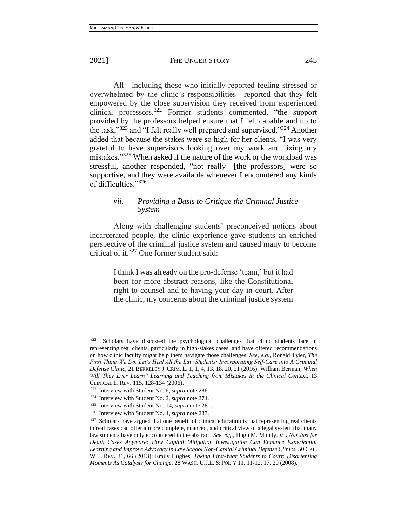All—including those who initially reported feeling stressed or overwhelmed by the clinic's responsibilities—reported that they felt empowered by the close supervision they received from experienced clinical professors.<sup>322</sup> Former students commented, "the support provided by the professors helped ensure that I felt capable and up to the task,"<sup>323</sup> and "I felt really well prepared and supervised."<sup>324</sup> Another added that because the stakes were so high for her clients, "I was very grateful to have supervisors looking over my work and fixing my mistakes."<sup>325</sup> When asked if the nature of the work or the workload was stressful, another responded, "not really—[the professors] were so supportive, and they were available whenever I encountered any kinds of difficulties."<sup>326</sup>

## *vii. Providing a Basis to Critique the Criminal Justice System*

Along with challenging students' preconceived notions about incarcerated people, the clinic experience gave students an enriched perspective of the criminal justice system and caused many to become critical of it.<sup>327</sup> One former student said:

> I think I was already on the pro-defense 'team,' but it had been for more abstract reasons, like the Constitutional right to counsel and to having your day in court. After the clinic, my concerns about the criminal justice system

<sup>322</sup> Scholars have discussed the psychological challenges that clinic students face in representing real clients, particularly in high-stakes cases, and have offered recommendations on how clinic faculty might help them navigate those challenges. *See, e.g.*, Ronald Tyler, *The First Thing We Do, Let's Heal All the Law Students: Incorporating Self-Care into A Criminal Defense Clinic*, 21 BERKELEY J. CRIM. L. 1, 1, 4, 13, 18, 20, 21 (2016); William Berman, *When Will They Ever Learn? Learning and Teaching from Mistakes in the Clinical Context*, 13 CLINICAL L. REV. 115, 128-134 (2006).

<sup>323</sup> Interview with Student No. 6, *supra* note 286.

<sup>324</sup> Interview with Student No. 2, *supra* note 274.

<sup>325</sup> Interview with Student No. 14, *supra* note 281.

<sup>326</sup> Interview with Student No. 4, *supra* note 287.

 $327$  Scholars have argued that one benefit of clinical education is that representing real clients in real cases can offer a more complete, nuanced, and critical view of a legal system that many law students have only encountered in the abstract. *See, e.g.*, Hugh M. Mundy, *It's Not Just for Death Cases Anymore: How Capital Mitigation Investigation Can Enhance Experiential Learning and Improve Advocacy in Law School Non-Capital Criminal Defense Clinics*, 50 CAL. W.L. REV. 31, 66 (2013); Emily Hughes, *Taking First-Year Students to Court: Disorienting Moments As Catalysts for Change*, 28 WASH. U.J.L. & POL'Y 11, 11-12, 17, 20 (2008).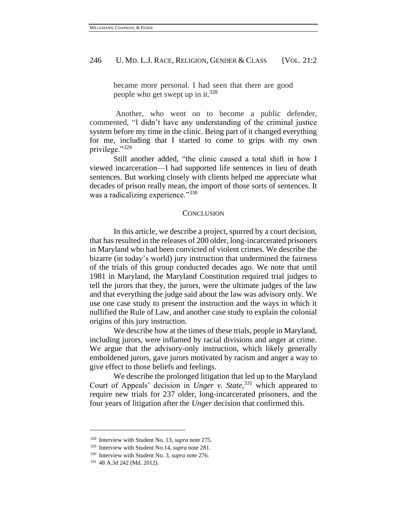became more personal. I had seen that there are good people who get swept up in it.<sup>328</sup>

Another, who went on to become a public defender, commented, "I didn't have any understanding of the criminal justice system before my time in the clinic. Being part of it changed everything for me, including that I started to come to grips with my own privilege."<sup>329</sup>

Still another added, "the clinic caused a total shift in how I viewed incarceration—I had supported life sentences in lieu of death sentences. But working closely with clients helped me appreciate what decades of prison really mean, the import of those sorts of sentences. It was a radicalizing experience."330

#### **CONCLUSION**

In this article, we describe a project, spurred by a court decision, that has resulted in the releases of 200 older, long-incarcerated prisoners in Maryland who had been convicted of violent crimes. We describe the bizarre (in today's world) jury instruction that undermined the fairness of the trials of this group conducted decades ago. We note that until 1981 in Maryland, the Maryland Constitution required trial judges to tell the jurors that they, the jurors, were the ultimate judges of the law and that everything the judge said about the law was advisory only. We use one case study to present the instruction and the ways in which it nullified the Rule of Law, and another case study to explain the colonial origins of this jury instruction.

We describe how at the times of these trials, people in Maryland, including jurors, were inflamed by racial divisions and anger at crime. We argue that the advisory-only instruction, which likely generally emboldened jurors, gave jurors motivated by racism and anger a way to give effect to those beliefs and feelings.

We describe the prolonged litigation that led up to the Maryland Court of Appeals' decision in *Unger v. State*, <sup>331</sup> which appeared to require new trials for 237 older, long-incarcerated prisoners, and the four years of litigation after the *Unger* decision that confirmed this.

<sup>328</sup> Interview with Student No. 13, *supra* note 275.

<sup>329</sup> Interview with Student No.14, *supra* note 281.

<sup>330</sup> Interview with Student No. 3, *supra* note 276.

<sup>331</sup> 48 A.3d 242 (Md. 2012).